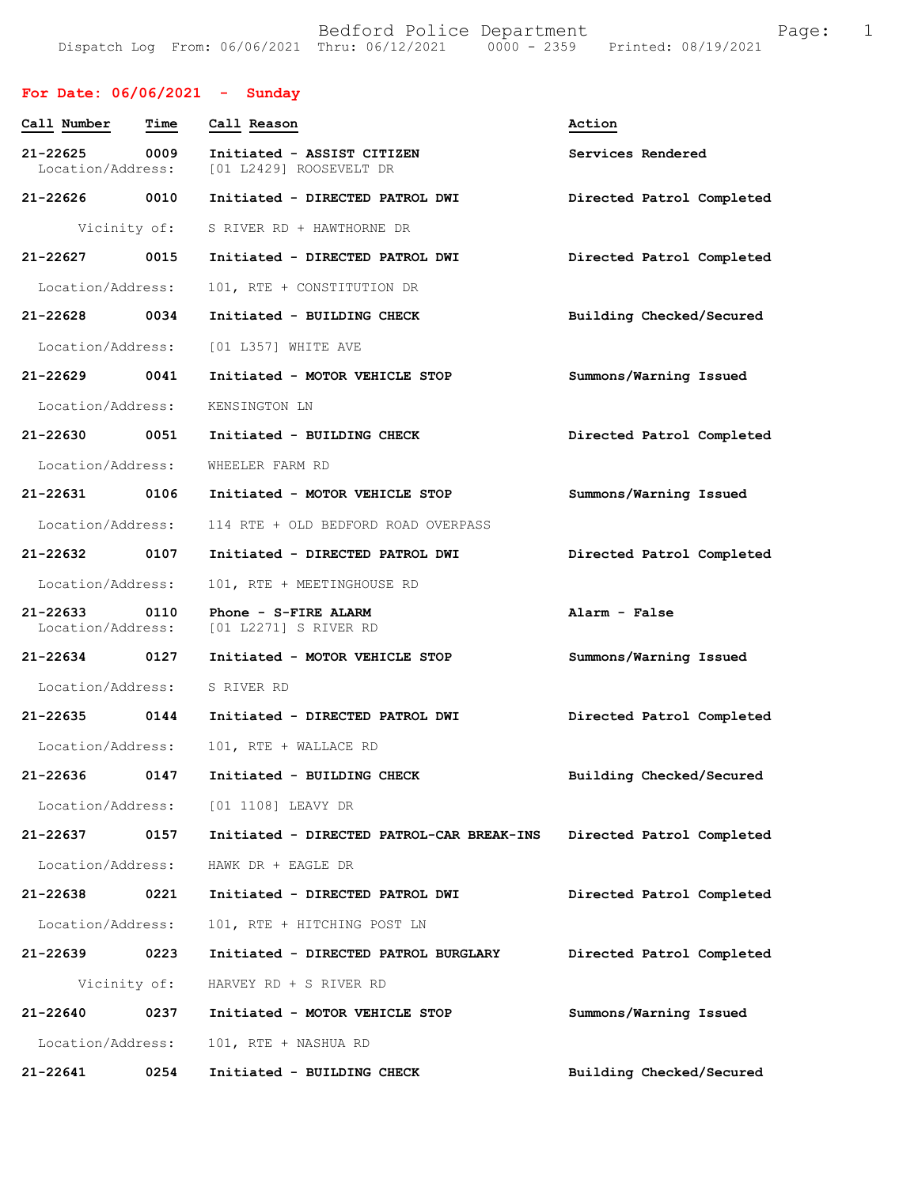#### **For Date: 06/06/2021 - Sunday**

| Call Number                   | Time         | Call Reason                                           | Action                    |
|-------------------------------|--------------|-------------------------------------------------------|---------------------------|
| 21-22625<br>Location/Address: | 0009         | Initiated - ASSIST CITIZEN<br>[01 L2429] ROOSEVELT DR | Services Rendered         |
| 21-22626 0010                 |              | Initiated - DIRECTED PATROL DWI                       | Directed Patrol Completed |
|                               | Vicinity of: | S RIVER RD + HAWTHORNE DR                             |                           |
| 21-22627 0015                 |              | Initiated - DIRECTED PATROL DWI                       | Directed Patrol Completed |
| Location/Address:             |              | 101, RTE + CONSTITUTION DR                            |                           |
| 21-22628 0034                 |              | Initiated - BUILDING CHECK                            | Building Checked/Secured  |
| Location/Address:             |              | [01 L357] WHITE AVE                                   |                           |
| 21-22629 0041                 |              | Initiated - MOTOR VEHICLE STOP                        | Summons/Warning Issued    |
| Location/Address:             |              | KENSINGTON LN                                         |                           |
| 21-22630 0051                 |              | Initiated - BUILDING CHECK                            | Directed Patrol Completed |
| Location/Address:             |              | WHEELER FARM RD                                       |                           |
| 21-22631 0106                 |              | Initiated - MOTOR VEHICLE STOP                        | Summons/Warning Issued    |
| Location/Address:             |              | 114 RTE + OLD BEDFORD ROAD OVERPASS                   |                           |
| 21-22632 0107                 |              | Initiated - DIRECTED PATROL DWI                       | Directed Patrol Completed |
| Location/Address:             |              | 101, RTE + MEETINGHOUSE RD                            |                           |
| 21-22633<br>Location/Address: | 0110         | Phone - S-FIRE ALARM<br>[01 L2271] S RIVER RD         | Alarm - False             |
| 21-22634 0127                 |              | Initiated - MOTOR VEHICLE STOP                        | Summons/Warning Issued    |
| Location/Address:             |              | S RIVER RD                                            |                           |
| 21-22635 0144                 |              | Initiated - DIRECTED PATROL DWI                       | Directed Patrol Completed |
| Location/Address:             |              | 101, RTE + WALLACE RD                                 |                           |
| 21-22636                      | 0147         | Initiated - BUILDING CHECK                            | Building Checked/Secured  |
|                               |              | Location/Address: [01 1108] LEAVY DR                  |                           |
| 21-22637                      | 0157         | Initiated - DIRECTED PATROL-CAR BREAK-INS             | Directed Patrol Completed |
| Location/Address:             |              | HAWK DR + EAGLE DR                                    |                           |
| 21-22638                      | 0221         | Initiated - DIRECTED PATROL DWI                       | Directed Patrol Completed |
| Location/Address:             |              | 101, RTE + HITCHING POST LN                           |                           |
| 21-22639                      | 0223         | Initiated - DIRECTED PATROL BURGLARY                  | Directed Patrol Completed |
| Vicinity of:                  |              | HARVEY RD + S RIVER RD                                |                           |
| 21-22640                      | 0237         | Initiated - MOTOR VEHICLE STOP                        | Summons/Warning Issued    |
| Location/Address:             |              | 101, RTE + NASHUA RD                                  |                           |
| 21-22641                      | 0254         | Initiated - BUILDING CHECK                            | Building Checked/Secured  |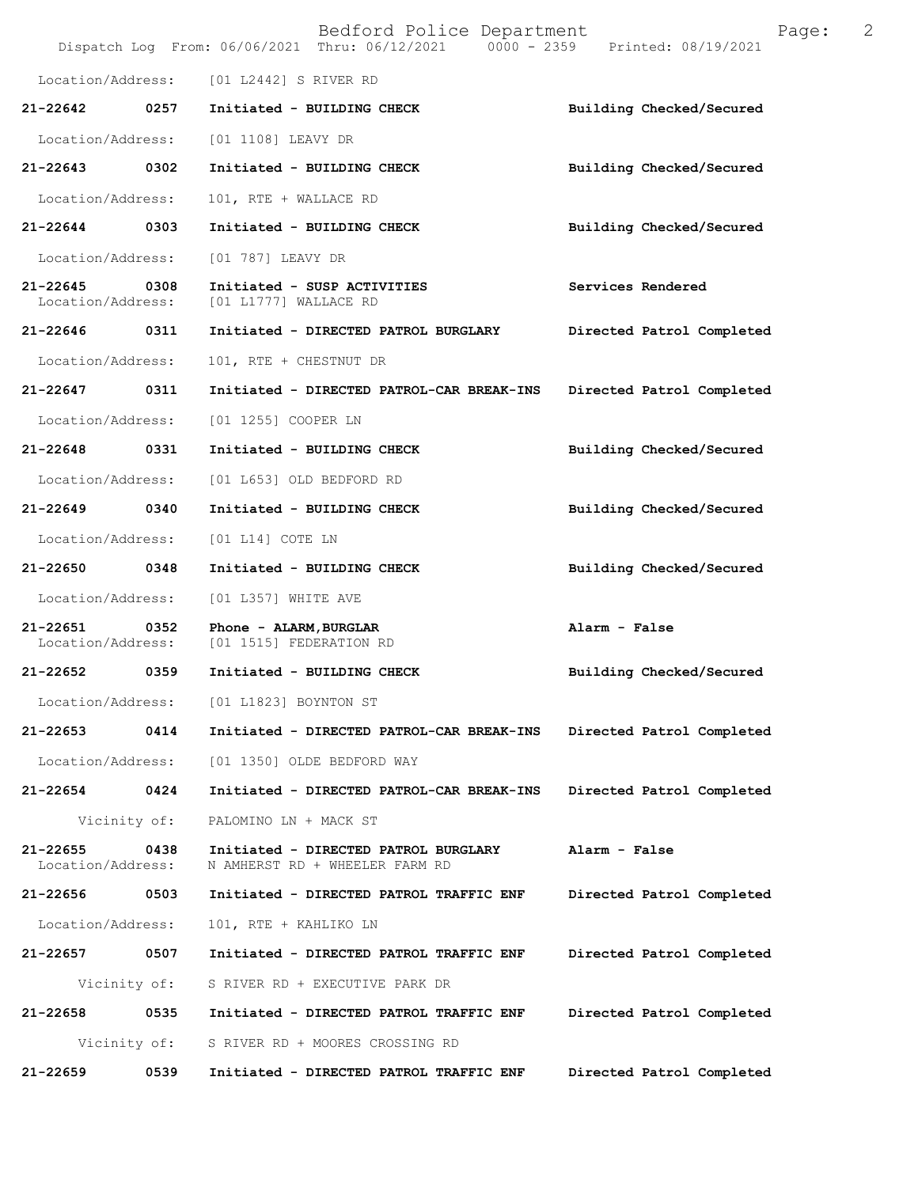|                                   |              | Bedford Police Department<br>Dispatch Log From: 06/06/2021 Thru: 06/12/2021 0000 - 2359 Printed: 08/19/2021 | 2<br>Page:                |
|-----------------------------------|--------------|-------------------------------------------------------------------------------------------------------------|---------------------------|
| Location/Address:                 |              | [01 L2442] S RIVER RD                                                                                       |                           |
| 21-22642                          | 0257         | Initiated - BUILDING CHECK                                                                                  | Building Checked/Secured  |
| Location/Address:                 |              | [01 1108] LEAVY DR                                                                                          |                           |
| 21-22643                          | 0302         | Initiated - BUILDING CHECK                                                                                  | Building Checked/Secured  |
| Location/Address:                 |              | 101, RTE + WALLACE RD                                                                                       |                           |
| 21-22644                          | 0303         | Initiated - BUILDING CHECK                                                                                  | Building Checked/Secured  |
| Location/Address:                 |              | [01 787] LEAVY DR                                                                                           |                           |
| 21-22645<br>Location/Address:     | 0308         | Initiated - SUSP ACTIVITIES<br>[01 L1777] WALLACE RD                                                        | Services Rendered         |
| 21-22646 0311                     |              | Initiated - DIRECTED PATROL BURGLARY                                                                        | Directed Patrol Completed |
| Location/Address:                 |              | 101, RTE + CHESTNUT DR                                                                                      |                           |
| 21-22647                          | 0311         | Initiated - DIRECTED PATROL-CAR BREAK-INS                                                                   | Directed Patrol Completed |
| Location/Address:                 |              | [01 1255] COOPER LN                                                                                         |                           |
| 21-22648                          | 0331         | Initiated - BUILDING CHECK                                                                                  | Building Checked/Secured  |
| Location/Address:                 |              | [01 L653] OLD BEDFORD RD                                                                                    |                           |
| 21-22649                          | 0340         | Initiated - BUILDING CHECK                                                                                  | Building Checked/Secured  |
| Location/Address:                 |              | $[01 L14]$ COTE LN                                                                                          |                           |
| 21-22650                          | 0348         | Initiated - BUILDING CHECK                                                                                  | Building Checked/Secured  |
| Location/Address:                 |              | [01 L357] WHITE AVE                                                                                         |                           |
| 21-22651<br>Location/Address:     | 0352         | Phone - ALARM, BURGLAR<br>[01 1515] FEDERATION RD                                                           | Alarm - False             |
| 21-22652                          | 0359         | Initiated - BUILDING CHECK                                                                                  | Building Checked/Secured  |
| Location/Address:                 |              | [01 L1823] BOYNTON ST                                                                                       |                           |
| 21-22653                          | 0414         | Initiated - DIRECTED PATROL-CAR BREAK-INS                                                                   | Directed Patrol Completed |
| Location/Address:                 |              | [01 1350] OLDE BEDFORD WAY                                                                                  |                           |
| 21-22654                          | 0424         | Initiated - DIRECTED PATROL-CAR BREAK-INS                                                                   | Directed Patrol Completed |
|                                   | Vicinity of: | PALOMINO LN + MACK ST                                                                                       |                           |
| $21 - 22655$<br>Location/Address: | 0438         | Initiated - DIRECTED PATROL BURGLARY<br>N AMHERST RD + WHEELER FARM RD                                      | Alarm - False             |
| 21-22656                          | 0503         | Initiated - DIRECTED PATROL TRAFFIC ENF                                                                     | Directed Patrol Completed |
| Location/Address:                 |              | 101, RTE + KAHLIKO LN                                                                                       |                           |
| 21-22657                          | 0507         | Initiated - DIRECTED PATROL TRAFFIC ENF                                                                     | Directed Patrol Completed |
|                                   | Vicinity of: | S RIVER RD + EXECUTIVE PARK DR                                                                              |                           |
| 21-22658                          | 0535         | Initiated - DIRECTED PATROL TRAFFIC ENF                                                                     | Directed Patrol Completed |
|                                   | Vicinity of: | S RIVER RD + MOORES CROSSING RD                                                                             |                           |
| 21-22659                          | 0539         | Initiated - DIRECTED PATROL TRAFFIC ENF                                                                     | Directed Patrol Completed |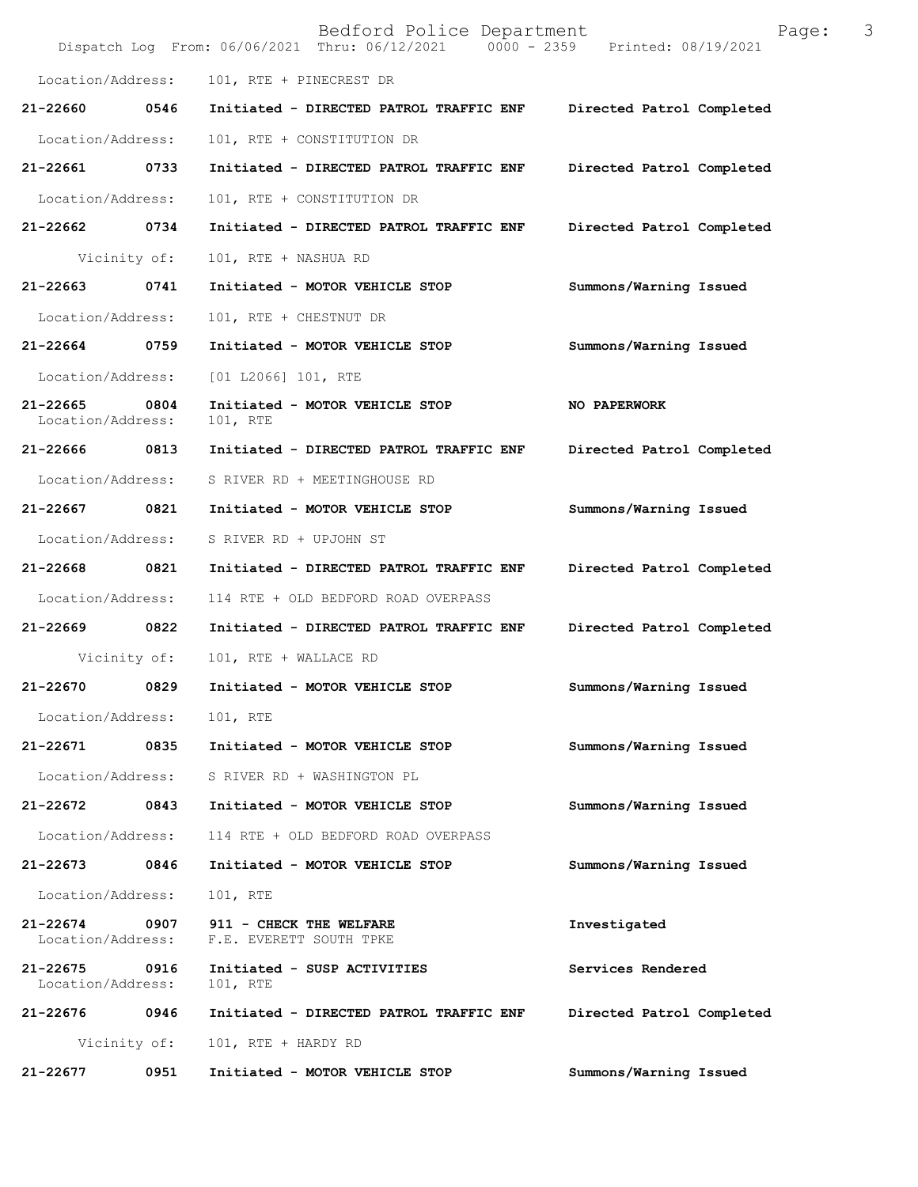|                               |              | Bedford Police Department<br>Dispatch Log From: 06/06/2021 Thru: 06/12/2021 0000 - 2359 Printed: 08/19/2021 | Page:                     | 3 |
|-------------------------------|--------------|-------------------------------------------------------------------------------------------------------------|---------------------------|---|
| Location/Address:             |              | 101, RTE + PINECREST DR                                                                                     |                           |   |
| 21-22660                      | 0546         | Initiated - DIRECTED PATROL TRAFFIC ENF                                                                     | Directed Patrol Completed |   |
| Location/Address:             |              | 101, RTE + CONSTITUTION DR                                                                                  |                           |   |
| 21-22661                      | 0733         | Initiated - DIRECTED PATROL TRAFFIC ENF                                                                     | Directed Patrol Completed |   |
| Location/Address:             |              | 101, RTE + CONSTITUTION DR                                                                                  |                           |   |
| 21-22662                      | 0734         | Initiated - DIRECTED PATROL TRAFFIC ENF                                                                     | Directed Patrol Completed |   |
|                               | Vicinity of: | 101, RTE + NASHUA RD                                                                                        |                           |   |
| 21-22663                      | 0741         | Initiated - MOTOR VEHICLE STOP                                                                              | Summons/Warning Issued    |   |
| Location/Address:             |              | 101, RTE + CHESTNUT DR                                                                                      |                           |   |
| 21-22664                      | 0759         | Initiated - MOTOR VEHICLE STOP                                                                              | Summons/Warning Issued    |   |
| Location/Address:             |              | [01 L2066] 101, RTE                                                                                         |                           |   |
| 21-22665<br>Location/Address: | 0804         | Initiated - MOTOR VEHICLE STOP<br>101, RTE                                                                  | NO PAPERWORK              |   |
| 21-22666                      | 0813         | Initiated - DIRECTED PATROL TRAFFIC ENF                                                                     | Directed Patrol Completed |   |
| Location/Address:             |              | S RIVER RD + MEETINGHOUSE RD                                                                                |                           |   |
| 21-22667                      | 0821         | Initiated - MOTOR VEHICLE STOP                                                                              | Summons/Warning Issued    |   |
| Location/Address:             |              | S RIVER RD + UPJOHN ST                                                                                      |                           |   |
| 21-22668                      | 0821         | Initiated - DIRECTED PATROL TRAFFIC ENF                                                                     | Directed Patrol Completed |   |
| Location/Address:             |              | 114 RTE + OLD BEDFORD ROAD OVERPASS                                                                         |                           |   |
| 21-22669                      | 0822         | Initiated - DIRECTED PATROL TRAFFIC ENF                                                                     | Directed Patrol Completed |   |
|                               | Vicinity of: | 101, RTE + WALLACE RD                                                                                       |                           |   |
| 21-22670                      | 0829         | Initiated - MOTOR VEHICLE STOP                                                                              | Summons/Warning Issued    |   |
| Location/Address:             |              | 101, RTE                                                                                                    |                           |   |
| 21-22671                      | 0835         | Initiated - MOTOR VEHICLE STOP                                                                              | Summons/Warning Issued    |   |
| Location/Address:             |              | S RIVER RD + WASHINGTON PL                                                                                  |                           |   |
| 21-22672                      | 0843         | Initiated - MOTOR VEHICLE STOP                                                                              | Summons/Warning Issued    |   |
| Location/Address:             |              | 114 RTE + OLD BEDFORD ROAD OVERPASS                                                                         |                           |   |
| 21-22673                      | 0846         | Initiated - MOTOR VEHICLE STOP                                                                              | Summons/Warning Issued    |   |
| Location/Address:             |              | 101, RTE                                                                                                    |                           |   |
| 21-22674<br>Location/Address: | 0907         | 911 - CHECK THE WELFARE<br>F.E. EVERETT SOUTH TPKE                                                          | Investigated              |   |
| 21-22675<br>Location/Address: | 0916         | Initiated - SUSP ACTIVITIES<br>101, RTE                                                                     | Services Rendered         |   |
| 21-22676                      | 0946         | Initiated - DIRECTED PATROL TRAFFIC ENF                                                                     | Directed Patrol Completed |   |
|                               | Vicinity of: | 101, RTE + HARDY RD                                                                                         |                           |   |
| 21-22677                      | 0951         | Initiated - MOTOR VEHICLE STOP                                                                              | Summons/Warning Issued    |   |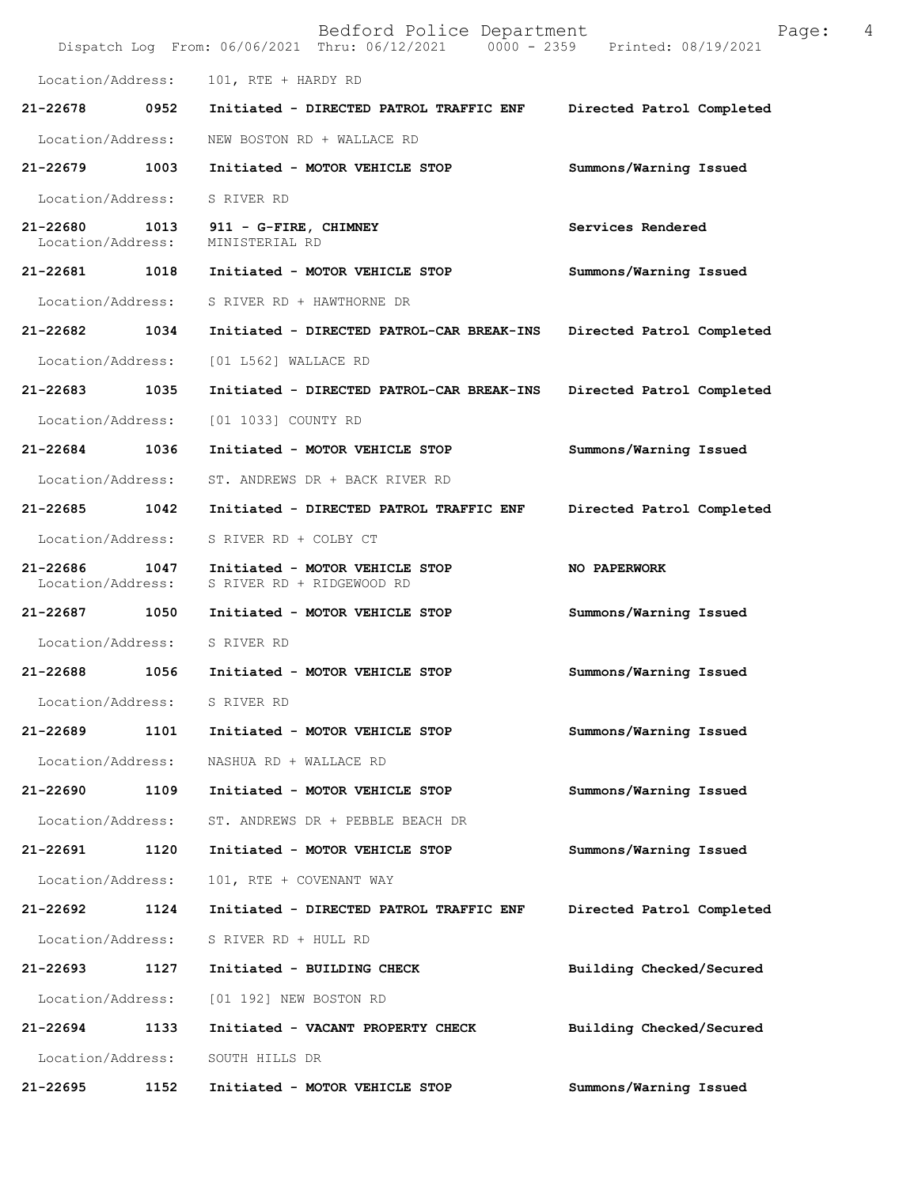|                                    |      | Bedford Police Department<br>Dispatch Log From: 06/06/2021 Thru: 06/12/2021 0000 - 2359 Printed: 08/19/2021 | Page:                     | 4 |
|------------------------------------|------|-------------------------------------------------------------------------------------------------------------|---------------------------|---|
| Location/Address:                  |      | 101, RTE + HARDY RD                                                                                         |                           |   |
| 21-22678                           | 0952 | Initiated - DIRECTED PATROL TRAFFIC ENF                                                                     | Directed Patrol Completed |   |
| Location/Address:                  |      | NEW BOSTON RD + WALLACE RD                                                                                  |                           |   |
| 21-22679                           | 1003 | Initiated - MOTOR VEHICLE STOP                                                                              | Summons/Warning Issued    |   |
| Location/Address:                  |      | S RIVER RD                                                                                                  |                           |   |
| 21-22680 1013<br>Location/Address: |      | 911 - G-FIRE, CHIMNEY<br>MINISTERIAL RD                                                                     | Services Rendered         |   |
| 21-22681                           | 1018 | Initiated - MOTOR VEHICLE STOP                                                                              | Summons/Warning Issued    |   |
| Location/Address:                  |      | S RIVER RD + HAWTHORNE DR                                                                                   |                           |   |
| 21-22682                           | 1034 | Initiated - DIRECTED PATROL-CAR BREAK-INS                                                                   | Directed Patrol Completed |   |
| Location/Address:                  |      | [01 L562] WALLACE RD                                                                                        |                           |   |
| 21-22683 1035                      |      | Initiated - DIRECTED PATROL-CAR BREAK-INS                                                                   | Directed Patrol Completed |   |
| Location/Address:                  |      | [01 1033] COUNTY RD                                                                                         |                           |   |
| 21-22684                           | 1036 | Initiated - MOTOR VEHICLE STOP                                                                              | Summons/Warning Issued    |   |
| Location/Address:                  |      | ST. ANDREWS DR + BACK RIVER RD                                                                              |                           |   |
| 21-22685                           | 1042 | Initiated - DIRECTED PATROL TRAFFIC ENF                                                                     | Directed Patrol Completed |   |
| Location/Address:                  |      | S RIVER RD + COLBY CT                                                                                       |                           |   |
| 21-22686<br>Location/Address:      | 1047 | Initiated - MOTOR VEHICLE STOP<br>S RIVER RD + RIDGEWOOD RD                                                 | NO PAPERWORK              |   |
| 21-22687                           | 1050 | Initiated - MOTOR VEHICLE STOP                                                                              | Summons/Warning Issued    |   |
| Location/Address:                  |      | S RIVER RD                                                                                                  |                           |   |
| 21-22688                           | 1056 | Initiated - MOTOR VEHICLE STOP                                                                              | Summons/Warning Issued    |   |
| Location/Address:                  |      | S RIVER RD                                                                                                  |                           |   |
| 21-22689                           | 1101 | Initiated - MOTOR VEHICLE STOP                                                                              | Summons/Warning Issued    |   |
| Location/Address:                  |      | NASHUA RD + WALLACE RD                                                                                      |                           |   |
| 21-22690                           | 1109 | Initiated - MOTOR VEHICLE STOP                                                                              | Summons/Warning Issued    |   |
| Location/Address:                  |      | ST. ANDREWS DR + PEBBLE BEACH DR                                                                            |                           |   |
| 21-22691                           | 1120 | Initiated - MOTOR VEHICLE STOP                                                                              | Summons/Warning Issued    |   |
| Location/Address:                  |      | 101, RTE + COVENANT WAY                                                                                     |                           |   |
| 21-22692                           | 1124 | Initiated - DIRECTED PATROL TRAFFIC ENF                                                                     | Directed Patrol Completed |   |
| Location/Address:                  |      | S RIVER RD + HULL RD                                                                                        |                           |   |
| 21-22693                           | 1127 | Initiated - BUILDING CHECK                                                                                  | Building Checked/Secured  |   |
| Location/Address:                  |      | [01 192] NEW BOSTON RD                                                                                      |                           |   |
| 21-22694                           | 1133 | Initiated - VACANT PROPERTY CHECK                                                                           | Building Checked/Secured  |   |
| Location/Address:                  |      | SOUTH HILLS DR                                                                                              |                           |   |
| 21-22695                           | 1152 | Initiated - MOTOR VEHICLE STOP                                                                              | Summons/Warning Issued    |   |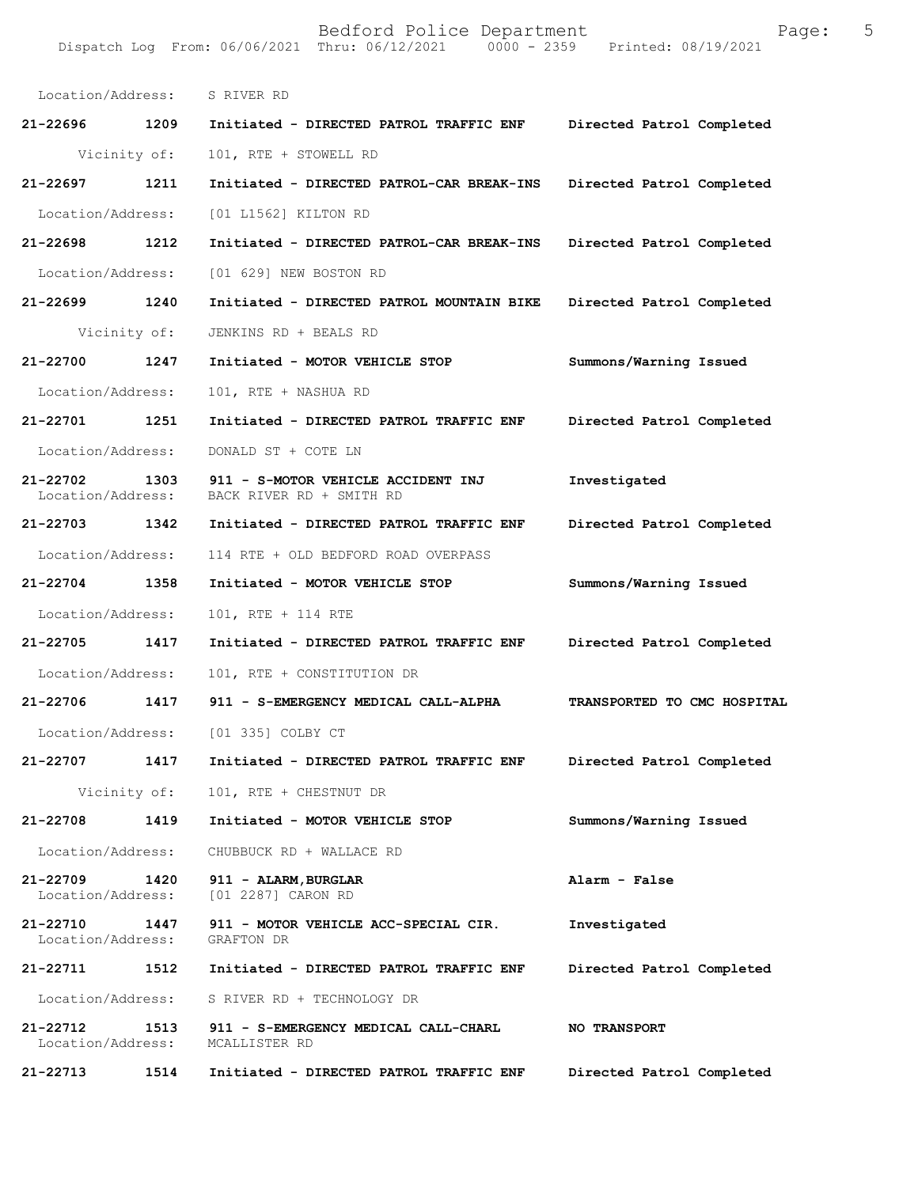**21-22696 1209 Initiated - DIRECTED PATROL TRAFFIC ENF Directed Patrol Completed**  Vicinity of: 101, RTE + STOWELL RD **21-22697 1211 Initiated - DIRECTED PATROL-CAR BREAK-INS Directed Patrol Completed**  Location/Address: [01 L1562] KILTON RD **21-22698 1212 Initiated - DIRECTED PATROL-CAR BREAK-INS Directed Patrol Completed**  Location/Address: [01 629] NEW BOSTON RD **21-22699 1240 Initiated - DIRECTED PATROL MOUNTAIN BIKE Directed Patrol Completed**  Vicinity of: JENKINS RD + BEALS RD **21-22700 1247 Initiated - MOTOR VEHICLE STOP Summons/Warning Issued**  Location/Address: 101, RTE + NASHUA RD **21-22701 1251 Initiated - DIRECTED PATROL TRAFFIC ENF Directed Patrol Completed**  Location/Address: DONALD ST + COTE LN **21-22702 1303 911 - S-MOTOR VEHICLE ACCIDENT INJ Investigated**  BACK RIVER RD + SMITH RD **21-22703 1342 Initiated - DIRECTED PATROL TRAFFIC ENF Directed Patrol Completed**  Location/Address: 114 RTE + OLD BEDFORD ROAD OVERPASS **21-22704 1358 Initiated - MOTOR VEHICLE STOP Summons/Warning Issued**  Location/Address: 101, RTE + 114 RTE **21-22705 1417 Initiated - DIRECTED PATROL TRAFFIC ENF Directed Patrol Completed**  Location/Address: 101, RTE + CONSTITUTION DR **21-22706 1417 911 - S-EMERGENCY MEDICAL CALL-ALPHA TRANSPORTED TO CMC HOSPITAL**  Location/Address: [01 335] COLBY CT **21-22707 1417 Initiated - DIRECTED PATROL TRAFFIC ENF Directed Patrol Completed**  Vicinity of: 101, RTE + CHESTNUT DR **21-22708 1419 Initiated - MOTOR VEHICLE STOP Summons/Warning Issued**  Location/Address: CHUBBUCK RD + WALLACE RD **21-22709 1420 911 - ALARM,BURGLAR Alarm - False**  [01 2287] CARON RD **21-22710 1447 911 - MOTOR VEHICLE ACC-SPECIAL CIR. Investigated**  Location/Address: GRAFTON DR **21-22711 1512 Initiated - DIRECTED PATROL TRAFFIC ENF Directed Patrol Completed**  Location/Address: S RIVER RD + TECHNOLOGY DR **21-22712 1513 911 - S-EMERGENCY MEDICAL CALL-CHARL NO TRANSPORT**  Location/Address: MCALLISTER RD **21-22713 1514 Initiated - DIRECTED PATROL TRAFFIC ENF Directed Patrol Completed**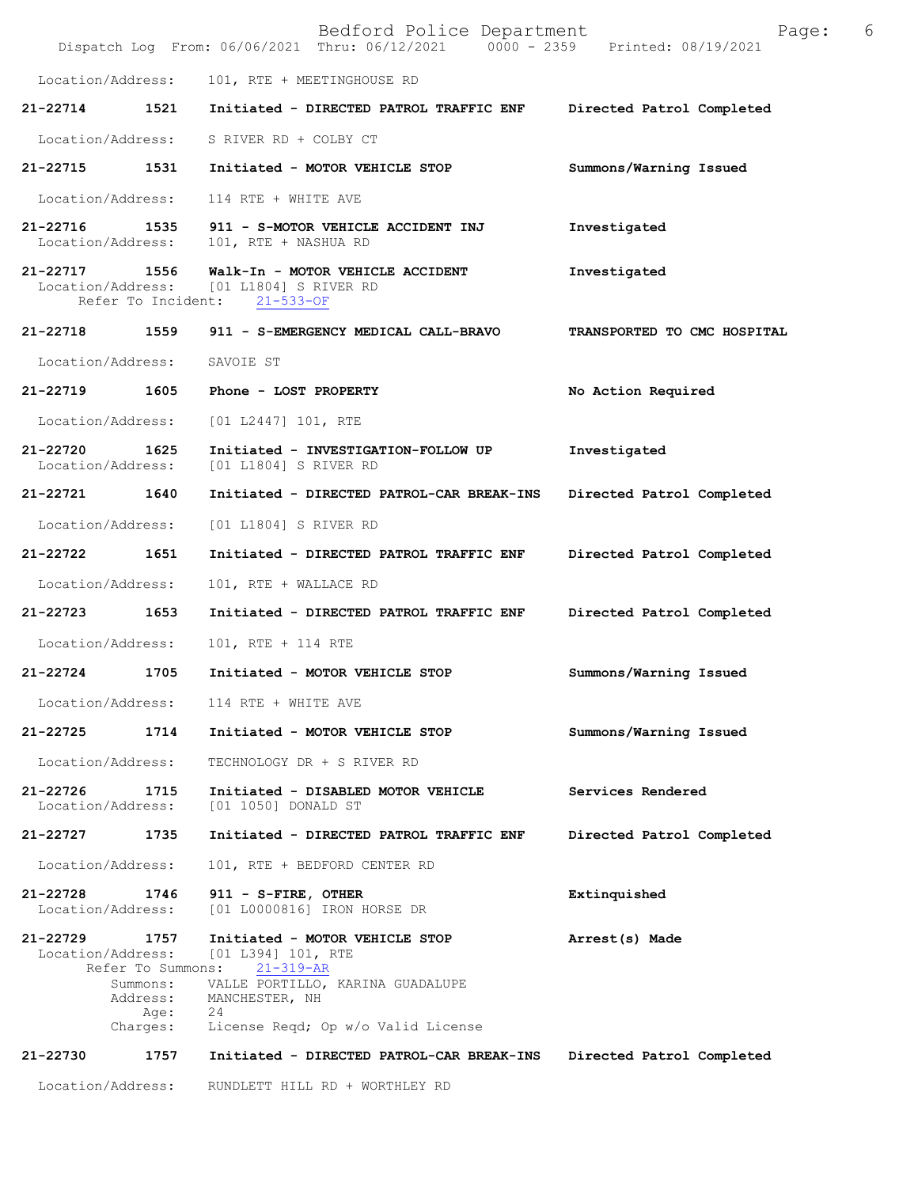|                                   |                                                  | Bedford Police Department<br>Dispatch Log From: 06/06/2021 Thru: 06/12/2021 0000 - 2359 Printed: 08/19/2021                                                                           | Page:                       | 6 |
|-----------------------------------|--------------------------------------------------|---------------------------------------------------------------------------------------------------------------------------------------------------------------------------------------|-----------------------------|---|
| Location/Address:                 |                                                  | 101, RTE + MEETINGHOUSE RD                                                                                                                                                            |                             |   |
| 21-22714                          | 1521                                             | Initiated - DIRECTED PATROL TRAFFIC ENF                                                                                                                                               | Directed Patrol Completed   |   |
| Location/Address:                 |                                                  | S RIVER RD + COLBY CT                                                                                                                                                                 |                             |   |
| 21-22715                          | 1531                                             | Initiated - MOTOR VEHICLE STOP                                                                                                                                                        | Summons/Warning Issued      |   |
| Location/Address:                 |                                                  | 114 RTE + WHITE AVE                                                                                                                                                                   |                             |   |
| 21-22716<br>Location/Address:     | 1535                                             | 911 - S-MOTOR VEHICLE ACCIDENT INJ<br>101, RTE + NASHUA RD                                                                                                                            | Investigated                |   |
| 21-22717                          | 1556<br>Refer To Incident:                       | Walk-In - MOTOR VEHICLE ACCIDENT<br>Location/Address: [01 L1804] S RIVER RD<br>$21 - 533 - OF$                                                                                        | Investigated                |   |
| 21-22718 1559                     |                                                  | 911 - S-EMERGENCY MEDICAL CALL-BRAVO                                                                                                                                                  | TRANSPORTED TO CMC HOSPITAL |   |
| Location/Address:                 |                                                  | SAVOIE ST                                                                                                                                                                             |                             |   |
| 21-22719                          | 1605                                             | Phone - LOST PROPERTY                                                                                                                                                                 | No Action Required          |   |
| Location/Address:                 |                                                  | [01 L2447] 101, RTE                                                                                                                                                                   |                             |   |
| $21 - 22720$<br>Location/Address: | 1625                                             | Initiated - INVESTIGATION-FOLLOW UP<br>[01 L1804] S RIVER RD                                                                                                                          | Investigated                |   |
| 21-22721 1640                     |                                                  | Initiated - DIRECTED PATROL-CAR BREAK-INS                                                                                                                                             | Directed Patrol Completed   |   |
| Location/Address:                 |                                                  | [01 L1804] S RIVER RD                                                                                                                                                                 |                             |   |
| 21-22722                          | 1651                                             | Initiated - DIRECTED PATROL TRAFFIC ENF                                                                                                                                               | Directed Patrol Completed   |   |
| Location/Address:                 |                                                  | 101, RTE + WALLACE RD                                                                                                                                                                 |                             |   |
| 21-22723                          | 1653                                             | Initiated - DIRECTED PATROL TRAFFIC ENF                                                                                                                                               | Directed Patrol Completed   |   |
| Location/Address:                 |                                                  | 101, RTE + 114 RTE                                                                                                                                                                    |                             |   |
| 21-22724                          | 1705                                             | Initiated - MOTOR VEHICLE STOP                                                                                                                                                        | Summons/Warning Issued      |   |
| Location/Address:                 |                                                  | 114 RTE + WHITE AVE                                                                                                                                                                   |                             |   |
| 21-22725                          | 1714                                             | Initiated - MOTOR VEHICLE STOP                                                                                                                                                        | Summons/Warning Issued      |   |
| Location/Address:                 |                                                  | TECHNOLOGY DR + S RIVER RD                                                                                                                                                            |                             |   |
| 21-22726<br>Location/Address:     | 1715                                             | Initiated - DISABLED MOTOR VEHICLE<br>[01 1050] DONALD ST                                                                                                                             | Services Rendered           |   |
| 21-22727                          | 1735                                             | Initiated - DIRECTED PATROL TRAFFIC ENF                                                                                                                                               | Directed Patrol Completed   |   |
| Location/Address:                 |                                                  | 101, RTE + BEDFORD CENTER RD                                                                                                                                                          |                             |   |
| 21-22728<br>Location/Address:     | 1746                                             | 911 - S-FIRE, OTHER<br>[01 L0000816] IRON HORSE DR                                                                                                                                    | Extinquished                |   |
| 21-22729<br>Location/Address:     | 1757<br>Summons:<br>Address:<br>Age:<br>Charges: | Initiated - MOTOR VEHICLE STOP<br>[01 L394] 101, RTE<br>Refer To Summons: 21-319-AR<br>VALLE PORTILLO, KARINA GUADALUPE<br>MANCHESTER, NH<br>24<br>License Reqd; Op w/o Valid License | Arrest(s) Made              |   |
| 21-22730                          | 1757                                             | Initiated - DIRECTED PATROL-CAR BREAK-INS                                                                                                                                             | Directed Patrol Completed   |   |
| Location/Address:                 |                                                  | RUNDLETT HILL RD + WORTHLEY RD                                                                                                                                                        |                             |   |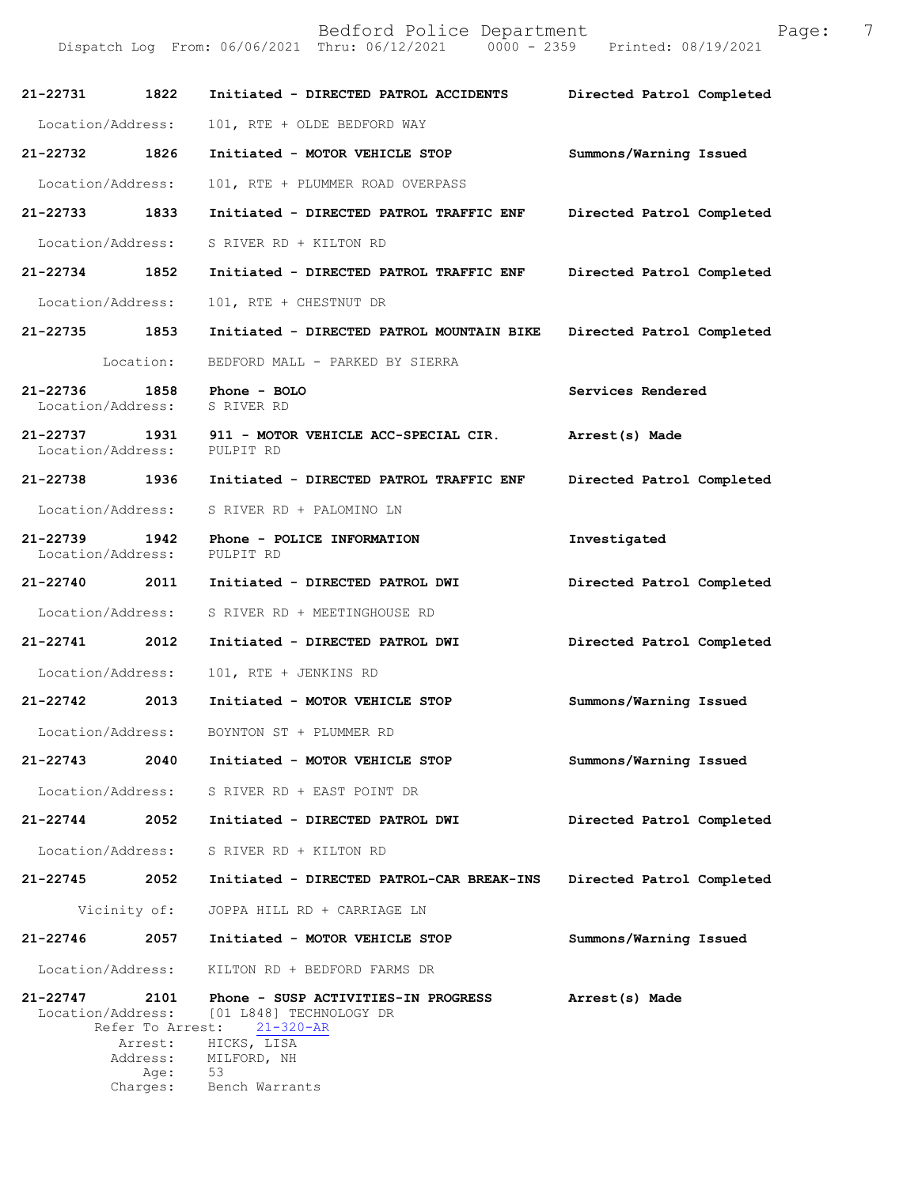| 21-22731                      | 1822                     | Initiated - DIRECTED PATROL ACCIDENTS                                             | Directed Patrol Completed |
|-------------------------------|--------------------------|-----------------------------------------------------------------------------------|---------------------------|
| Location/Address:             |                          | 101, RTE + OLDE BEDFORD WAY                                                       |                           |
| 21-22732                      | 1826                     | Initiated - MOTOR VEHICLE STOP                                                    | Summons/Warning Issued    |
| Location/Address:             |                          | 101, RTE + PLUMMER ROAD OVERPASS                                                  |                           |
| 21-22733 1833                 |                          | Initiated - DIRECTED PATROL TRAFFIC ENF                                           | Directed Patrol Completed |
| Location/Address:             |                          | S RIVER RD + KILTON RD                                                            |                           |
| 21-22734 1852                 |                          | Initiated - DIRECTED PATROL TRAFFIC ENF                                           | Directed Patrol Completed |
| Location/Address:             |                          | 101, RTE + CHESTNUT DR                                                            |                           |
| 21-22735 1853                 |                          | Initiated - DIRECTED PATROL MOUNTAIN BIKE                                         | Directed Patrol Completed |
|                               | Location:                | BEDFORD MALL - PARKED BY SIERRA                                                   |                           |
| 21-22736<br>Location/Address: | 1858                     | Phone - BOLO<br>S RIVER RD                                                        | Services Rendered         |
| 21-22737<br>Location/Address: |                          | 1931 911 - MOTOR VEHICLE ACC-SPECIAL CIR.<br>PULPIT RD                            | Arrest(s) Made            |
| 21-22738 1936                 |                          | Initiated - DIRECTED PATROL TRAFFIC ENF                                           | Directed Patrol Completed |
| Location/Address:             |                          | S RIVER RD + PALOMINO LN                                                          |                           |
| 21-22739<br>Location/Address: | 1942                     | Phone - POLICE INFORMATION<br>PULPIT RD                                           | Investigated              |
| 21-22740 2011                 |                          | Initiated - DIRECTED PATROL DWI                                                   | Directed Patrol Completed |
| Location/Address:             |                          | S RIVER RD + MEETINGHOUSE RD                                                      |                           |
| $21 - 22741$                  | 2012                     | Initiated - DIRECTED PATROL DWI                                                   | Directed Patrol Completed |
| Location/Address:             |                          | 101, RTE + JENKINS RD                                                             |                           |
| 21-22742 2013                 |                          | Initiated - MOTOR VEHICLE STOP                                                    | Summons/Warning Issued    |
| Location/Address:             |                          | BOYNTON ST + PLUMMER RD                                                           |                           |
| 21-22743                      | 2040                     | Initiated - MOTOR VEHICLE STOP                                                    | Summons/Warning Issued    |
| Location/Address:             |                          | S RIVER RD + EAST POINT DR                                                        |                           |
| 21-22744                      | 2052                     | Initiated - DIRECTED PATROL DWI                                                   | Directed Patrol Completed |
| Location/Address:             |                          | S RIVER RD + KILTON RD                                                            |                           |
| 21-22745                      | 2052                     | Initiated - DIRECTED PATROL-CAR BREAK-INS                                         | Directed Patrol Completed |
| Vicinity of:                  |                          | JOPPA HILL RD + CARRIAGE LN                                                       |                           |
| $21 - 22746$                  | 2057                     | Initiated - MOTOR VEHICLE STOP                                                    | Summons/Warning Issued    |
| Location/Address:             |                          | KILTON RD + BEDFORD FARMS DR                                                      |                           |
| 21-22747<br>Location/Address: | 2101<br>Refer To Arrest: | Phone - SUSP ACTIVITIES-IN PROGRESS<br>[01 L848] TECHNOLOGY DR<br>$21 - 320 - AR$ | Arrest(s) Made            |
|                               | Arrest:<br>Address:      | HICKS, LISA<br>MILFORD, NH                                                        |                           |
|                               | Age:<br>Charges:         | 53<br>Bench Warrants                                                              |                           |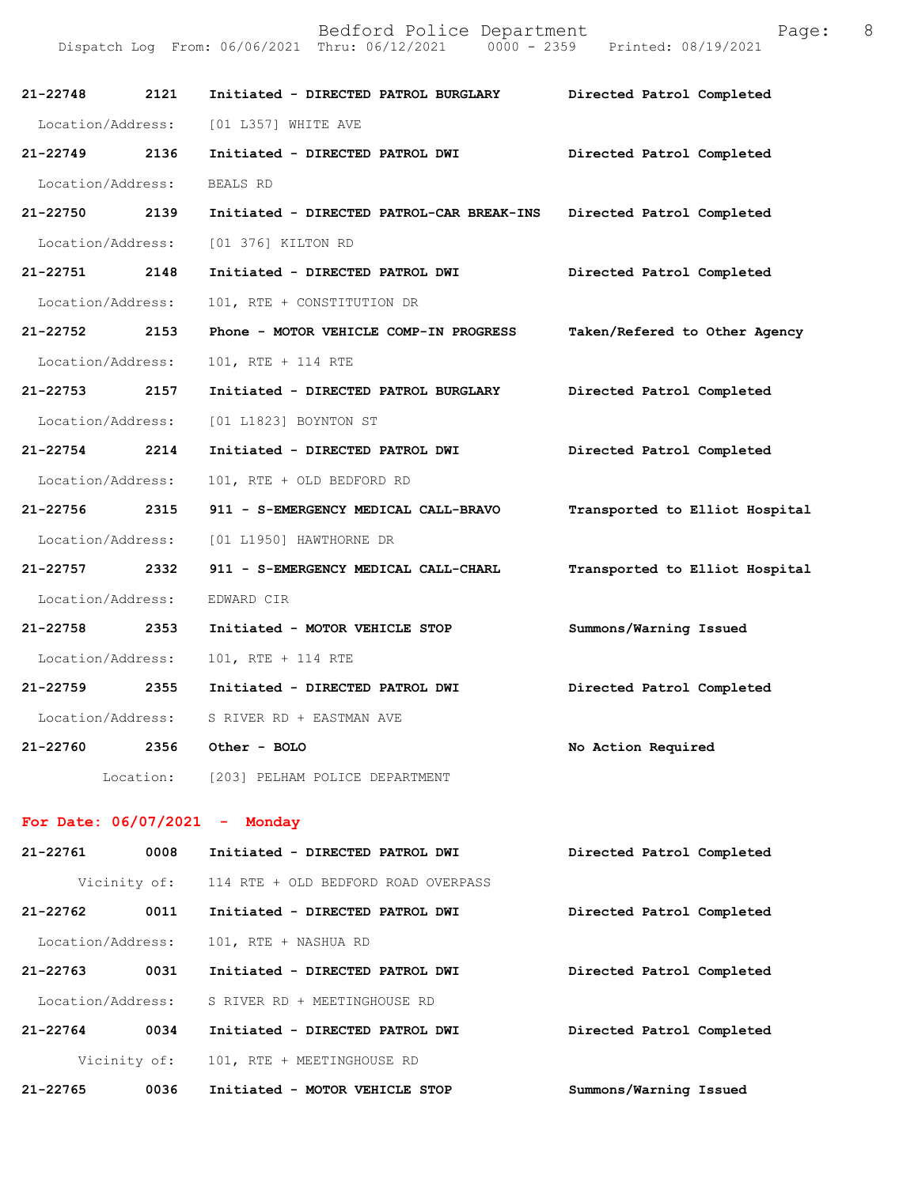| 21-22748          | 2121              | Initiated - DIRECTED PATROL BURGLARY       | Directed Patrol Completed      |
|-------------------|-------------------|--------------------------------------------|--------------------------------|
|                   |                   | Location/Address: [01 L357] WHITE AVE      |                                |
| 21-22749 2136     |                   | Initiated - DIRECTED PATROL DWI            | Directed Patrol Completed      |
| Location/Address: |                   | BEALS RD                                   |                                |
| 21-22750 2139     |                   | Initiated - DIRECTED PATROL-CAR BREAK-INS  | Directed Patrol Completed      |
|                   |                   | Location/Address: [01 376] KILTON RD       |                                |
| 21-22751 2148     |                   | Initiated - DIRECTED PATROL DWI            | Directed Patrol Completed      |
| Location/Address: |                   | 101, RTE + CONSTITUTION DR                 |                                |
| 21-22752 2153     |                   | Phone - MOTOR VEHICLE COMP-IN PROGRESS     | Taken/Refered to Other Agency  |
| Location/Address: |                   | 101, RTE + 114 RTE                         |                                |
| 21-22753 2157     |                   | Initiated - DIRECTED PATROL BURGLARY       | Directed Patrol Completed      |
|                   | Location/Address: | [01 L1823] BOYNTON ST                      |                                |
| 21-22754 2214     |                   | Initiated - DIRECTED PATROL DWI            | Directed Patrol Completed      |
| Location/Address: |                   | 101, RTE + OLD BEDFORD RD                  |                                |
| 21-22756 2315     |                   | 911 - S-EMERGENCY MEDICAL CALL-BRAVO       | Transported to Elliot Hospital |
|                   |                   | Location/Address: [01 L1950] HAWTHORNE DR  |                                |
| 21-22757 2332     |                   | 911 - S-EMERGENCY MEDICAL CALL-CHARL       | Transported to Elliot Hospital |
| Location/Address: |                   | EDWARD CIR                                 |                                |
| 21-22758 2353     |                   | Initiated - MOTOR VEHICLE STOP             | Summons/Warning Issued         |
| Location/Address: |                   | 101, RTE + 114 RTE                         |                                |
| 21-22759 2355     |                   | Initiated - DIRECTED PATROL DWI            | Directed Patrol Completed      |
|                   |                   | Location/Address: S RIVER RD + EASTMAN AVE |                                |
| 21-22760          | 2356              | Other - BOLO                               | No Action Required             |
|                   |                   | Location: [203] PELHAM POLICE DEPARTMENT   |                                |
|                   |                   | For Date: $06/07/2021$ - Monday            |                                |
| 21-22761          | 0008              | Initiated - DIRECTED PATROL DWI            | Directed Patrol Completed      |
|                   | Vicinity of:      | 114 RTE + OLD BEDFORD ROAD OVERPASS        |                                |
|                   |                   |                                            |                                |

| $21 - 22762$      | 0011         | Initiated - DIRECTED PATROL DWI | Directed Patrol Completed |
|-------------------|--------------|---------------------------------|---------------------------|
| Location/Address: |              | 101, RTE + NASHUA RD            |                           |
| $21 - 22763$      | 0031         | Initiated - DIRECTED PATROL DWI | Directed Patrol Completed |
| Location/Address: |              | S RIVER RD + MEETINGHOUSE RD    |                           |
| $21 - 22764$      | 0034         | Initiated - DIRECTED PATROL DWI | Directed Patrol Completed |
|                   | Vicinity of: | 101, RTE + MEETINGHOUSE RD      |                           |
| $21 - 22765$      | 0036         | Initiated - MOTOR VEHICLE STOP  | Summons/Warning Issued    |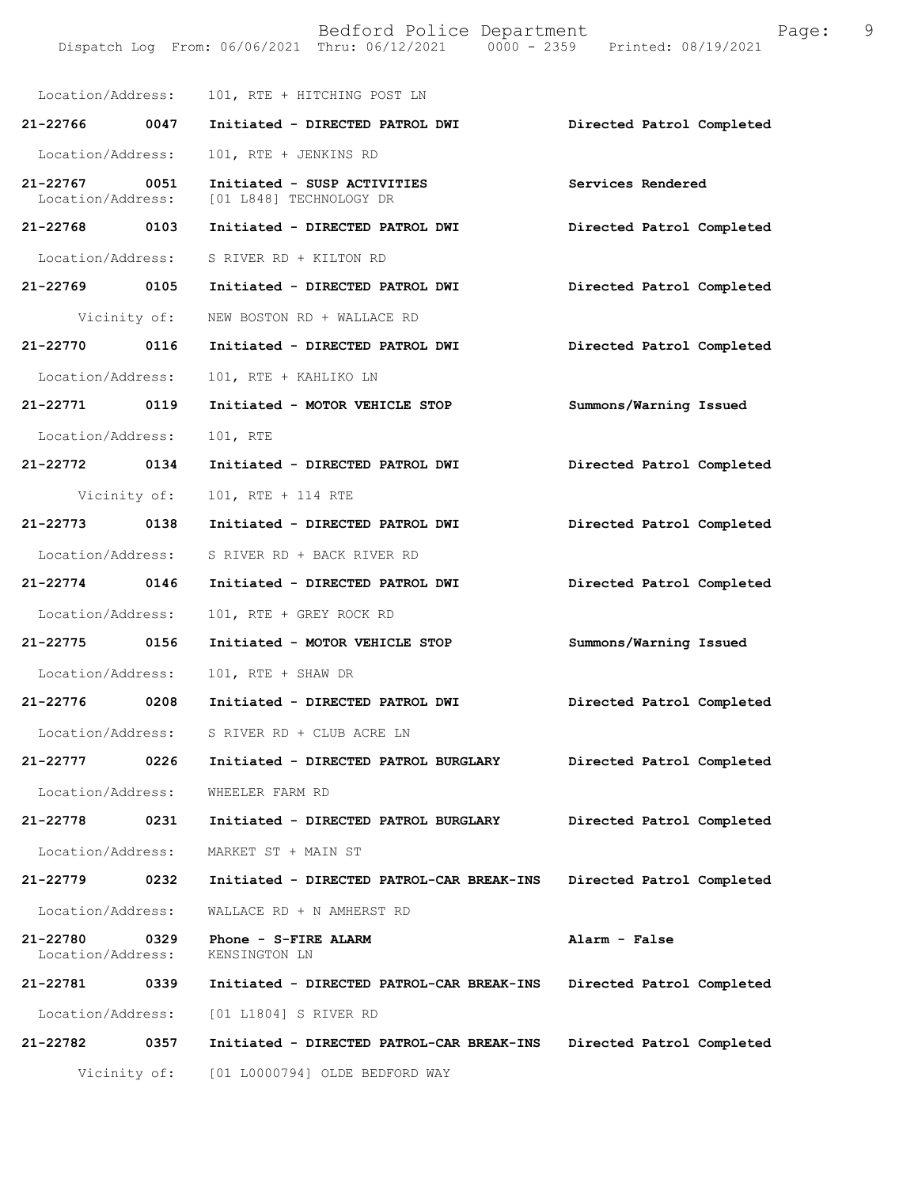|                                    |              | Location/Address: 101, RTE + HITCHING POST LN          |                           |
|------------------------------------|--------------|--------------------------------------------------------|---------------------------|
| 21-22766 0047                      |              | Initiated - DIRECTED PATROL DWI                        | Directed Patrol Completed |
| Location/Address:                  |              | 101, RTE + JENKINS RD                                  |                           |
| 21-22767 0051<br>Location/Address: |              | Initiated - SUSP ACTIVITIES<br>[01 L848] TECHNOLOGY DR | Services Rendered         |
| 21-22768 0103                      |              | Initiated - DIRECTED PATROL DWI                        | Directed Patrol Completed |
| Location/Address:                  |              | S RIVER RD + KILTON RD                                 |                           |
| 21-22769 0105                      |              | Initiated - DIRECTED PATROL DWI                        | Directed Patrol Completed |
|                                    | Vicinity of: | NEW BOSTON RD + WALLACE RD                             |                           |
| 21-22770 0116                      |              | Initiated - DIRECTED PATROL DWI                        | Directed Patrol Completed |
| Location/Address:                  |              | 101, RTE + KAHLIKO LN                                  |                           |
| 21-22771 0119                      |              | Initiated - MOTOR VEHICLE STOP                         | Summons/Warning Issued    |
| Location/Address:                  |              | 101, RTE                                               |                           |
| 21-22772 0134                      |              | Initiated - DIRECTED PATROL DWI                        | Directed Patrol Completed |
| Vicinity of:                       |              | 101, RTE + 114 RTE                                     |                           |
| 21-22773 0138                      |              | Initiated - DIRECTED PATROL DWI                        | Directed Patrol Completed |
| Location/Address:                  |              | S RIVER RD + BACK RIVER RD                             |                           |
| 21-22774 0146                      |              | Initiated - DIRECTED PATROL DWI                        | Directed Patrol Completed |
| Location/Address:                  |              | 101, RTE + GREY ROCK RD                                |                           |
| 21-22775 0156                      |              | Initiated - MOTOR VEHICLE STOP                         | Summons/Warning Issued    |
| Location/Address:                  |              | 101, RTE + SHAW DR                                     |                           |
| 21-22776 0208                      |              | Initiated - DIRECTED PATROL DWI                        | Directed Patrol Completed |
|                                    |              | Location/Address: S RIVER RD + CLUB ACRE LN            |                           |
| 21-22777                           | 0226         | Initiated - DIRECTED PATROL BURGLARY                   | Directed Patrol Completed |
| Location/Address:                  |              | WHEELER FARM RD                                        |                           |
| 21-22778                           | 0231         | Initiated - DIRECTED PATROL BURGLARY                   | Directed Patrol Completed |
| Location/Address:                  |              | MARKET ST + MAIN ST                                    |                           |
| 21-22779                           | 0232         | Initiated - DIRECTED PATROL-CAR BREAK-INS              | Directed Patrol Completed |
| Location/Address:                  |              | WALLACE RD + N AMHERST RD                              |                           |
| 21-22780<br>Location/Address:      | 0329         | Phone - S-FIRE ALARM<br>KENSINGTON LN                  | Alarm - False             |
| 21-22781                           | 0339         | Initiated - DIRECTED PATROL-CAR BREAK-INS              | Directed Patrol Completed |
| Location/Address:                  |              | [01 L1804] S RIVER RD                                  |                           |
| 21-22782                           | 0357         | Initiated - DIRECTED PATROL-CAR BREAK-INS              | Directed Patrol Completed |
| Vicinity of:                       |              | [01 L0000794] OLDE BEDFORD WAY                         |                           |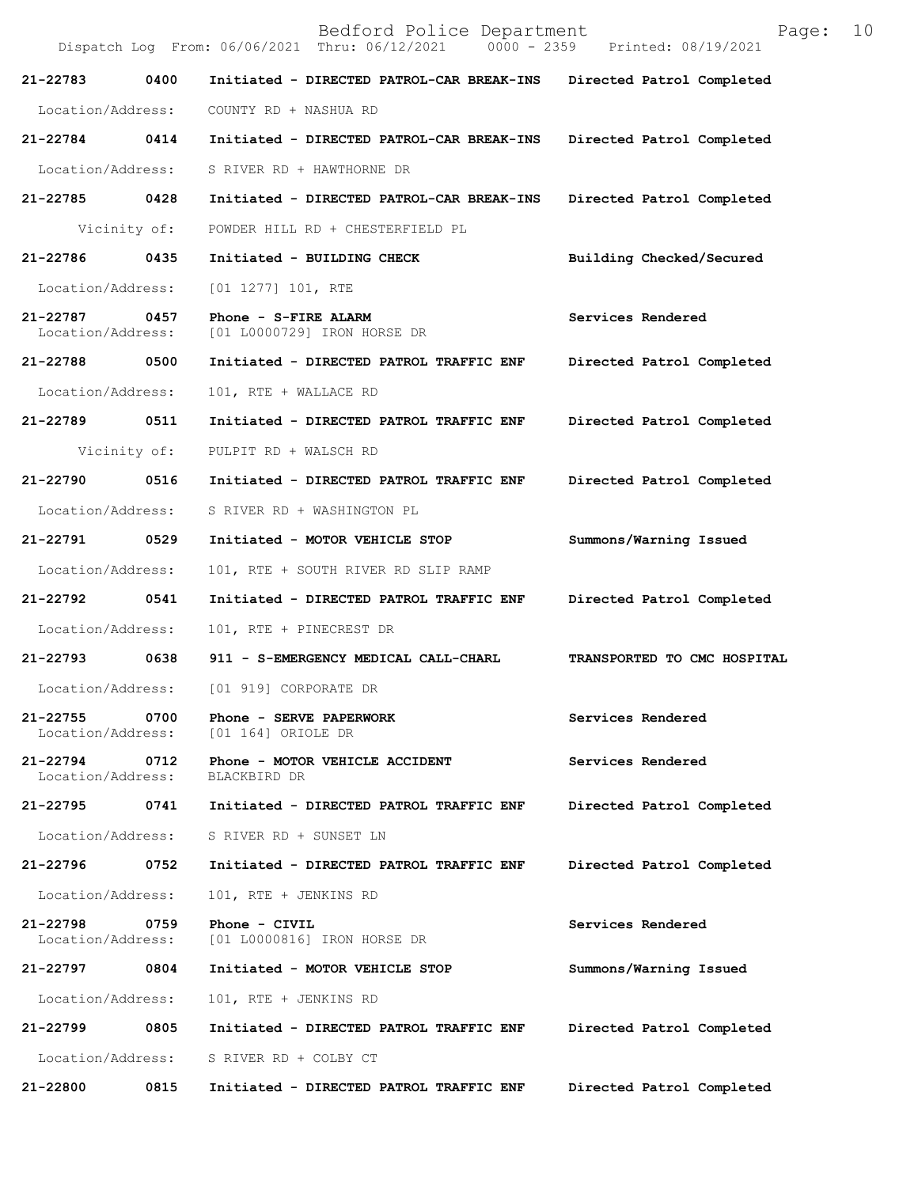Bedford Police Department Page: 10 Dispatch Log From: 06/06/2021 Thru: 06/12/2021 **21-22783 0400 Initiated - DIRECTED PATROL-CAR BREAK-INS Directed Patrol Completed**  Location/Address: COUNTY RD + NASHUA RD **21-22784 0414 Initiated - DIRECTED PATROL-CAR BREAK-INS Directed Patrol Completed**  Location/Address: S RIVER RD + HAWTHORNE DR **21-22785 0428 Initiated - DIRECTED PATROL-CAR BREAK-INS Directed Patrol Completed**  Vicinity of: POWDER HILL RD + CHESTERFIELD PL **21-22786 0435 Initiated - BUILDING CHECK Building Checked/Secured**  Location/Address: [01 1277] 101, RTE **21-22787 0457 Phone - S-FIRE ALARM Services Rendered**  Location/Address: [01 L0000729] IRON HORSE DR **21-22788 0500 Initiated - DIRECTED PATROL TRAFFIC ENF Directed Patrol Completed**  Location/Address: 101, RTE + WALLACE RD **21-22789 0511 Initiated - DIRECTED PATROL TRAFFIC ENF Directed Patrol Completed**  Vicinity of: PULPIT RD + WALSCH RD **21-22790 0516 Initiated - DIRECTED PATROL TRAFFIC ENF Directed Patrol Completed**  Location/Address: S RIVER RD + WASHINGTON PL **21-22791 0529 Initiated - MOTOR VEHICLE STOP Summons/Warning Issued**  Location/Address: 101, RTE + SOUTH RIVER RD SLIP RAMP **21-22792 0541 Initiated - DIRECTED PATROL TRAFFIC ENF Directed Patrol Completed**  Location/Address: 101, RTE + PINECREST DR **21-22793 0638 911 - S-EMERGENCY MEDICAL CALL-CHARL TRANSPORTED TO CMC HOSPITAL**  Location/Address: [01 919] CORPORATE DR **21-22755 0700 Phone - SERVE PAPERWORK 6 8 Services Rendered Location/Address:** [01 164] ORIOLE DR [01 164] ORIOLE DR 21-22794 0712 Phone - MOTOR VEHICLE ACCIDENT **Services Rendered Location/Address:** BLACKBIRD DR Location/Address: **21-22795 0741 Initiated - DIRECTED PATROL TRAFFIC ENF Directed Patrol Completed**  Location/Address: S RIVER RD + SUNSET LN **21-22796 0752 Initiated - DIRECTED PATROL TRAFFIC ENF Directed Patrol Completed**  Location/Address: 101, RTE + JENKINS RD **21-22798 0759 Phone - CIVIL Services Rendered**  Location/Address: [01 L0000816] IRON HORSE DR **21-22797 0804 Initiated - MOTOR VEHICLE STOP Summons/Warning Issued**  Location/Address: 101, RTE + JENKINS RD **21-22799 0805 Initiated - DIRECTED PATROL TRAFFIC ENF Directed Patrol Completed**  Location/Address: S RIVER RD + COLBY CT **21-22800 0815 Initiated - DIRECTED PATROL TRAFFIC ENF Directed Patrol Completed**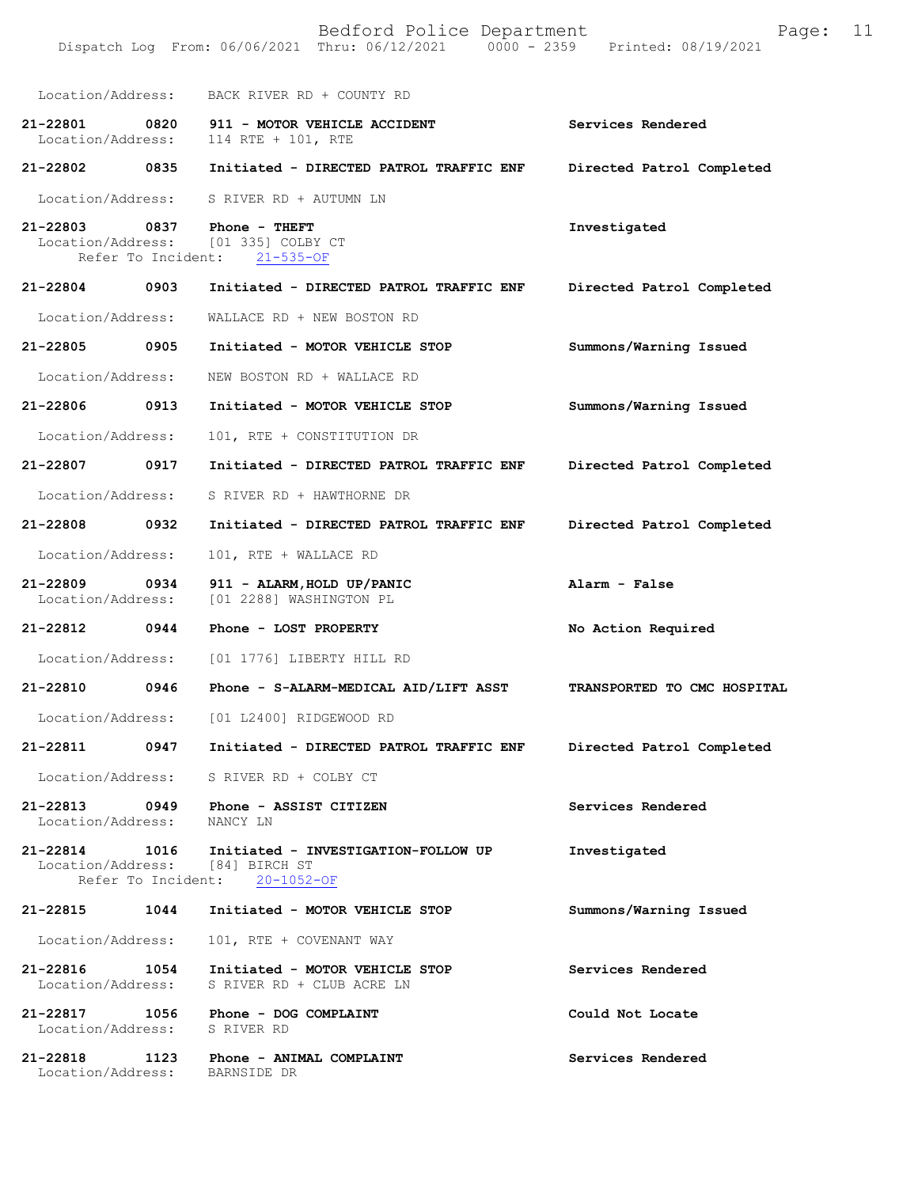|                                           |      | Bedford Police Department<br>Dispatch Log From: 06/06/2021 Thru: 06/12/2021 0000 - 2359 Printed: 08/19/2021 | Page:                       | 11 |
|-------------------------------------------|------|-------------------------------------------------------------------------------------------------------------|-----------------------------|----|
|                                           |      | Location/Address: BACK RIVER RD + COUNTY RD                                                                 |                             |    |
| 21-22801<br>0820<br>Location/Address:     |      | 911 - MOTOR VEHICLE ACCIDENT<br>114 RTE + 101, RTE                                                          | Services Rendered           |    |
| 21-22802 0835                             |      | Initiated - DIRECTED PATROL TRAFFIC ENF                                                                     | Directed Patrol Completed   |    |
| Location/Address:                         |      | S RIVER RD + AUTUMN LN                                                                                      |                             |    |
|                                           |      | 21-22803 0837 Phone - THEFT<br>Location/Address: [01 335] COLBY CT<br>Refer To Incident: 21-535-OF          | Investigated                |    |
| 21-22804 0903                             |      | Initiated - DIRECTED PATROL TRAFFIC ENF                                                                     | Directed Patrol Completed   |    |
| Location/Address:                         |      | WALLACE RD + NEW BOSTON RD                                                                                  |                             |    |
| 21-22805                                  | 0905 | Initiated - MOTOR VEHICLE STOP                                                                              | Summons/Warning Issued      |    |
| Location/Address:                         |      | NEW BOSTON RD + WALLACE RD                                                                                  |                             |    |
| 21-22806                                  | 0913 | Initiated - MOTOR VEHICLE STOP                                                                              | Summons/Warning Issued      |    |
| Location/Address:                         |      | 101, RTE + CONSTITUTION DR                                                                                  |                             |    |
| 21-22807 0917                             |      | Initiated - DIRECTED PATROL TRAFFIC ENF                                                                     | Directed Patrol Completed   |    |
| Location/Address:                         |      | S RIVER RD + HAWTHORNE DR                                                                                   |                             |    |
| 21-22808                                  | 0932 | Initiated - DIRECTED PATROL TRAFFIC ENF                                                                     | Directed Patrol Completed   |    |
| Location/Address:                         |      | 101, RTE + WALLACE RD                                                                                       |                             |    |
| 21-22809<br>Location/Address:             | 0934 | 911 - ALARM, HOLD UP/PANIC<br>[01 2288] WASHINGTON PL                                                       | Alarm - False               |    |
| 21-22812 0944                             |      | Phone - LOST PROPERTY                                                                                       | No Action Required          |    |
| Location/Address:                         |      | [01 1776] LIBERTY HILL RD                                                                                   |                             |    |
| 21-22810                                  | 0946 | Phone - S-ALARM-MEDICAL AID/LIFT ASST                                                                       | TRANSPORTED TO CMC HOSPITAL |    |
|                                           |      | Location/Address: [01 L2400] RIDGEWOOD RD                                                                   |                             |    |
| 21-22811                                  |      | 0947 Initiated - DIRECTED PATROL TRAFFIC ENF                                                                | Directed Patrol Completed   |    |
| Location/Address:                         |      | S RIVER RD + COLBY CT                                                                                       |                             |    |
| Location/Address: NANCY LN                |      | 21-22813 0949 Phone - ASSIST CITIZEN                                                                        | Services Rendered           |    |
| Refer To Incident:                        |      | 21-22814 1016 Initiated - INVESTIGATION-FOLLOW UP<br>Location/Address: [84] BIRCH ST<br>$20 - 1052 - OF$    | Investigated                |    |
| 21-22815                                  | 1044 | Initiated - MOTOR VEHICLE STOP                                                                              | Summons/Warning Issued      |    |
| Location/Address:                         |      | 101, RTE + COVENANT WAY                                                                                     |                             |    |
| 21-22816<br>Location/Address:             | 1054 | Initiated - MOTOR VEHICLE STOP<br>S RIVER RD + CLUB ACRE LN                                                 | Services Rendered           |    |
| Location/Address: S RIVER RD              |      | 21-22817 1056 Phone - DOG COMPLAINT                                                                         | Could Not Locate            |    |
| 21-22818<br>Location/Address: BARNSIDE DR |      | 1123 Phone - ANIMAL COMPLAINT                                                                               | Services Rendered           |    |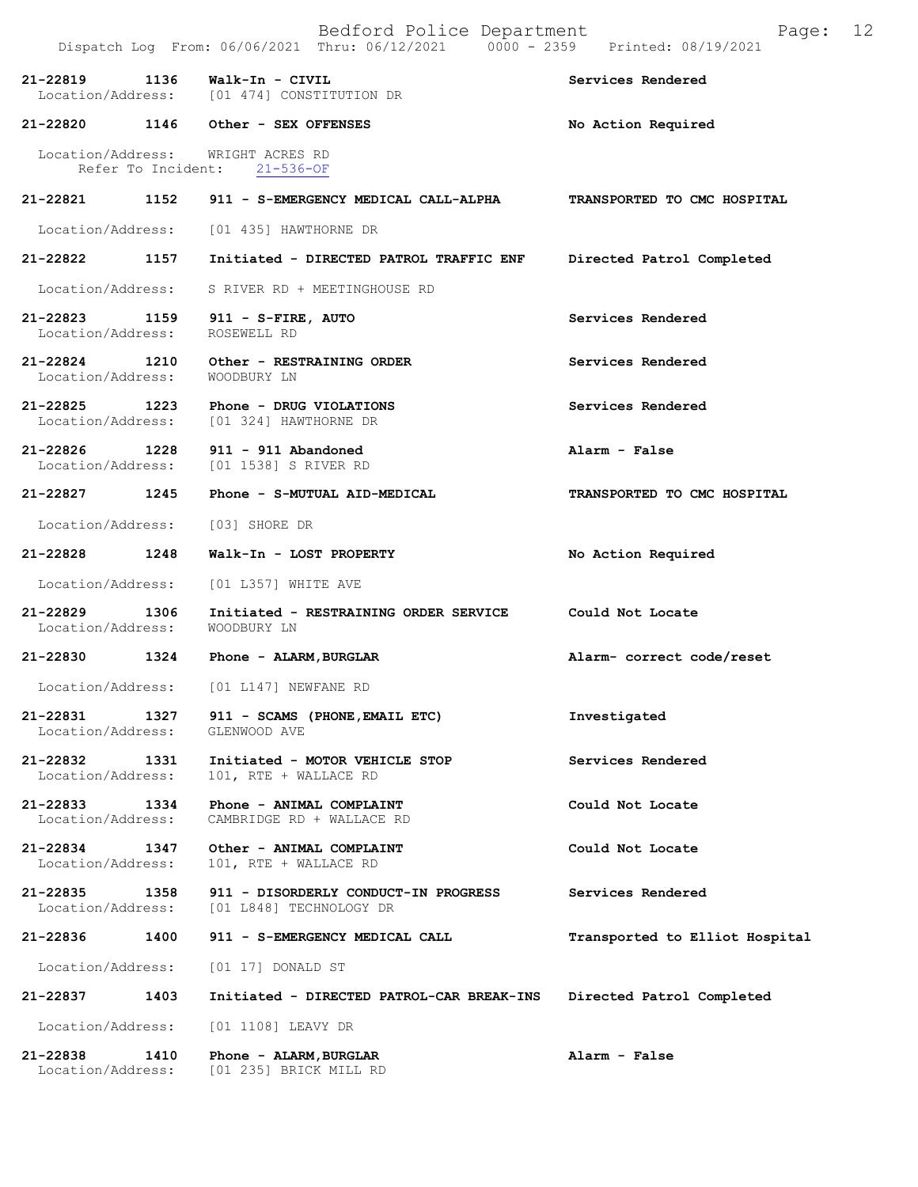|                                    |                    | Dispatch Log From: 06/06/2021 Thru: 06/12/2021 0000 - 2359 Printed: 08/19/2021 |                                |
|------------------------------------|--------------------|--------------------------------------------------------------------------------|--------------------------------|
| 21-22819                           | 1136               | Walk-In - CIVIL<br>Location/Address: [01 474] CONSTITUTION DR                  | Services Rendered              |
|                                    |                    | 21-22820 1146 Other - SEX OFFENSES                                             | No Action Required             |
|                                    | Refer To Incident: | Location/Address: WRIGHT ACRES RD<br>$21 - 536 - OF$                           |                                |
| 21-22821                           |                    | 1152 911 - S-EMERGENCY MEDICAL CALL-ALPHA TRANSPORTED TO CMC HOSPITAL          |                                |
|                                    |                    | Location/Address: [01 435] HAWTHORNE DR                                        |                                |
| 21-22822                           | 1157               | Initiated - DIRECTED PATROL TRAFFIC ENF                                        | Directed Patrol Completed      |
| Location/Address:                  |                    | S RIVER RD + MEETINGHOUSE RD                                                   |                                |
| 21-22823 1159<br>Location/Address: |                    | 911 - S-FIRE, AUTO<br>ROSEWELL RD                                              | Services Rendered              |
| Location/Address:                  |                    | 21-22824 1210 Other - RESTRAINING ORDER<br>WOODBURY LN                         | Services Rendered              |
| $21 - 22825$                       | 1223               | Phone - DRUG VIOLATIONS<br>Location/Address: [01 324] HAWTHORNE DR             | Services Rendered              |
| 21-22826 1228                      |                    | 911 - 911 Abandoned<br>Location/Address: [01 1538] S RIVER RD                  | Alarm - False                  |
| 21-22827                           | 1245               | Phone - S-MUTUAL AID-MEDICAL                                                   | TRANSPORTED TO CMC HOSPITAL    |
| Location/Address:                  |                    | [03] SHORE DR                                                                  |                                |
| 21-22828 1248                      |                    | Walk-In - LOST PROPERTY                                                        | No Action Required             |
| Location/Address:                  |                    | [01 L357] WHITE AVE                                                            |                                |
| 21-22829<br>Location/Address:      | 1306               | Initiated - RESTRAINING ORDER SERVICE Could Not Locate<br>WOODBURY LN          |                                |
| 21-22830                           |                    | 1324 Phone - ALARM, BURGLAR                                                    | Alarm- correct code/reset      |
|                                    |                    | Location/Address: [01 L147] NEWFANE RD                                         |                                |
| Location/Address:                  |                    | 21-22831 1327 911 - SCAMS (PHONE, EMAIL ETC)<br>GLENWOOD AVE                   | Investigated                   |
| 21-22832<br>Location/Address:      | 1331               | Initiated - MOTOR VEHICLE STOP<br>101, RTE + WALLACE RD                        | Services Rendered              |
| 21-22833<br>Location/Address:      | 1334               | Phone - ANIMAL COMPLAINT<br>CAMBRIDGE RD + WALLACE RD                          | Could Not Locate               |
| $21 - 22834$<br>Location/Address:  | 1347               | Other - ANIMAL COMPLAINT<br>101, RTE + WALLACE RD                              | Could Not Locate               |
| 21-22835<br>Location/Address:      | 1358               | 911 - DISORDERLY CONDUCT-IN PROGRESS<br>[01 L848] TECHNOLOGY DR                | Services Rendered              |
| 21-22836                           | 1400               | 911 - S-EMERGENCY MEDICAL CALL                                                 | Transported to Elliot Hospital |
| Location/Address:                  |                    | [01 17] DONALD ST                                                              |                                |
| 21-22837                           | 1403               | Initiated - DIRECTED PATROL-CAR BREAK-INS                                      | Directed Patrol Completed      |
| Location/Address:                  |                    | [01 1108] LEAVY DR                                                             |                                |
| 21-22838<br>Location/Address:      | 1410               | Phone - ALARM, BURGLAR<br>[01 235] BRICK MILL RD                               | Alarm - False                  |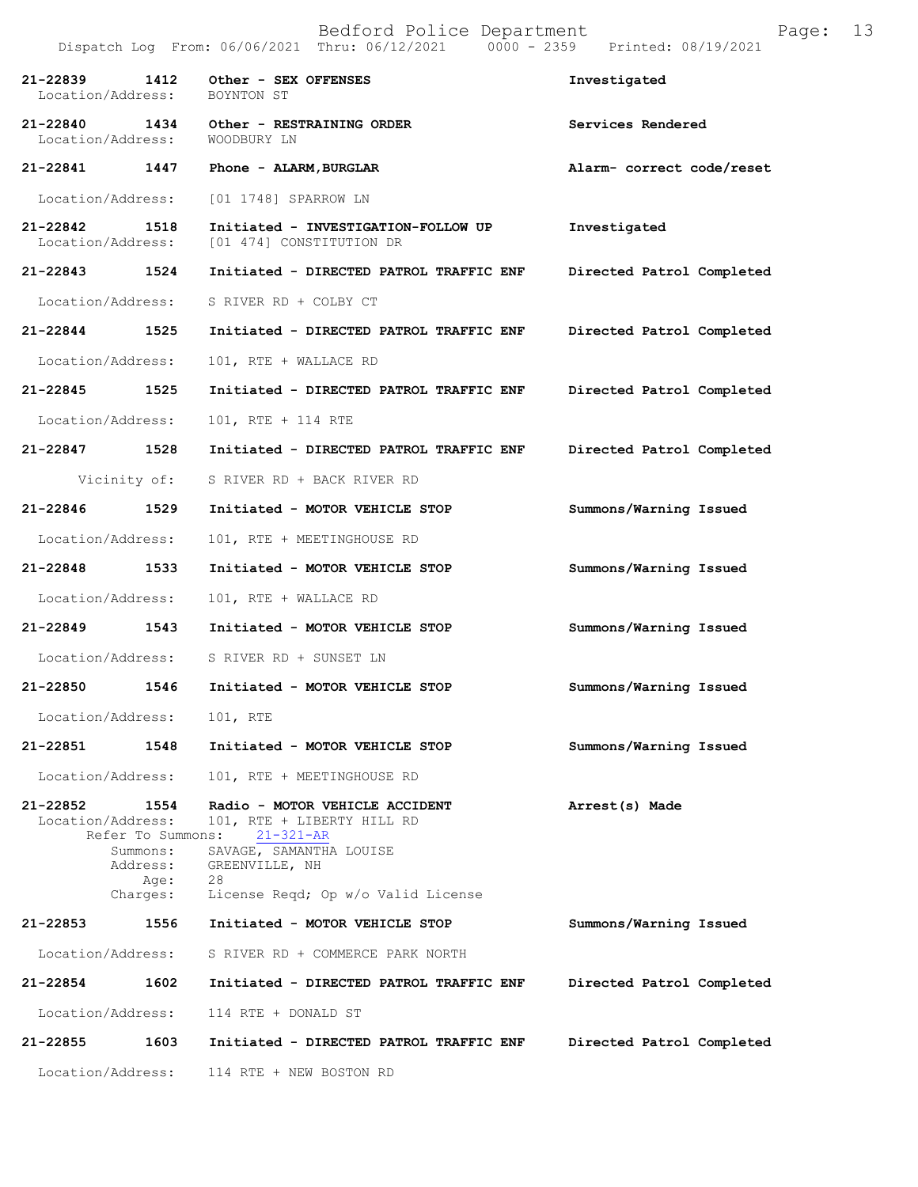|                                       |                                                                       | Dispatch Log From: 06/06/2021 Thru: 06/12/2021                                                                                                                           | 0000 - 2359 Printed: 08/19/2021 |
|---------------------------------------|-----------------------------------------------------------------------|--------------------------------------------------------------------------------------------------------------------------------------------------------------------------|---------------------------------|
| 21-22839<br>1412<br>Location/Address: |                                                                       | Other - SEX OFFENSES<br>BOYNTON ST                                                                                                                                       | Investigated                    |
| 21-22840 1434<br>Location/Address:    |                                                                       | Other - RESTRAINING ORDER<br>WOODBURY LN                                                                                                                                 | Services Rendered               |
| 21-22841 1447                         |                                                                       | Phone - ALARM, BURGLAR                                                                                                                                                   | Alarm- correct code/reset       |
| Location/Address:                     |                                                                       | [01 1748] SPARROW LN                                                                                                                                                     |                                 |
| 21-22842 1518<br>Location/Address:    |                                                                       | Initiated - INVESTIGATION-FOLLOW UP<br>[01 474] CONSTITUTION DR                                                                                                          | Investigated                    |
| 21-22843 1524                         |                                                                       | Initiated - DIRECTED PATROL TRAFFIC ENF                                                                                                                                  | Directed Patrol Completed       |
| Location/Address:                     |                                                                       | S RIVER RD + COLBY CT                                                                                                                                                    |                                 |
| 21-22844 1525                         |                                                                       | Initiated - DIRECTED PATROL TRAFFIC ENF                                                                                                                                  | Directed Patrol Completed       |
| Location/Address:                     |                                                                       | 101, RTE + WALLACE RD                                                                                                                                                    |                                 |
| 21-22845 1525                         |                                                                       | Initiated - DIRECTED PATROL TRAFFIC ENF                                                                                                                                  | Directed Patrol Completed       |
| Location/Address:                     |                                                                       | 101, RTE + 114 RTE                                                                                                                                                       |                                 |
| 21-22847 1528                         |                                                                       | Initiated - DIRECTED PATROL TRAFFIC ENF                                                                                                                                  | Directed Patrol Completed       |
| Vicinity of:                          |                                                                       | S RIVER RD + BACK RIVER RD                                                                                                                                               |                                 |
| 21-22846 1529                         |                                                                       | Initiated - MOTOR VEHICLE STOP                                                                                                                                           | Summons/Warning Issued          |
| Location/Address:                     |                                                                       | 101, RTE + MEETINGHOUSE RD                                                                                                                                               |                                 |
| 21-22848 1533                         |                                                                       | Initiated - MOTOR VEHICLE STOP                                                                                                                                           | Summons/Warning Issued          |
| Location/Address:                     |                                                                       | 101, RTE + WALLACE RD                                                                                                                                                    |                                 |
| 21-22849 1543                         |                                                                       | Initiated - MOTOR VEHICLE STOP                                                                                                                                           | Summons/Warning Issued          |
| Location/Address:                     |                                                                       | S RIVER RD + SUNSET LN                                                                                                                                                   |                                 |
| 21-22850 1546                         |                                                                       | Initiated - MOTOR VEHICLE STOP                                                                                                                                           | Summons/Warning Issued          |
| Location/Address:                     |                                                                       | 101, RTE                                                                                                                                                                 |                                 |
| 21-22851                              | 1548                                                                  | Initiated - MOTOR VEHICLE STOP                                                                                                                                           | Summons/Warning Issued          |
| Location/Address:                     |                                                                       | 101, RTE + MEETINGHOUSE RD                                                                                                                                               |                                 |
| 21-22852<br>Location/Address:         | 1554<br>Refer To Summons:<br>Summons:<br>Address:<br>Age:<br>Charges: | Radio - MOTOR VEHICLE ACCIDENT<br>101, RTE + LIBERTY HILL RD<br>$21 - 321 - AR$<br>SAVAGE, SAMANTHA LOUISE<br>GREENVILLE, NH<br>28<br>License Reqd; Op w/o Valid License | Arrest(s) Made                  |
| 21-22853                              | 1556                                                                  | Initiated - MOTOR VEHICLE STOP                                                                                                                                           | Summons/Warning Issued          |
| Location/Address:                     |                                                                       | S RIVER RD + COMMERCE PARK NORTH                                                                                                                                         |                                 |
| 21-22854                              | 1602                                                                  | Initiated - DIRECTED PATROL TRAFFIC ENF                                                                                                                                  | Directed Patrol Completed       |
| Location/Address:                     |                                                                       | 114 RTE + DONALD ST                                                                                                                                                      |                                 |
| 21-22855                              | 1603                                                                  | Initiated - DIRECTED PATROL TRAFFIC ENF                                                                                                                                  | Directed Patrol Completed       |
| Location/Address:                     |                                                                       | 114 RTE + NEW BOSTON RD                                                                                                                                                  |                                 |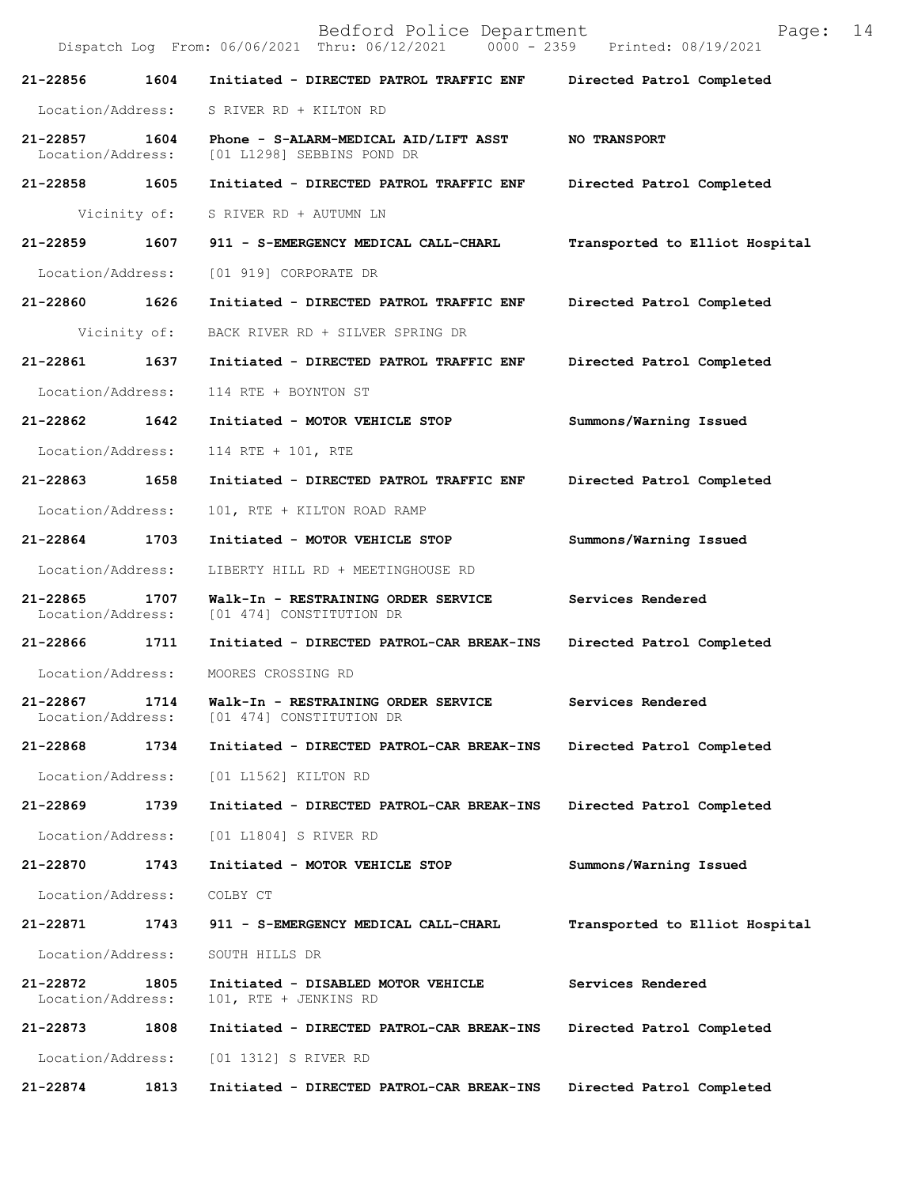|                               |              | Bedford Police Department<br>Dispatch Log From: 06/06/2021 Thru: 06/12/2021 0000 - 2359 Printed: 08/19/2021 | 14<br>Page:                    |
|-------------------------------|--------------|-------------------------------------------------------------------------------------------------------------|--------------------------------|
| 21-22856                      | 1604         | Initiated - DIRECTED PATROL TRAFFIC ENF                                                                     | Directed Patrol Completed      |
| Location/Address:             |              | S RIVER RD + KILTON RD                                                                                      |                                |
| 21-22857<br>Location/Address: | 1604         | Phone - S-ALARM-MEDICAL AID/LIFT ASST<br>[01 L1298] SEBBINS POND DR                                         | <b>NO TRANSPORT</b>            |
| 21-22858                      | 1605         | Initiated - DIRECTED PATROL TRAFFIC ENF                                                                     | Directed Patrol Completed      |
|                               | Vicinity of: | S RIVER RD + AUTUMN LN                                                                                      |                                |
| 21-22859                      | 1607         | 911 - S-EMERGENCY MEDICAL CALL-CHARL                                                                        | Transported to Elliot Hospital |
| Location/Address:             |              | [01 919] CORPORATE DR                                                                                       |                                |
| 21-22860 1626                 |              | Initiated - DIRECTED PATROL TRAFFIC ENF                                                                     | Directed Patrol Completed      |
|                               | Vicinity of: | BACK RIVER RD + SILVER SPRING DR                                                                            |                                |
| 21-22861                      | 1637         | Initiated - DIRECTED PATROL TRAFFIC ENF                                                                     | Directed Patrol Completed      |
| Location/Address:             |              | 114 RTE + BOYNTON ST                                                                                        |                                |
| 21-22862                      | 1642         | Initiated - MOTOR VEHICLE STOP                                                                              | Summons/Warning Issued         |
| Location/Address:             |              | 114 RTE + 101, RTE                                                                                          |                                |
| 21-22863                      | 1658         | Initiated - DIRECTED PATROL TRAFFIC ENF                                                                     | Directed Patrol Completed      |
| Location/Address:             |              | 101, RTE + KILTON ROAD RAMP                                                                                 |                                |
| 21-22864                      | 1703         | Initiated - MOTOR VEHICLE STOP                                                                              | Summons/Warning Issued         |
| Location/Address:             |              | LIBERTY HILL RD + MEETINGHOUSE RD                                                                           |                                |
| 21-22865<br>Location/Address: | 1707         | Walk-In - RESTRAINING ORDER SERVICE<br>[01 474] CONSTITUTION DR                                             | Services Rendered              |
| 21-22866                      | 1711         | Initiated - DIRECTED PATROL-CAR BREAK-INS                                                                   | Directed Patrol Completed      |
| Location/Address:             |              | MOORES CROSSING RD                                                                                          |                                |
| 21-22867<br>Location/Address: | 1714         | Walk-In - RESTRAINING ORDER SERVICE<br>[01 474] CONSTITUTION DR                                             | Services Rendered              |
| 21-22868                      | 1734         | Initiated - DIRECTED PATROL-CAR BREAK-INS                                                                   | Directed Patrol Completed      |
| Location/Address:             |              | [01 L1562] KILTON RD                                                                                        |                                |
| $21 - 22869$                  | 1739         | Initiated - DIRECTED PATROL-CAR BREAK-INS                                                                   | Directed Patrol Completed      |
| Location/Address:             |              | [01 L1804] S RIVER RD                                                                                       |                                |
| 21-22870                      | 1743         | Initiated - MOTOR VEHICLE STOP                                                                              | Summons/Warning Issued         |
| Location/Address:             |              | COLBY CT                                                                                                    |                                |
| 21-22871                      | 1743         | 911 - S-EMERGENCY MEDICAL CALL-CHARL                                                                        | Transported to Elliot Hospital |
| Location/Address:             |              | SOUTH HILLS DR                                                                                              |                                |
| 21-22872<br>Location/Address: | 1805         | Initiated - DISABLED MOTOR VEHICLE<br>101, RTE + JENKINS RD                                                 | Services Rendered              |
| 21-22873                      | 1808         | Initiated - DIRECTED PATROL-CAR BREAK-INS                                                                   | Directed Patrol Completed      |
| Location/Address:             |              | [01 1312] S RIVER RD                                                                                        |                                |
| 21-22874                      | 1813         | Initiated - DIRECTED PATROL-CAR BREAK-INS                                                                   | Directed Patrol Completed      |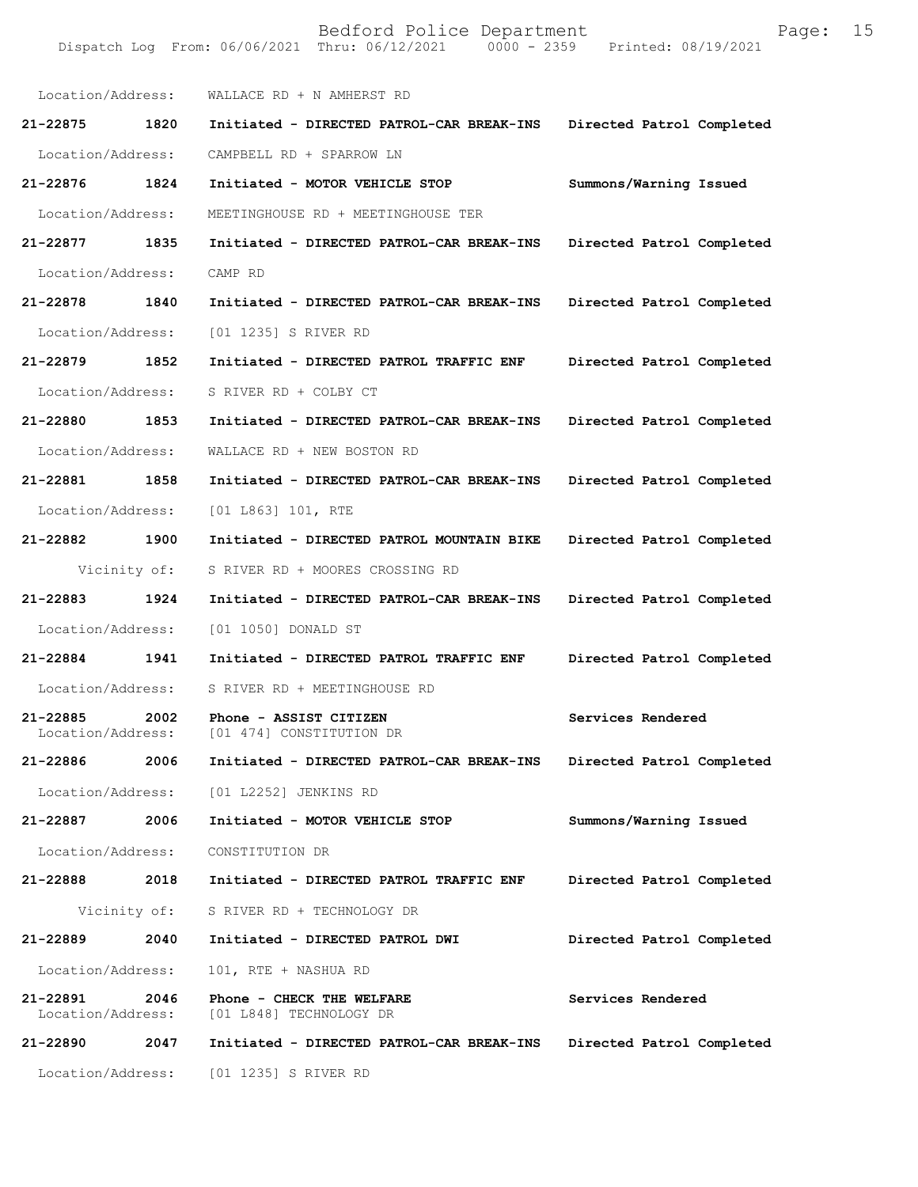| Location/Address:             |              | WALLACE RD + N AMHERST RD                            |                           |
|-------------------------------|--------------|------------------------------------------------------|---------------------------|
| 21-22875 1820                 |              | Initiated - DIRECTED PATROL-CAR BREAK-INS            | Directed Patrol Completed |
| Location/Address:             |              | CAMPBELL RD + SPARROW LN                             |                           |
| 21-22876 1824                 |              | Initiated - MOTOR VEHICLE STOP                       | Summons/Warning Issued    |
| Location/Address:             |              | MEETINGHOUSE RD + MEETINGHOUSE TER                   |                           |
| 21-22877                      | 1835         | Initiated - DIRECTED PATROL-CAR BREAK-INS            | Directed Patrol Completed |
| Location/Address:             |              | CAMP RD                                              |                           |
| 21-22878                      | 1840         | Initiated - DIRECTED PATROL-CAR BREAK-INS            | Directed Patrol Completed |
| Location/Address:             |              | [01 1235] S RIVER RD                                 |                           |
| 21-22879 1852                 |              | Initiated - DIRECTED PATROL TRAFFIC ENF              | Directed Patrol Completed |
| Location/Address:             |              | S RIVER RD + COLBY CT                                |                           |
| 21-22880 1853                 |              | Initiated - DIRECTED PATROL-CAR BREAK-INS            | Directed Patrol Completed |
| Location/Address:             |              | WALLACE RD + NEW BOSTON RD                           |                           |
| 21-22881 1858                 |              | Initiated - DIRECTED PATROL-CAR BREAK-INS            | Directed Patrol Completed |
| Location/Address:             |              | [01 L863] 101, RTE                                   |                           |
| 21-22882                      | 1900         | Initiated - DIRECTED PATROL MOUNTAIN BIKE            | Directed Patrol Completed |
| Vicinity of:                  |              | S RIVER RD + MOORES CROSSING RD                      |                           |
| 21-22883                      | 1924         | Initiated - DIRECTED PATROL-CAR BREAK-INS            | Directed Patrol Completed |
| Location/Address:             |              | [01 1050] DONALD ST                                  |                           |
|                               |              |                                                      |                           |
| 21-22884 1941                 |              | Initiated - DIRECTED PATROL TRAFFIC ENF              | Directed Patrol Completed |
| Location/Address:             |              | S RIVER RD + MEETINGHOUSE RD                         |                           |
| 21-22885<br>Location/Address: | 2002         | Phone - ASSIST CITIZEN<br>[01 474] CONSTITUTION DR   | Services Rendered         |
| 21-22886                      | 2006         | Initiated - DIRECTED PATROL-CAR BREAK-INS            | Directed Patrol Completed |
|                               |              | Location/Address: [01 L2252] JENKINS RD              |                           |
| 21-22887 2006                 |              | Initiated - MOTOR VEHICLE STOP                       | Summons/Warning Issued    |
| Location/Address:             |              | CONSTITUTION DR                                      |                           |
| 21-22888 2018                 |              | Initiated - DIRECTED PATROL TRAFFIC ENF              | Directed Patrol Completed |
|                               | Vicinity of: | S RIVER RD + TECHNOLOGY DR                           |                           |
| 21-22889                      | 2040         | Initiated - DIRECTED PATROL DWI                      | Directed Patrol Completed |
| Location/Address:             |              | 101, RTE + NASHUA RD                                 |                           |
| 21-22891<br>Location/Address: | 2046         | Phone - CHECK THE WELFARE<br>[01 L848] TECHNOLOGY DR | Services Rendered         |
| 21-22890                      | 2047         | Initiated - DIRECTED PATROL-CAR BREAK-INS            | Directed Patrol Completed |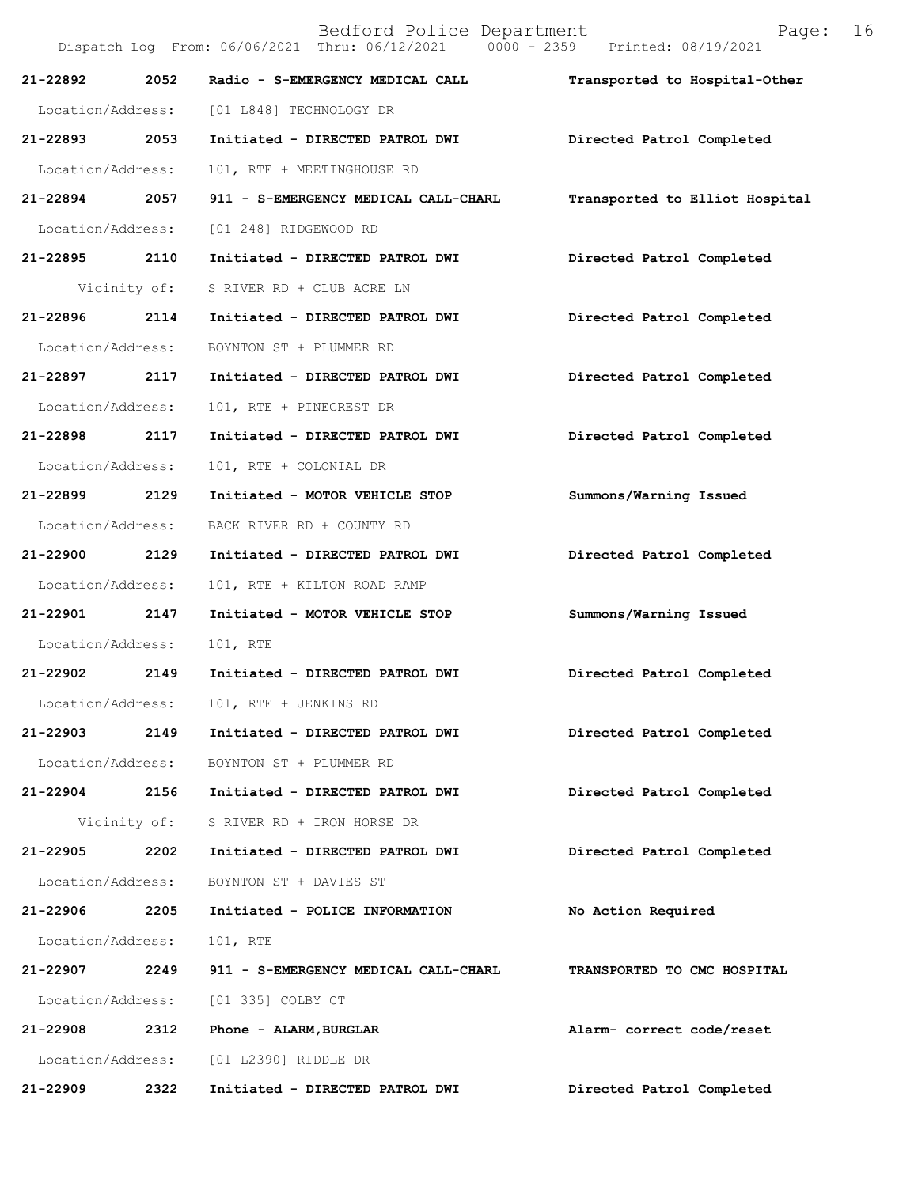| 21-22892          | 2052         | Radio - S-EMERGENCY MEDICAL CALL          | Transported to Hospital-Other  |
|-------------------|--------------|-------------------------------------------|--------------------------------|
|                   |              | Location/Address: [01 L848] TECHNOLOGY DR |                                |
| 21-22893 2053     |              | Initiated - DIRECTED PATROL DWI           | Directed Patrol Completed      |
| Location/Address: |              | 101, RTE + MEETINGHOUSE RD                |                                |
| 21-22894 2057     |              | 911 - S-EMERGENCY MEDICAL CALL-CHARL      | Transported to Elliot Hospital |
| Location/Address: |              | [01 248] RIDGEWOOD RD                     |                                |
| 21-22895 2110     |              | Initiated - DIRECTED PATROL DWI           | Directed Patrol Completed      |
|                   | Vicinity of: | S RIVER RD + CLUB ACRE LN                 |                                |
| 21-22896 2114     |              | Initiated - DIRECTED PATROL DWI           | Directed Patrol Completed      |
| Location/Address: |              | BOYNTON ST + PLUMMER RD                   |                                |
| 21-22897 2117     |              | Initiated - DIRECTED PATROL DWI           | Directed Patrol Completed      |
| Location/Address: |              | 101, RTE + PINECREST DR                   |                                |
| 21-22898 2117     |              | Initiated - DIRECTED PATROL DWI           | Directed Patrol Completed      |
| Location/Address: |              | 101, RTE + COLONIAL DR                    |                                |
| 21-22899 2129     |              | Initiated - MOTOR VEHICLE STOP            | Summons/Warning Issued         |
| Location/Address: |              | BACK RIVER RD + COUNTY RD                 |                                |
| 21-22900 2129     |              | Initiated - DIRECTED PATROL DWI           | Directed Patrol Completed      |
| Location/Address: |              | 101, RTE + KILTON ROAD RAMP               |                                |
| 21-22901 2147     |              | Initiated - MOTOR VEHICLE STOP            | Summons/Warning Issued         |
| Location/Address: |              | 101, RTE                                  |                                |
| 21-22902 2149     |              | Initiated - DIRECTED PATROL DWI           | Directed Patrol Completed      |
| Location/Address: |              | 101, RTE + JENKINS RD                     |                                |
| 21-22903          | 2149         | Initiated - DIRECTED PATROL DWI           | Directed Patrol Completed      |
| Location/Address: |              | BOYNTON ST + PLUMMER RD                   |                                |
| 21-22904 2156     |              | Initiated - DIRECTED PATROL DWI           | Directed Patrol Completed      |
|                   | Vicinity of: | S RIVER RD + IRON HORSE DR                |                                |
| 21-22905          | 2202         | Initiated - DIRECTED PATROL DWI           | Directed Patrol Completed      |
| Location/Address: |              | BOYNTON ST + DAVIES ST                    |                                |
| 21-22906          | 2205         | Initiated - POLICE INFORMATION            | No Action Required             |
| Location/Address: |              | 101, RTE                                  |                                |
| 21-22907          | 2249         | 911 - S-EMERGENCY MEDICAL CALL-CHARL      | TRANSPORTED TO CMC HOSPITAL    |
|                   |              | Location/Address: [01 335] COLBY CT       |                                |
| 21-22908          | 2312         | Phone - ALARM, BURGLAR                    | Alarm- correct code/reset      |
|                   |              | Location/Address: [01 L2390] RIDDLE DR    |                                |
| 21-22909          | 2322         | Initiated - DIRECTED PATROL DWI           | Directed Patrol Completed      |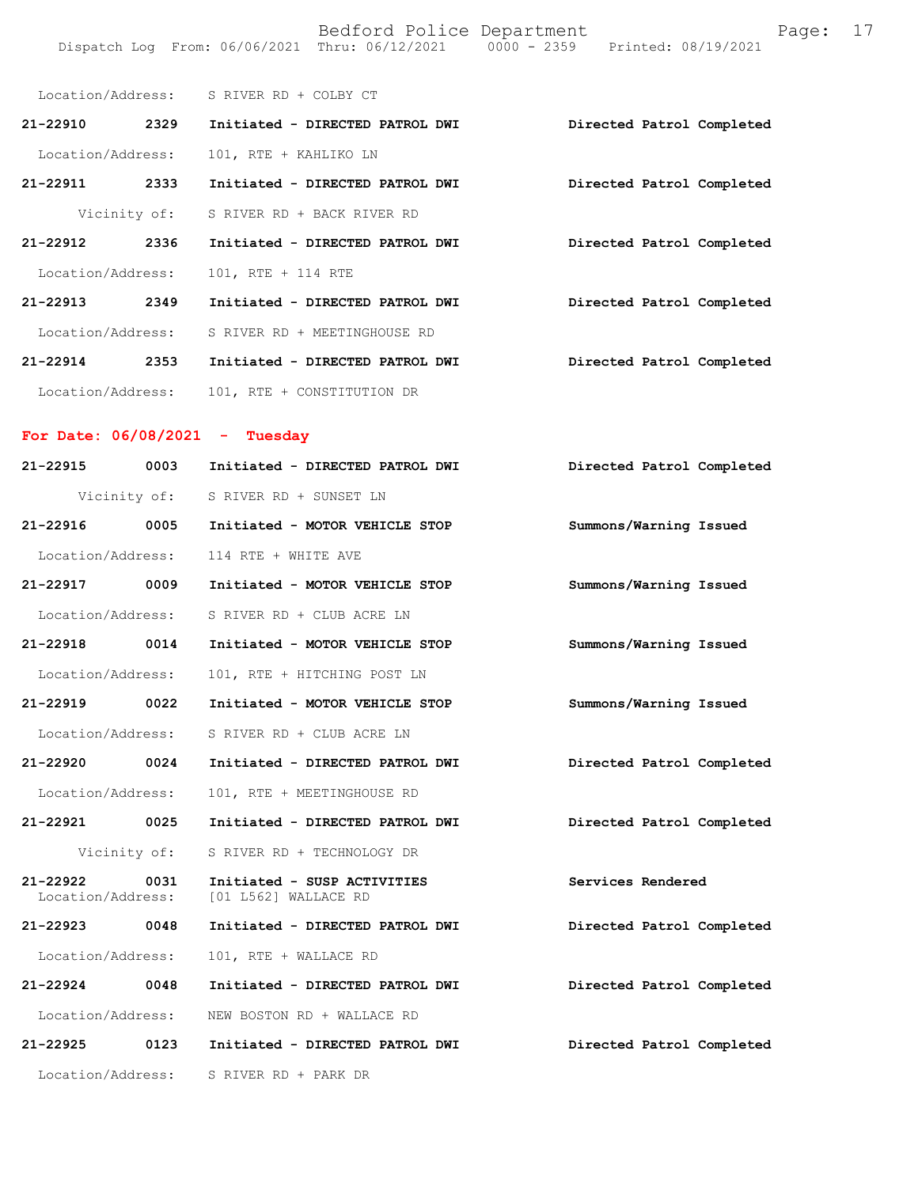| Location/Address: |              | S RIVER RD + COLBY CT           |                           |
|-------------------|--------------|---------------------------------|---------------------------|
| $21 - 22910$      | 2329         | Initiated - DIRECTED PATROL DWI | Directed Patrol Completed |
| Location/Address: |              | 101, RTE + KAHLIKO LN           |                           |
| 21-22911          | 2333         | Initiated - DIRECTED PATROL DWI | Directed Patrol Completed |
|                   | Vicinity of: | S RIVER RD + BACK RIVER RD      |                           |
| 21-22912          | 2336         | Initiated - DIRECTED PATROL DWI | Directed Patrol Completed |
| Location/Address: |              | 101, RTE + 114 RTE              |                           |
| $21 - 22913$      | 2349         | Initiated - DIRECTED PATROL DWI | Directed Patrol Completed |
| Location/Address: |              | S RIVER RD + MEETINGHOUSE RD    |                           |
| $21 - 22914$      | 2353         | Initiated - DIRECTED PATROL DWI | Directed Patrol Completed |
| Location/Address: |              | 101, RTE + CONSTITUTION DR      |                           |

## **For Date: 06/08/2021 - Tuesday**

| 21-22915 0003     |              | Initiated - DIRECTED PATROL DWI                                       | Directed Patrol Completed |
|-------------------|--------------|-----------------------------------------------------------------------|---------------------------|
|                   |              | Vicinity of: S RIVER RD + SUNSET LN                                   |                           |
| 21-22916 0005     |              | Initiated - MOTOR VEHICLE STOP                                        | Summons/Warning Issued    |
| Location/Address: |              | 114 RTE + WHITE AVE                                                   |                           |
| 21-22917 0009     |              | Initiated - MOTOR VEHICLE STOP                                        | Summons/Warning Issued    |
| Location/Address: |              | S RIVER RD + CLUB ACRE LN                                             |                           |
| 21-22918 0014     |              | Initiated - MOTOR VEHICLE STOP                                        | Summons/Warning Issued    |
| Location/Address: |              | 101, RTE + HITCHING POST LN                                           |                           |
| 21-22919 0022     |              | Initiated - MOTOR VEHICLE STOP                                        | Summons/Warning Issued    |
| Location/Address: |              | S RIVER RD + CLUB ACRE LN                                             |                           |
| 21-22920 0024     |              | Initiated - DIRECTED PATROL DWI                                       | Directed Patrol Completed |
| Location/Address: |              | 101, RTE + MEETINGHOUSE RD                                            |                           |
| 21-22921 0025     |              | Initiated - DIRECTED PATROL DWI                                       | Directed Patrol Completed |
|                   | Vicinity of: | S RIVER RD + TECHNOLOGY DR                                            |                           |
| 21-22922 0031     |              | Initiated - SUSP ACTIVITIES<br>Location/Address: [01 L562] WALLACE RD | Services Rendered         |
| 21-22923 0048     |              | Initiated - DIRECTED PATROL DWI                                       | Directed Patrol Completed |
| Location/Address: |              | 101, RTE + WALLACE RD                                                 |                           |
| 21-22924 0048     |              | Initiated - DIRECTED PATROL DWI                                       | Directed Patrol Completed |
| Location/Address: |              | NEW BOSTON RD + WALLACE RD                                            |                           |
| 21-22925 0123     |              | Initiated - DIRECTED PATROL DWI                                       | Directed Patrol Completed |
| Location/Address: |              | S RIVER RD + PARK DR                                                  |                           |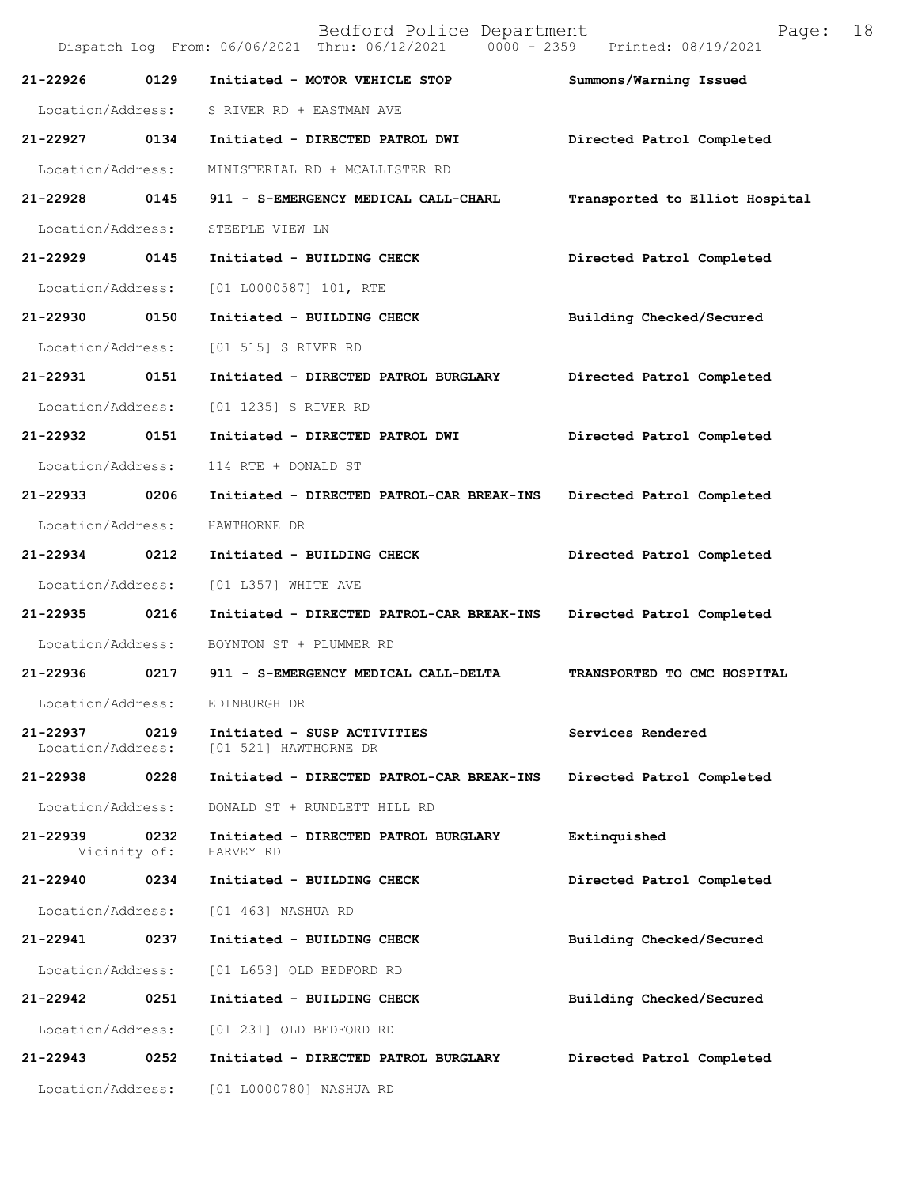|                               |                      | Bedford Police Department<br>Dispatch Log From: 06/06/2021 Thru: 06/12/2021 0000 - 2359 Printed: 08/19/2021 | 18<br>Page:                    |
|-------------------------------|----------------------|-------------------------------------------------------------------------------------------------------------|--------------------------------|
| 21-22926                      | 0129                 | Initiated - MOTOR VEHICLE STOP                                                                              | Summons/Warning Issued         |
| Location/Address:             |                      | S RIVER RD + EASTMAN AVE                                                                                    |                                |
| 21-22927 0134                 |                      | Initiated - DIRECTED PATROL DWI                                                                             | Directed Patrol Completed      |
| Location/Address:             |                      | MINISTERIAL RD + MCALLISTER RD                                                                              |                                |
| 21-22928                      | 0145                 | 911 - S-EMERGENCY MEDICAL CALL-CHARL                                                                        | Transported to Elliot Hospital |
| Location/Address:             |                      | STEEPLE VIEW LN                                                                                             |                                |
| 21-22929                      | 0145                 | Initiated - BUILDING CHECK                                                                                  | Directed Patrol Completed      |
| Location/Address:             |                      | $[01 L0000587] 101$ , RTE                                                                                   |                                |
| 21-22930 0150                 |                      | Initiated - BUILDING CHECK                                                                                  | Building Checked/Secured       |
| Location/Address:             |                      | [01 515] S RIVER RD                                                                                         |                                |
| 21-22931                      | 0151                 | Initiated - DIRECTED PATROL BURGLARY                                                                        | Directed Patrol Completed      |
| Location/Address:             |                      | [01 1235] S RIVER RD                                                                                        |                                |
| 21-22932                      | 0151                 | Initiated - DIRECTED PATROL DWI                                                                             | Directed Patrol Completed      |
| Location/Address:             |                      | 114 RTE + DONALD ST                                                                                         |                                |
| 21-22933 0206                 |                      | Initiated - DIRECTED PATROL-CAR BREAK-INS                                                                   | Directed Patrol Completed      |
| Location/Address:             |                      | HAWTHORNE DR                                                                                                |                                |
| 21-22934 0212                 |                      | Initiated - BUILDING CHECK                                                                                  | Directed Patrol Completed      |
| Location/Address:             |                      | [01 L357] WHITE AVE                                                                                         |                                |
| 21-22935                      | 0216                 | Initiated - DIRECTED PATROL-CAR BREAK-INS                                                                   | Directed Patrol Completed      |
| Location/Address:             |                      | BOYNTON ST + PLUMMER RD                                                                                     |                                |
| 21-22936                      | 0217                 | 911 - S-EMERGENCY MEDICAL CALL-DELTA                                                                        | TRANSPORTED TO CMC HOSPITAL    |
| Location/Address:             |                      | EDINBURGH DR                                                                                                |                                |
| 21-22937<br>Location/Address: | 0219                 | Initiated - SUSP ACTIVITIES<br>[01 521] HAWTHORNE DR                                                        | Services Rendered              |
| 21-22938                      | 0228                 | Initiated - DIRECTED PATROL-CAR BREAK-INS                                                                   | Directed Patrol Completed      |
| Location/Address:             |                      | DONALD ST + RUNDLETT HILL RD                                                                                |                                |
| 21-22939                      | 0232<br>Vicinity of: | Initiated - DIRECTED PATROL BURGLARY<br>HARVEY RD                                                           | Extinquished                   |
| 21-22940                      | 0234                 | Initiated - BUILDING CHECK                                                                                  | Directed Patrol Completed      |
| Location/Address:             |                      | [01 463] NASHUA RD                                                                                          |                                |
| 21-22941                      | 0237                 | Initiated - BUILDING CHECK                                                                                  | Building Checked/Secured       |
| Location/Address:             |                      | [01 L653] OLD BEDFORD RD                                                                                    |                                |
| 21-22942                      | 0251                 | Initiated - BUILDING CHECK                                                                                  | Building Checked/Secured       |
| Location/Address:             |                      | [01 231] OLD BEDFORD RD                                                                                     |                                |
| 21-22943                      | 0252                 | Initiated - DIRECTED PATROL BURGLARY                                                                        | Directed Patrol Completed      |
| Location/Address:             |                      | [01 L0000780] NASHUA RD                                                                                     |                                |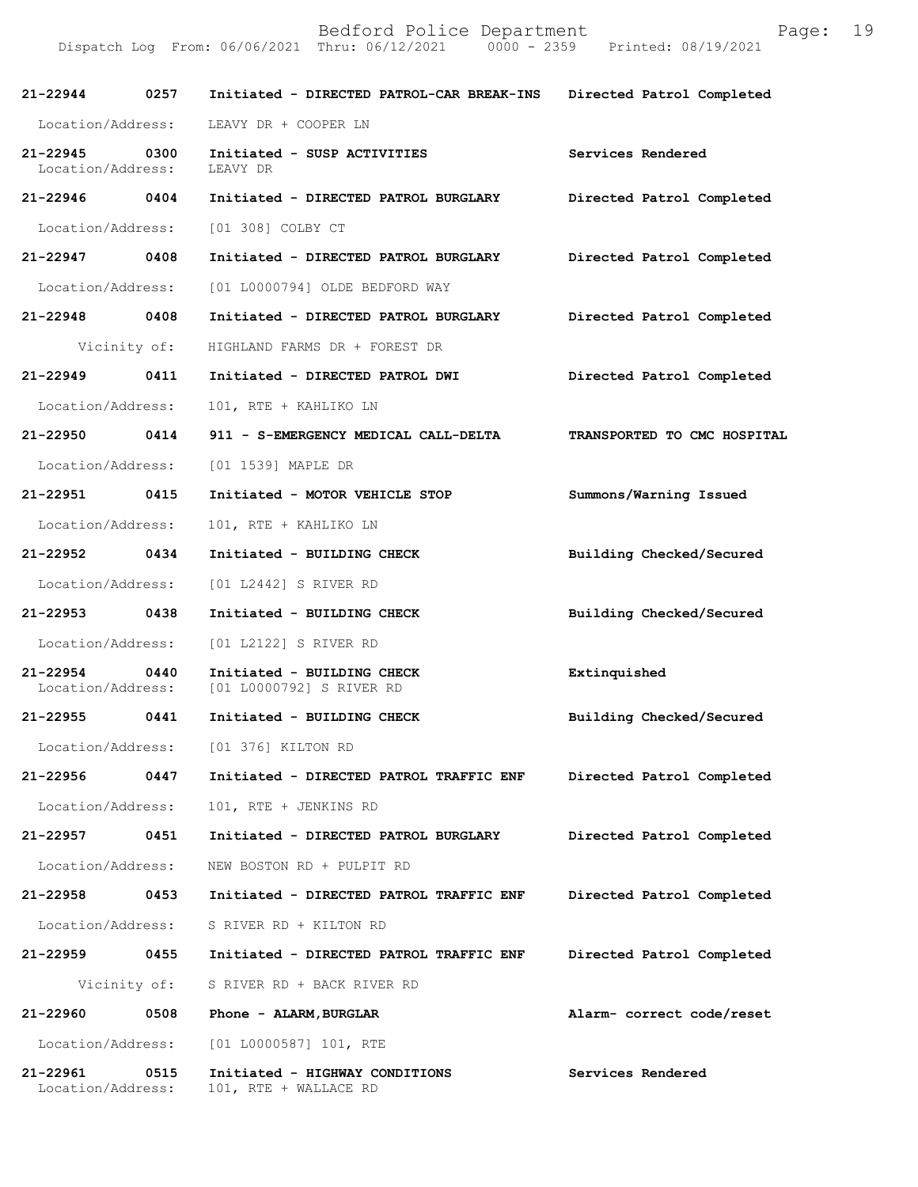| 21-22944                      | 0257         | Initiated - DIRECTED PATROL-CAR BREAK-INS               | Directed Patrol Completed   |
|-------------------------------|--------------|---------------------------------------------------------|-----------------------------|
| Location/Address:             |              | LEAVY DR + COOPER LN                                    |                             |
| 21-22945<br>Location/Address: | 0300         | Initiated - SUSP ACTIVITIES<br>LEAVY DR                 | Services Rendered           |
| 21-22946 0404                 |              | Initiated - DIRECTED PATROL BURGLARY                    | Directed Patrol Completed   |
| Location/Address:             |              | [01 308] COLBY CT                                       |                             |
| 21-22947 0408                 |              | Initiated - DIRECTED PATROL BURGLARY                    | Directed Patrol Completed   |
| Location/Address:             |              | [01 L0000794] OLDE BEDFORD WAY                          |                             |
| 21-22948 0408                 |              | Initiated - DIRECTED PATROL BURGLARY                    | Directed Patrol Completed   |
|                               | Vicinity of: | HIGHLAND FARMS DR + FOREST DR                           |                             |
| $21 - 22949$                  | 0411         | Initiated - DIRECTED PATROL DWI                         | Directed Patrol Completed   |
| Location/Address:             |              | 101, RTE + KAHLIKO LN                                   |                             |
| 21-22950 0414                 |              | 911 - S-EMERGENCY MEDICAL CALL-DELTA                    | TRANSPORTED TO CMC HOSPITAL |
| Location/Address:             |              | [01 1539] MAPLE DR                                      |                             |
| 21-22951 0415                 |              | Initiated - MOTOR VEHICLE STOP                          | Summons/Warning Issued      |
| Location/Address:             |              | 101, RTE + KAHLIKO LN                                   |                             |
| 21-22952 0434                 |              | Initiated - BUILDING CHECK                              | Building Checked/Secured    |
| Location/Address:             |              | [01 L2442] S RIVER RD                                   |                             |
| 21-22953 0438                 |              | Initiated - BUILDING CHECK                              | Building Checked/Secured    |
| Location/Address:             |              | [01 L2122] S RIVER RD                                   |                             |
| 21-22954<br>Location/Address: | 0440         | Initiated - BUILDING CHECK<br>[01 L0000792] S RIVER RD  | Extinquished                |
| 21-22955                      | 0441         | Initiated - BUILDING CHECK                              | Building Checked/Secured    |
| Location/Address:             |              | [01 376] KILTON RD                                      |                             |
| $21 - 22956$                  | 0447         | Initiated - DIRECTED PATROL TRAFFIC ENF                 | Directed Patrol Completed   |
| Location/Address:             |              | 101, RTE + JENKINS RD                                   |                             |
| 21-22957                      | 0451         | Initiated - DIRECTED PATROL BURGLARY                    | Directed Patrol Completed   |
| Location/Address:             |              | NEW BOSTON RD + PULPIT RD                               |                             |
| 21-22958                      | 0453         | Initiated - DIRECTED PATROL TRAFFIC ENF                 | Directed Patrol Completed   |
| Location/Address:             |              | S RIVER RD + KILTON RD                                  |                             |
| 21-22959                      | 0455         | Initiated - DIRECTED PATROL TRAFFIC ENF                 | Directed Patrol Completed   |
|                               | Vicinity of: | S RIVER RD + BACK RIVER RD                              |                             |
| 21-22960                      | 0508         | Phone - ALARM, BURGLAR                                  | Alarm- correct code/reset   |
| Location/Address:             |              | $[01 L0000587] 101$ , RTE                               |                             |
| 21-22961<br>Location/Address: | 0515         | Initiated - HIGHWAY CONDITIONS<br>101, RTE + WALLACE RD | Services Rendered           |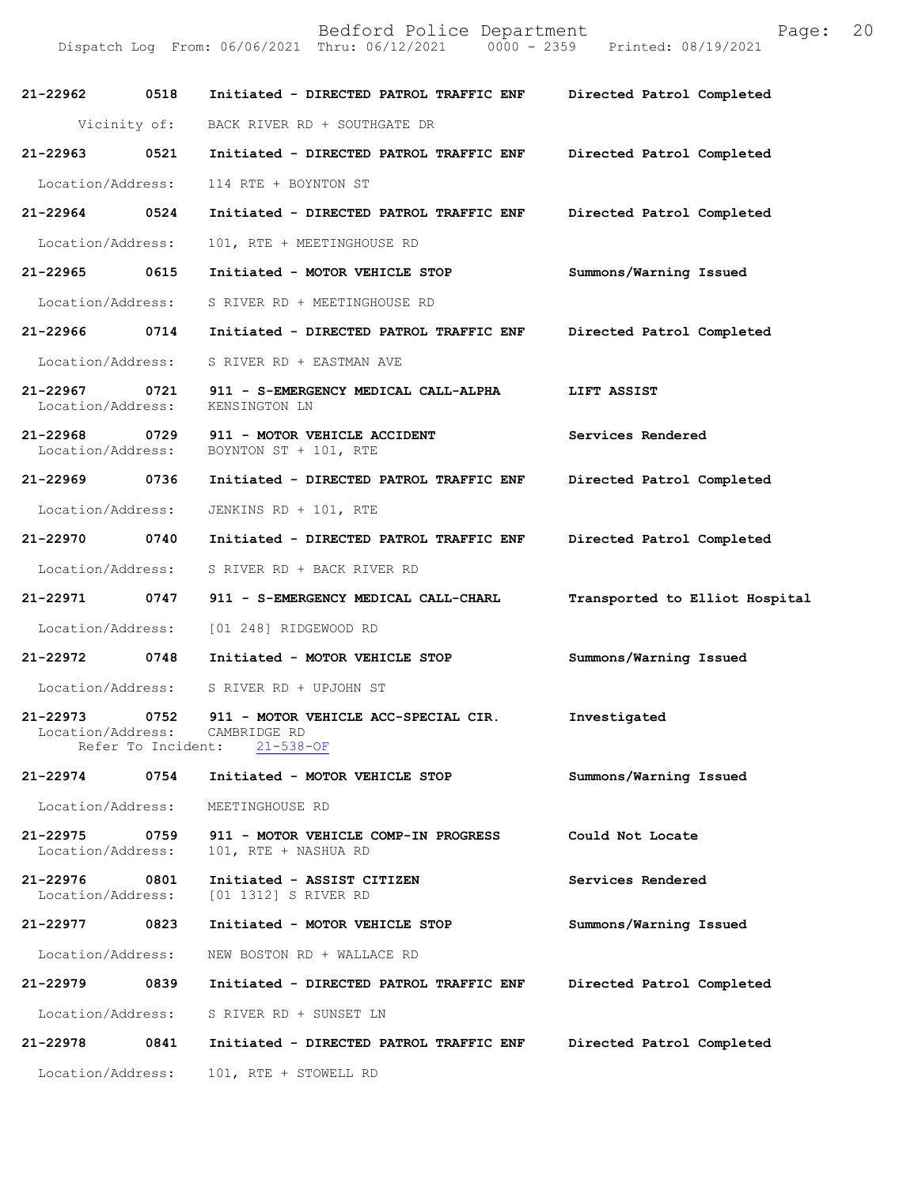| 21-22962                           | 0518                       | Initiated - DIRECTED PATROL TRAFFIC ENF                                 | Directed Patrol Completed      |
|------------------------------------|----------------------------|-------------------------------------------------------------------------|--------------------------------|
|                                    |                            | Vicinity of: BACK RIVER RD + SOUTHGATE DR                               |                                |
| $21 - 22963$                       | 0521                       | Initiated - DIRECTED PATROL TRAFFIC ENF                                 | Directed Patrol Completed      |
| Location/Address:                  |                            | 114 RTE + BOYNTON ST                                                    |                                |
| 21-22964 0524                      |                            | Initiated - DIRECTED PATROL TRAFFIC ENF                                 | Directed Patrol Completed      |
| Location/Address:                  |                            | 101, RTE + MEETINGHOUSE RD                                              |                                |
| 21-22965 0615                      |                            | Initiated - MOTOR VEHICLE STOP                                          | Summons/Warning Issued         |
| Location/Address:                  |                            | S RIVER RD + MEETINGHOUSE RD                                            |                                |
| 21-22966                           | 0714                       | Initiated - DIRECTED PATROL TRAFFIC ENF                                 | Directed Patrol Completed      |
| Location/Address:                  |                            | S RIVER RD + EASTMAN AVE                                                |                                |
| $21 - 22967$<br>Location/Address:  | 0721                       | 911 - S-EMERGENCY MEDICAL CALL-ALPHA<br>KENSINGTON LN                   | LIFT ASSIST                    |
| 21-22968 0729<br>Location/Address: |                            | 911 - MOTOR VEHICLE ACCIDENT<br>BOYNTON ST + 101, RTE                   | Services Rendered              |
| 21-22969                           | 0736                       | Initiated - DIRECTED PATROL TRAFFIC ENF                                 | Directed Patrol Completed      |
| Location/Address:                  |                            | JENKINS RD + 101, RTE                                                   |                                |
| 21-22970 0740                      |                            | Initiated - DIRECTED PATROL TRAFFIC ENF                                 | Directed Patrol Completed      |
| Location/Address:                  |                            | S RIVER RD + BACK RIVER RD                                              |                                |
| 21-22971 0747                      |                            | 911 - S-EMERGENCY MEDICAL CALL-CHARL                                    | Transported to Elliot Hospital |
| Location/Address:                  |                            | [01 248] RIDGEWOOD RD                                                   |                                |
| 21-22972 0748                      |                            | Initiated - MOTOR VEHICLE STOP                                          | Summons/Warning Issued         |
| Location/Address:                  |                            | S RIVER RD + UPJOHN ST                                                  |                                |
| 21-22973<br>Location/Address:      | 0752<br>Refer To Incident: | 911 - MOTOR VEHICLE ACC-SPECIAL CIR.<br>CAMBRIDGE RD<br>$21 - 538 - OF$ | Investigated                   |
| 21-22974                           | 0754                       | Initiated - MOTOR VEHICLE STOP                                          | Summons/Warning Issued         |
| Location/Address:                  |                            | MEETINGHOUSE RD                                                         |                                |
| $21 - 22975$<br>Location/Address:  | 0759                       | 911 - MOTOR VEHICLE COMP-IN PROGRESS<br>101, RTE + NASHUA RD            | Could Not Locate               |
| 21-22976<br>Location/Address:      | 0801                       | Initiated - ASSIST CITIZEN<br>[01 1312] S RIVER RD                      | Services Rendered              |
| 21-22977                           | 0823                       | Initiated - MOTOR VEHICLE STOP                                          | Summons/Warning Issued         |
| Location/Address:                  |                            | NEW BOSTON RD + WALLACE RD                                              |                                |
| 21-22979                           | 0839                       | Initiated - DIRECTED PATROL TRAFFIC ENF                                 | Directed Patrol Completed      |
| Location/Address:                  |                            | S RIVER RD + SUNSET LN                                                  |                                |
| 21-22978                           | 0841                       | Initiated - DIRECTED PATROL TRAFFIC ENF                                 | Directed Patrol Completed      |
| Location/Address:                  |                            | 101, RTE + STOWELL RD                                                   |                                |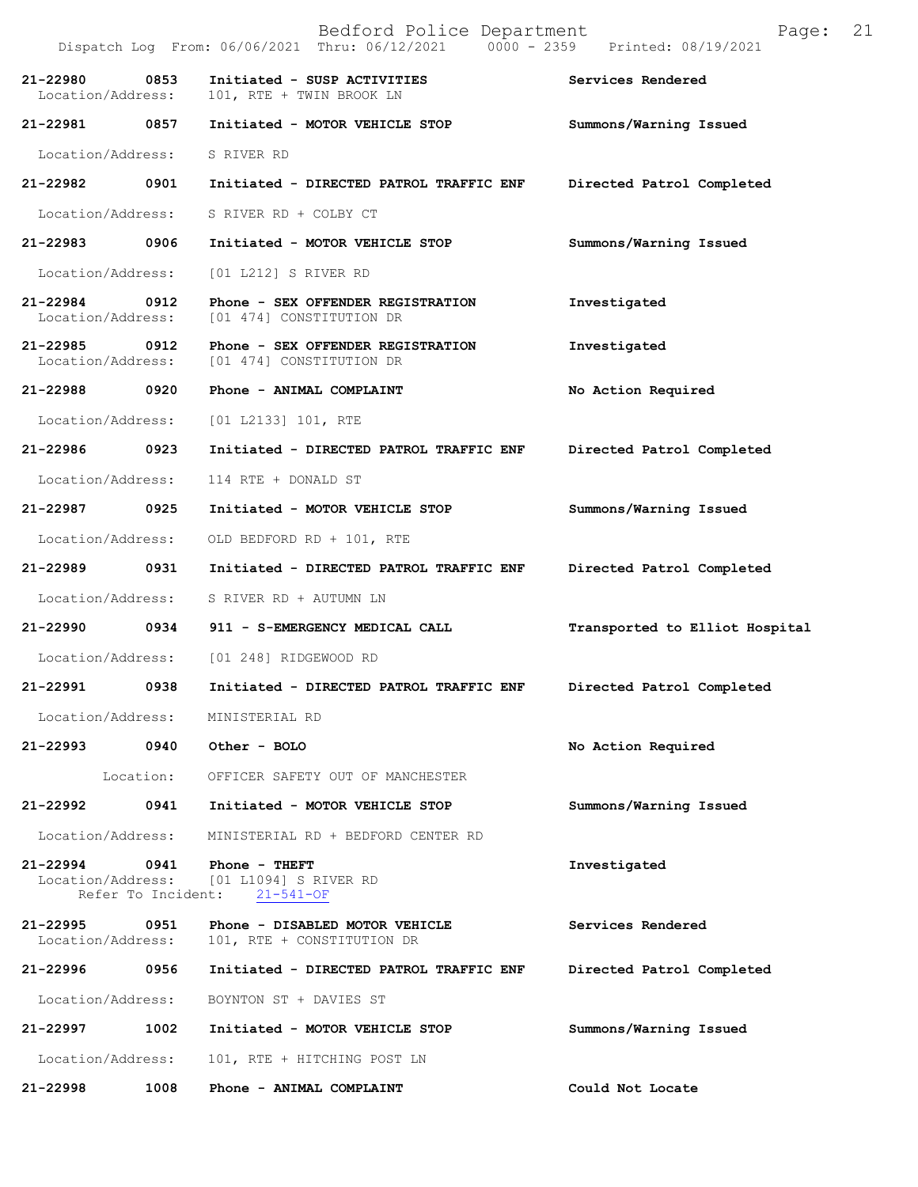|                                |      | Dispatch Log From: 06/06/2021 Thru: 06/12/2021 0000 - 2359 Printed: 08/19/2021   |                                |
|--------------------------------|------|----------------------------------------------------------------------------------|--------------------------------|
| 21-22980<br>Location/Address:  | 0853 | Initiated - SUSP ACTIVITIES<br>101, RTE + TWIN BROOK LN                          | Services Rendered              |
| 21-22981 0857                  |      | Initiated - MOTOR VEHICLE STOP                                                   | Summons/Warning Issued         |
| Location/Address: S RIVER RD   |      |                                                                                  |                                |
| 21-22982 0901                  |      | Initiated - DIRECTED PATROL TRAFFIC ENF                                          | Directed Patrol Completed      |
| Location/Address:              |      | S RIVER RD + COLBY CT                                                            |                                |
| 21-22983 0906                  |      | Initiated - MOTOR VEHICLE STOP                                                   | Summons/Warning Issued         |
|                                |      | Location/Address: [01 L212] S RIVER RD                                           |                                |
| 21-22984 0912                  |      | Phone - SEX OFFENDER REGISTRATION<br>Location/Address: [01 474] CONSTITUTION DR  | Investigated                   |
| 21-22985 0912                  |      | Phone - SEX OFFENDER REGISTRATION<br>Location/Address: [01 474] CONSTITUTION DR  | Investigated                   |
|                                |      | 21-22988 0920 Phone - ANIMAL COMPLAINT                                           | No Action Required             |
| Location/Address:              |      | [01 L2133] 101, RTE                                                              |                                |
| 21-22986 0923                  |      | Initiated - DIRECTED PATROL TRAFFIC ENF                                          | Directed Patrol Completed      |
| Location/Address:              |      | 114 RTE + DONALD ST                                                              |                                |
| 21-22987                       | 0925 | Initiated - MOTOR VEHICLE STOP                                                   | Summons/Warning Issued         |
| Location/Address:              |      | OLD BEDFORD RD + 101, RTE                                                        |                                |
| 21-22989 0931                  |      | Initiated - DIRECTED PATROL TRAFFIC ENF                                          | Directed Patrol Completed      |
| Location/Address:              |      | S RIVER RD + AUTUMN LN                                                           |                                |
| 21-22990 0934                  |      | 911 - S-EMERGENCY MEDICAL CALL                                                   | Transported to Elliot Hospital |
|                                |      | Location/Address: [01 248] RIDGEWOOD RD                                          |                                |
| 21-22991 0938                  |      | Initiated - DIRECTED PATROL TRAFFIC ENF                                          | Directed Patrol Completed      |
| Location/Address:              |      | MINISTERIAL RD                                                                   |                                |
| 21-22993                       |      | 0940 Other - BOLO                                                                | No Action Required             |
|                                |      | Location: OFFICER SAFETY OUT OF MANCHESTER                                       |                                |
| 21-22992                       | 0941 | Initiated - MOTOR VEHICLE STOP                                                   | Summons/Warning Issued         |
| Location/Address:              |      | MINISTERIAL RD + BEDFORD CENTER RD                                               |                                |
| 21-22994<br>Refer To Incident: |      | 0941 Phone - THEFT<br>Location/Address: [01 L1094] S RIVER RD<br>$21 - 541 - OF$ | Investigated                   |
| 21-22995<br>Location/Address:  | 0951 | Phone - DISABLED MOTOR VEHICLE<br>101, RTE + CONSTITUTION DR                     | Services Rendered              |
| 21-22996                       | 0956 | Initiated - DIRECTED PATROL TRAFFIC ENF                                          | Directed Patrol Completed      |
|                                |      | Location/Address: BOYNTON ST + DAVIES ST                                         |                                |
| 21-22997                       |      | 1002 Initiated - MOTOR VEHICLE STOP                                              | Summons/Warning Issued         |
| Location/Address:              |      | 101, RTE + HITCHING POST LN                                                      |                                |

**21-22998 1008 Phone - ANIMAL COMPLAINT Could Not Locate** 

# Bedford Police Department Page: 21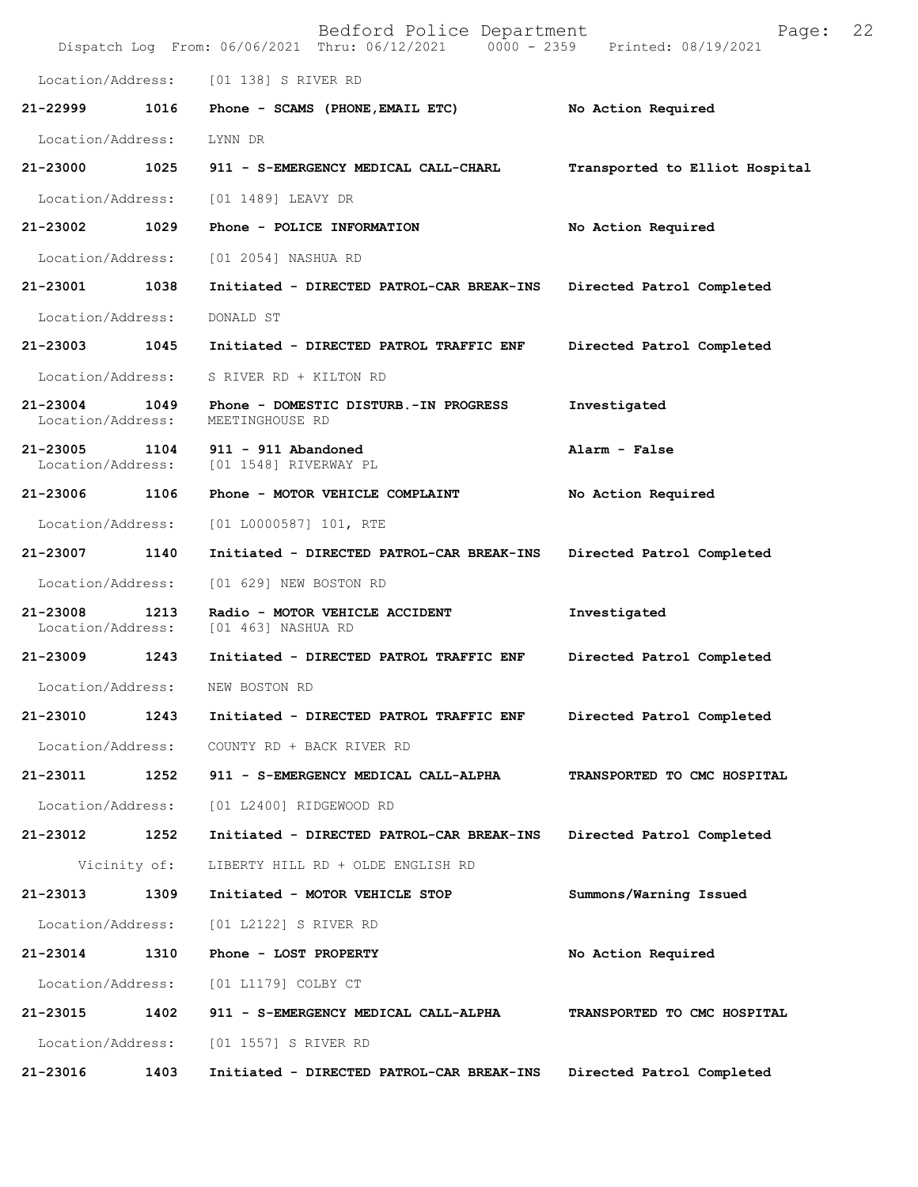|                                   |              | Bedford Police Department<br>Dispatch Log From: 06/06/2021 Thru: 06/12/2021 0000 - 2359 Printed: 08/19/2021 | Page:                          | 22 |
|-----------------------------------|--------------|-------------------------------------------------------------------------------------------------------------|--------------------------------|----|
| Location/Address:                 |              | [01 138] S RIVER RD                                                                                         |                                |    |
| 21-22999                          | 1016         | Phone - SCAMS (PHONE, EMAIL ETC)                                                                            | No Action Required             |    |
| Location/Address:                 |              | LYNN DR                                                                                                     |                                |    |
| 21-23000                          | 1025         | 911 - S-EMERGENCY MEDICAL CALL-CHARL                                                                        | Transported to Elliot Hospital |    |
| Location/Address:                 |              | [01 1489] LEAVY DR                                                                                          |                                |    |
| 21-23002                          | 1029         | Phone - POLICE INFORMATION                                                                                  | No Action Required             |    |
| Location/Address:                 |              | [01 2054] NASHUA RD                                                                                         |                                |    |
| 21-23001                          | 1038         | Initiated - DIRECTED PATROL-CAR BREAK-INS                                                                   | Directed Patrol Completed      |    |
| Location/Address:                 |              | DONALD ST                                                                                                   |                                |    |
| 21-23003                          | 1045         | Initiated - DIRECTED PATROL TRAFFIC ENF                                                                     | Directed Patrol Completed      |    |
| Location/Address:                 |              | S RIVER RD + KILTON RD                                                                                      |                                |    |
| 21-23004<br>Location/Address:     | 1049         | Phone - DOMESTIC DISTURB.-IN PROGRESS<br>MEETINGHOUSE RD                                                    | Investigated                   |    |
| $21 - 23005$<br>Location/Address: | 1104         | 911 - 911 Abandoned<br>[01 1548] RIVERWAY PL                                                                | Alarm - False                  |    |
| 21-23006                          | 1106         | Phone - MOTOR VEHICLE COMPLAINT                                                                             | No Action Required             |    |
| Location/Address:                 |              | $[01 L0000587] 101$ , RTE                                                                                   |                                |    |
| 21-23007                          | 1140         | Initiated - DIRECTED PATROL-CAR BREAK-INS                                                                   | Directed Patrol Completed      |    |
| Location/Address:                 |              | [01 629] NEW BOSTON RD                                                                                      |                                |    |
| $21 - 23008$<br>Location/Address: | 1213         | Radio - MOTOR VEHICLE ACCIDENT<br>[01 463] NASHUA RD                                                        | Investigated                   |    |
| 21-23009                          | 1243         | Initiated - DIRECTED PATROL TRAFFIC ENF                                                                     | Directed Patrol Completed      |    |
| Location/Address:                 |              | NEW BOSTON RD                                                                                               |                                |    |
| 21-23010                          | 1243         | Initiated - DIRECTED PATROL TRAFFIC ENF                                                                     | Directed Patrol Completed      |    |
| Location/Address:                 |              | COUNTY RD + BACK RIVER RD                                                                                   |                                |    |
| 21-23011                          | 1252         | 911 - S-EMERGENCY MEDICAL CALL-ALPHA                                                                        | TRANSPORTED TO CMC HOSPITAL    |    |
| Location/Address:                 |              | [01 L2400] RIDGEWOOD RD                                                                                     |                                |    |
| 21-23012                          | 1252         | Initiated - DIRECTED PATROL-CAR BREAK-INS                                                                   | Directed Patrol Completed      |    |
|                                   | Vicinity of: | LIBERTY HILL RD + OLDE ENGLISH RD                                                                           |                                |    |
| 21-23013                          | 1309         | Initiated - MOTOR VEHICLE STOP                                                                              | Summons/Warning Issued         |    |
| Location/Address:                 |              | [01 L2122] S RIVER RD                                                                                       |                                |    |
| 21-23014                          | 1310         | Phone - LOST PROPERTY                                                                                       | No Action Required             |    |
| Location/Address:                 |              | [01 L1179] COLBY CT                                                                                         |                                |    |
| 21-23015                          | 1402         | 911 - S-EMERGENCY MEDICAL CALL-ALPHA                                                                        | TRANSPORTED TO CMC HOSPITAL    |    |
| Location/Address:                 |              | [01 1557] S RIVER RD                                                                                        |                                |    |
| 21-23016                          | 1403         | Initiated - DIRECTED PATROL-CAR BREAK-INS                                                                   | Directed Patrol Completed      |    |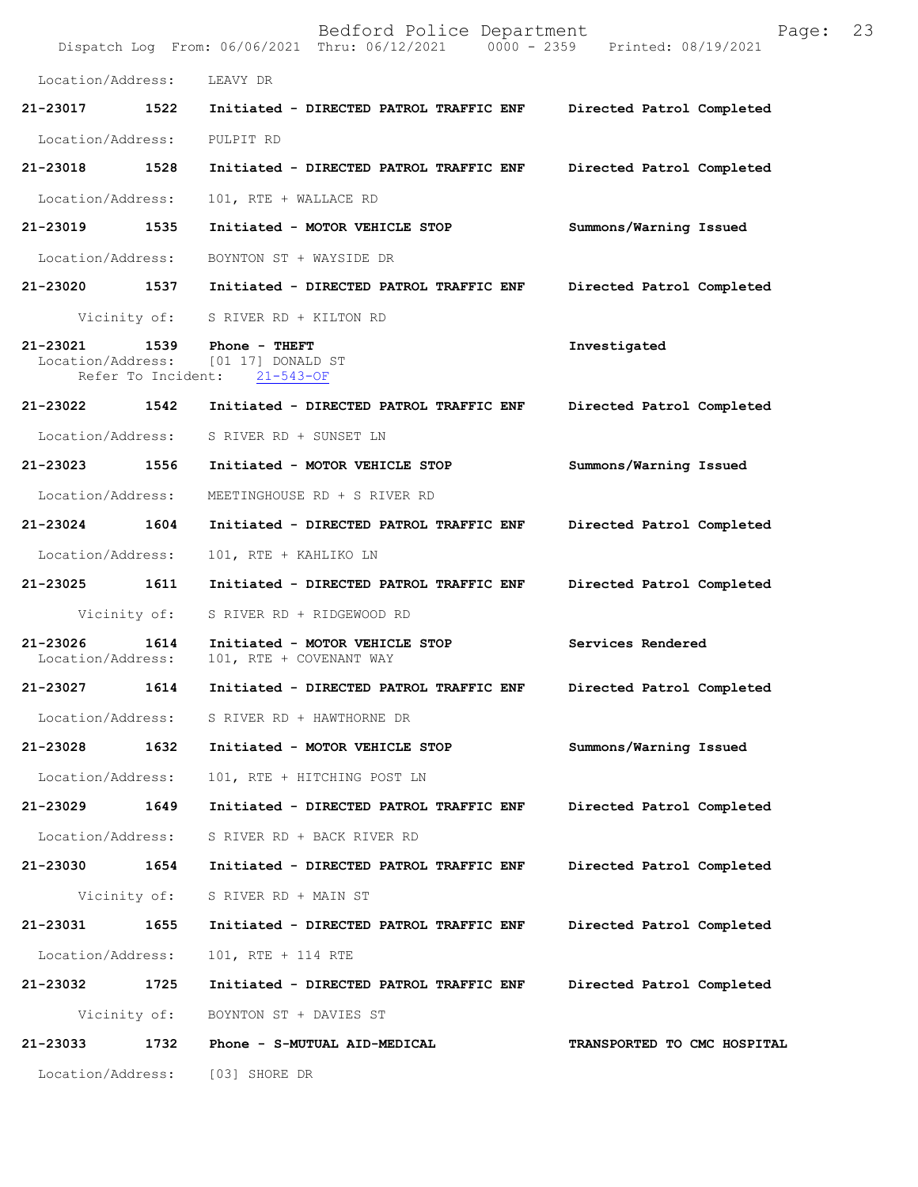|                               |      | Bedford Police Department<br>Dispatch Log From: 06/06/2021 Thru: 06/12/2021 0000 - 2359 Printed: 08/19/2021 | 23<br>Page:                 |  |
|-------------------------------|------|-------------------------------------------------------------------------------------------------------------|-----------------------------|--|
| Location/Address:             |      | LEAVY DR                                                                                                    |                             |  |
| 21-23017                      | 1522 | Initiated - DIRECTED PATROL TRAFFIC ENF                                                                     | Directed Patrol Completed   |  |
| Location/Address:             |      | PULPIT RD                                                                                                   |                             |  |
| 21-23018                      | 1528 | Initiated - DIRECTED PATROL TRAFFIC ENF                                                                     | Directed Patrol Completed   |  |
| Location/Address:             |      | 101, RTE + WALLACE RD                                                                                       |                             |  |
| 21-23019 1535                 |      | Initiated - MOTOR VEHICLE STOP                                                                              | Summons/Warning Issued      |  |
| Location/Address:             |      | BOYNTON ST + WAYSIDE DR                                                                                     |                             |  |
|                               |      | 21-23020 1537 Initiated - DIRECTED PATROL TRAFFIC ENF                                                       | Directed Patrol Completed   |  |
|                               |      | Vicinity of: S RIVER RD + KILTON RD                                                                         |                             |  |
| 21-23021                      |      | 1539 Phone - THEFT<br>Location/Address: [01 17] DONALD ST<br>Refer To Incident: 21-543-OF                   | Investigated                |  |
| 21-23022 1542                 |      | Initiated - DIRECTED PATROL TRAFFIC ENF                                                                     | Directed Patrol Completed   |  |
| Location/Address:             |      | S RIVER RD + SUNSET LN                                                                                      |                             |  |
| 21-23023 1556                 |      | Initiated - MOTOR VEHICLE STOP                                                                              | Summons/Warning Issued      |  |
| Location/Address:             |      | MEETINGHOUSE RD + S RIVER RD                                                                                |                             |  |
| 21-23024                      | 1604 | Initiated - DIRECTED PATROL TRAFFIC ENF                                                                     | Directed Patrol Completed   |  |
| Location/Address:             |      | 101, RTE + KAHLIKO LN                                                                                       |                             |  |
| 21-23025 1611                 |      | Initiated - DIRECTED PATROL TRAFFIC ENF                                                                     | Directed Patrol Completed   |  |
| Vicinity of:                  |      | S RIVER RD + RIDGEWOOD RD                                                                                   |                             |  |
| 21-23026<br>Location/Address: | 1614 | Initiated - MOTOR VEHICLE STOP<br>101, RTE + COVENANT WAY                                                   | Services Rendered           |  |
| 21-23027                      | 1614 | Initiated - DIRECTED PATROL TRAFFIC ENF                                                                     | Directed Patrol Completed   |  |
| Location/Address:             |      | S RIVER RD + HAWTHORNE DR                                                                                   |                             |  |
| 21-23028                      | 1632 | Initiated - MOTOR VEHICLE STOP                                                                              | Summons/Warning Issued      |  |
| Location/Address:             |      | 101, RTE + HITCHING POST LN                                                                                 |                             |  |
| 21-23029                      | 1649 | Initiated - DIRECTED PATROL TRAFFIC ENF                                                                     | Directed Patrol Completed   |  |
| Location/Address:             |      | S RIVER RD + BACK RIVER RD                                                                                  |                             |  |
| 21-23030 1654                 |      | Initiated - DIRECTED PATROL TRAFFIC ENF                                                                     | Directed Patrol Completed   |  |
| Vicinity of:                  |      | S RIVER RD + MAIN ST                                                                                        |                             |  |
| 21-23031                      | 1655 | Initiated - DIRECTED PATROL TRAFFIC ENF                                                                     | Directed Patrol Completed   |  |
| Location/Address:             |      | 101, RTE + 114 RTE                                                                                          |                             |  |
| 21-23032                      | 1725 | Initiated - DIRECTED PATROL TRAFFIC ENF                                                                     | Directed Patrol Completed   |  |
|                               |      | Vicinity of: BOYNTON ST + DAVIES ST                                                                         |                             |  |
| 21-23033                      | 1732 | Phone - S-MUTUAL AID-MEDICAL                                                                                | TRANSPORTED TO CMC HOSPITAL |  |
| Location/Address:             |      | [03] SHORE DR                                                                                               |                             |  |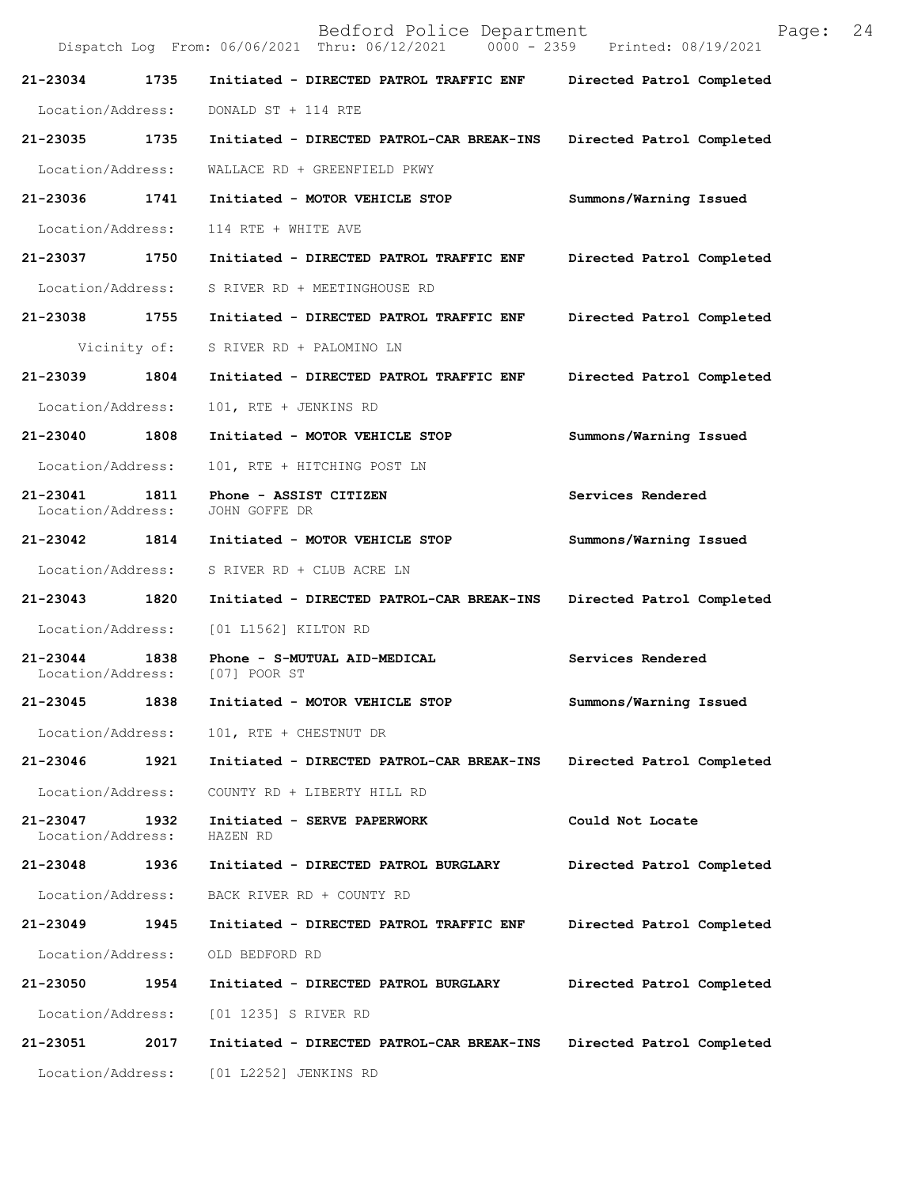|                               |              | Bedford Police Department<br>Dispatch Log From: 06/06/2021 Thru: 06/12/2021 0000 - 2359 Printed: 08/19/2021 | 24<br>Page:               |
|-------------------------------|--------------|-------------------------------------------------------------------------------------------------------------|---------------------------|
| 21-23034                      | 1735         | Initiated - DIRECTED PATROL TRAFFIC ENF                                                                     | Directed Patrol Completed |
| Location/Address:             |              | DONALD ST + 114 RTE                                                                                         |                           |
| 21-23035                      | 1735         | Initiated - DIRECTED PATROL-CAR BREAK-INS                                                                   | Directed Patrol Completed |
| Location/Address:             |              | WALLACE RD + GREENFIELD PKWY                                                                                |                           |
| 21-23036                      | 1741         | Initiated - MOTOR VEHICLE STOP                                                                              | Summons/Warning Issued    |
| Location/Address:             |              | 114 RTE + WHITE AVE                                                                                         |                           |
| 21-23037                      | 1750         | Initiated - DIRECTED PATROL TRAFFIC ENF                                                                     | Directed Patrol Completed |
| Location/Address:             |              | S RIVER RD + MEETINGHOUSE RD                                                                                |                           |
| 21-23038 1755                 |              | Initiated - DIRECTED PATROL TRAFFIC ENF                                                                     | Directed Patrol Completed |
|                               | Vicinity of: | S RIVER RD + PALOMINO LN                                                                                    |                           |
| 21-23039                      | 1804         | Initiated - DIRECTED PATROL TRAFFIC ENF                                                                     | Directed Patrol Completed |
| Location/Address:             |              | 101, RTE + JENKINS RD                                                                                       |                           |
| 21-23040                      | 1808         | Initiated - MOTOR VEHICLE STOP                                                                              | Summons/Warning Issued    |
| Location/Address:             |              | 101, RTE + HITCHING POST LN                                                                                 |                           |
| 21-23041<br>Location/Address: | 1811         | Phone - ASSIST CITIZEN<br>JOHN GOFFE DR                                                                     | Services Rendered         |
| 21-23042                      | 1814         | Initiated - MOTOR VEHICLE STOP                                                                              | Summons/Warning Issued    |
| Location/Address:             |              | S RIVER RD + CLUB ACRE LN                                                                                   |                           |
| 21-23043                      | 1820         | Initiated - DIRECTED PATROL-CAR BREAK-INS                                                                   | Directed Patrol Completed |
| Location/Address:             |              | [01 L1562] KILTON RD                                                                                        |                           |
| 21-23044<br>Location/Address: | 1838         | Phone - S-MUTUAL AID-MEDICAL<br>[07] POOR ST                                                                | Services Rendered         |
| 21-23045                      | 1838         | Initiated - MOTOR VEHICLE STOP                                                                              | Summons/Warning Issued    |
| Location/Address:             |              | 101, RTE + CHESTNUT DR                                                                                      |                           |
| 21-23046                      | 1921         | Initiated - DIRECTED PATROL-CAR BREAK-INS                                                                   | Directed Patrol Completed |
| Location/Address:             |              | COUNTY RD + LIBERTY HILL RD                                                                                 |                           |
| 21-23047<br>Location/Address: | 1932         | Initiated - SERVE PAPERWORK<br>HAZEN RD                                                                     | Could Not Locate          |
| 21-23048                      | 1936         | Initiated - DIRECTED PATROL BURGLARY                                                                        | Directed Patrol Completed |
| Location/Address:             |              | BACK RIVER RD + COUNTY RD                                                                                   |                           |
| 21-23049                      | 1945         | Initiated - DIRECTED PATROL TRAFFIC ENF                                                                     | Directed Patrol Completed |
| Location/Address:             |              | OLD BEDFORD RD                                                                                              |                           |
| 21-23050                      | 1954         | Initiated - DIRECTED PATROL BURGLARY                                                                        | Directed Patrol Completed |
| Location/Address:             |              | [01 1235] S RIVER RD                                                                                        |                           |
| 21-23051                      | 2017         | Initiated - DIRECTED PATROL-CAR BREAK-INS                                                                   | Directed Patrol Completed |
| Location/Address:             |              | [01 L2252] JENKINS RD                                                                                       |                           |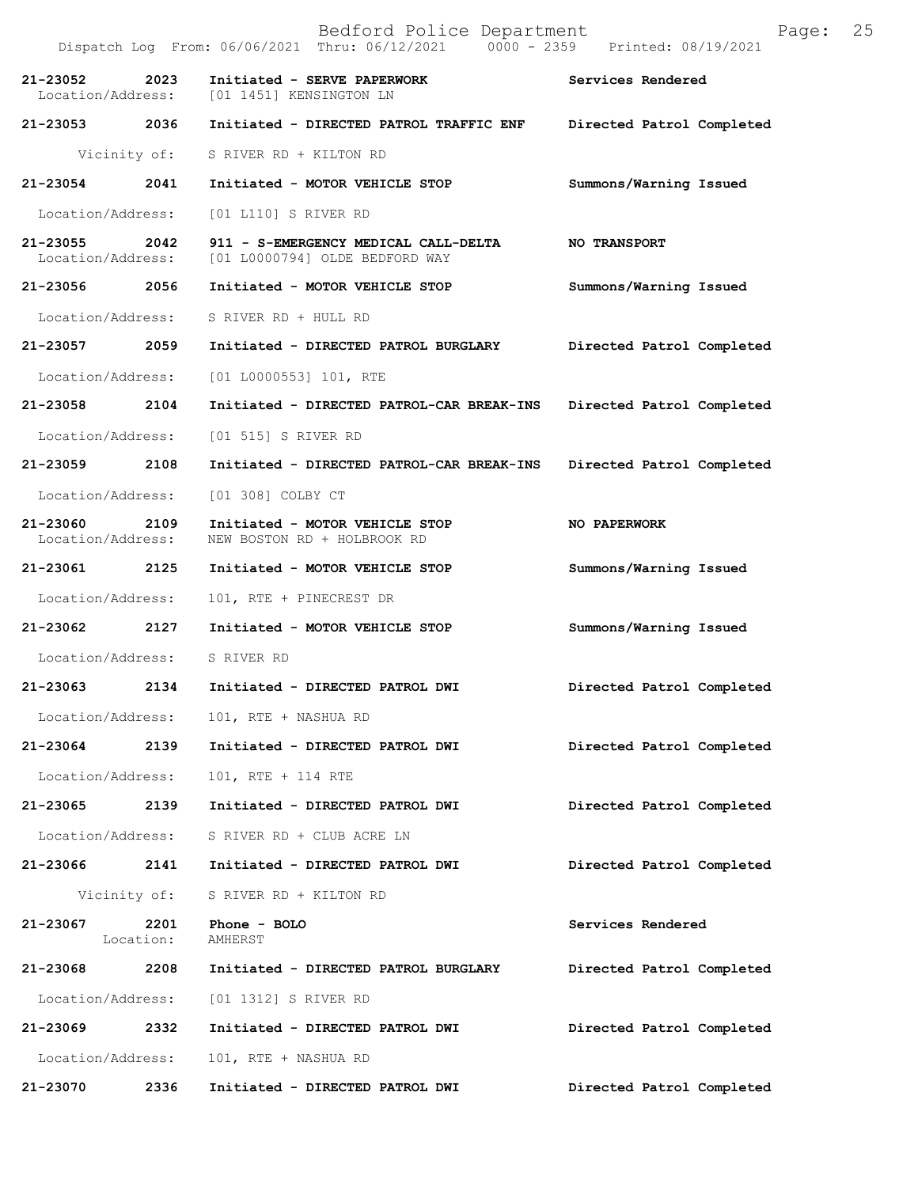|                                    |                   | Bedford Police Department<br>Dispatch Log From: 06/06/2021 Thru: 06/12/2021 0000 - 2359 Printed: 08/19/2021 | Page:                     | 25 |
|------------------------------------|-------------------|-------------------------------------------------------------------------------------------------------------|---------------------------|----|
| 21-23052                           | 2023              | Initiated - SERVE PAPERWORK<br>Location/Address: [01 1451] KENSINGTON LN                                    | Services Rendered         |    |
|                                    |                   | 21-23053 2036 Initiated - DIRECTED PATROL TRAFFIC ENF Directed Patrol Completed                             |                           |    |
|                                    |                   | Vicinity of: S RIVER RD + KILTON RD                                                                         |                           |    |
| 21-23054 2041                      |                   | Initiated - MOTOR VEHICLE STOP                                                                              | Summons/Warning Issued    |    |
| Location/Address:                  |                   | [01 L110] S RIVER RD                                                                                        |                           |    |
| 21-23055 2042<br>Location/Address: |                   | 911 - S-EMERGENCY MEDICAL CALL-DELTA<br>[01 L0000794] OLDE BEDFORD WAY                                      | <b>NO TRANSPORT</b>       |    |
|                                    |                   | 21-23056  2056  Initiated - MOTOR VEHICLE STOP                                                              | Summons/Warning Issued    |    |
|                                    |                   | Location/Address: S RIVER RD + HULL RD                                                                      |                           |    |
| 21-23057 2059                      |                   | Initiated - DIRECTED PATROL BURGLARY                                                                        | Directed Patrol Completed |    |
|                                    |                   | Location/Address: [01 L0000553] 101, RTE                                                                    |                           |    |
| 21-23058 2104                      |                   | Initiated - DIRECTED PATROL-CAR BREAK-INS Directed Patrol Completed                                         |                           |    |
| Location/Address:                  |                   | [01 515] S RIVER RD                                                                                         |                           |    |
| 21-23059 2108                      |                   | Initiated - DIRECTED PATROL-CAR BREAK-INS                                                                   | Directed Patrol Completed |    |
| Location/Address:                  |                   | [01 308] COLBY CT                                                                                           |                           |    |
| 21-23060 2109<br>Location/Address: |                   | Initiated - MOTOR VEHICLE STOP<br>NEW BOSTON RD + HOLBROOK RD                                               | NO PAPERWORK              |    |
| 21-23061 2125                      |                   | Initiated - MOTOR VEHICLE STOP                                                                              | Summons/Warning Issued    |    |
| Location/Address:                  |                   | 101, RTE + PINECREST DR                                                                                     |                           |    |
|                                    |                   | 21-23062 2127 Initiated - MOTOR VEHICLE STOP                                                                | Summons/Warning Issued    |    |
|                                    |                   | Location/Address: S RIVER RD                                                                                |                           |    |
| 21-23063 2134                      |                   | Initiated - DIRECTED PATROL DWI                                                                             | Directed Patrol Completed |    |
|                                    |                   | Location/Address: 101, RTE + NASHUA RD                                                                      |                           |    |
| 21-23064                           | 2139              | Initiated - DIRECTED PATROL DWI                                                                             | Directed Patrol Completed |    |
| Location/Address:                  |                   | 101, RTE + 114 RTE                                                                                          |                           |    |
| 21-23065                           | 2139              | Initiated - DIRECTED PATROL DWI                                                                             | Directed Patrol Completed |    |
| Location/Address:                  |                   | S RIVER RD + CLUB ACRE LN                                                                                   |                           |    |
| 21-23066 2141                      |                   | Initiated - DIRECTED PATROL DWI                                                                             | Directed Patrol Completed |    |
|                                    | Vicinity of:      | S RIVER RD + KILTON RD                                                                                      |                           |    |
| 21-23067                           | 2201<br>Location: | Phone - BOLO<br>AMHERST                                                                                     | Services Rendered         |    |
| 21-23068                           | 2208              | Initiated - DIRECTED PATROL BURGLARY                                                                        | Directed Patrol Completed |    |
| Location/Address:                  |                   | [01 1312] S RIVER RD                                                                                        |                           |    |
| 21-23069 2332                      |                   | Initiated - DIRECTED PATROL DWI                                                                             | Directed Patrol Completed |    |
| Location/Address:                  |                   | 101, RTE + NASHUA RD                                                                                        |                           |    |
| 21-23070                           | 2336              | Initiated - DIRECTED PATROL DWI                                                                             | Directed Patrol Completed |    |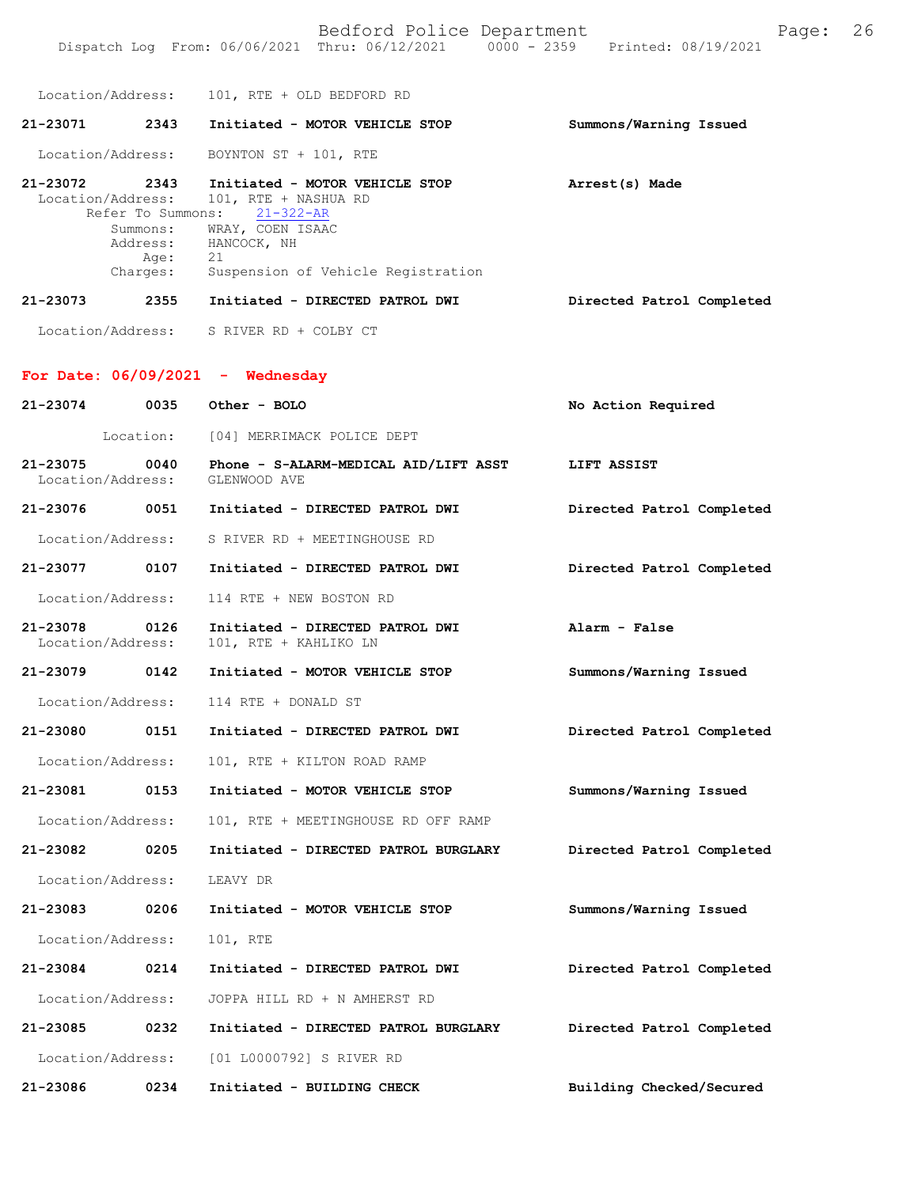Location/Address: 101, RTE + OLD BEDFORD RD

| 21-23071          | 2343                                             | Initiated - MOTOR VEHICLE STOP                                                                                                                                                         |  | Summons/Warning Issued |  |
|-------------------|--------------------------------------------------|----------------------------------------------------------------------------------------------------------------------------------------------------------------------------------------|--|------------------------|--|
| Location/Address: |                                                  | BOYNTON ST + 101, RTE                                                                                                                                                                  |  |                        |  |
| 21-23072          | 2343<br>Summons:<br>Address:<br>Age:<br>Charges: | Initiated - MOTOR VEHICLE STOP<br>Location/Address: 101, RTE + NASHUA RD<br>Refer To Summons: 21-322-AR<br>WRAY, COEN ISAAC<br>HANCOCK, NH<br>21<br>Suspension of Vehicle Registration |  | Arrest(s) Made         |  |

**Directed Patrol Completed 21-23073 2355 Initiated - DIRECTED PATROL DWI**

Location/Address: S RIVER RD + COLBY CT

### **For Date: 06/09/2021 - Wednesday**

| 21-23074                      | 0035 | Other - BOLO                                             | No Action Required        |
|-------------------------------|------|----------------------------------------------------------|---------------------------|
|                               |      | Location: [04] MERRIMACK POLICE DEPT                     |                           |
| 21-23075<br>Location/Address: | 0040 | Phone - S-ALARM-MEDICAL AID/LIFT ASST<br>GLENWOOD AVE    | LIFT ASSIST               |
| 21-23076 0051                 |      | Initiated - DIRECTED PATROL DWI                          | Directed Patrol Completed |
| Location/Address:             |      | S RIVER RD + MEETINGHOUSE RD                             |                           |
| 21-23077 0107                 |      | Initiated - DIRECTED PATROL DWI                          | Directed Patrol Completed |
| Location/Address:             |      | 114 RTE + NEW BOSTON RD                                  |                           |
| 21-23078<br>Location/Address: | 0126 | Initiated - DIRECTED PATROL DWI<br>101, RTE + KAHLIKO LN | Alarm - False             |
| 21-23079 0142                 |      | Initiated - MOTOR VEHICLE STOP                           | Summons/Warning Issued    |
| Location/Address:             |      | 114 RTE + DONALD ST                                      |                           |
| 21-23080 0151                 |      | Initiated - DIRECTED PATROL DWI                          | Directed Patrol Completed |
| Location/Address:             |      | 101, RTE + KILTON ROAD RAMP                              |                           |
| 21-23081                      | 0153 | Initiated - MOTOR VEHICLE STOP                           | Summons/Warning Issued    |
| Location/Address:             |      | 101, RTE + MEETINGHOUSE RD OFF RAMP                      |                           |
| 21-23082 0205                 |      | Initiated - DIRECTED PATROL BURGLARY                     | Directed Patrol Completed |
| Location/Address:             |      | LEAVY DR                                                 |                           |
| 21-23083 0206                 |      | Initiated - MOTOR VEHICLE STOP                           | Summons/Warning Issued    |
| Location/Address:             |      | 101, RTE                                                 |                           |
| 21-23084 0214                 |      | Initiated - DIRECTED PATROL DWI                          | Directed Patrol Completed |
| Location/Address:             |      | JOPPA HILL RD + N AMHERST RD                             |                           |
| 21-23085 0232                 |      | Initiated - DIRECTED PATROL BURGLARY                     | Directed Patrol Completed |
| Location/Address:             |      | [01 L0000792] S RIVER RD                                 |                           |
| 21-23086                      | 0234 | Initiated - BUILDING CHECK                               | Building Checked/Secured  |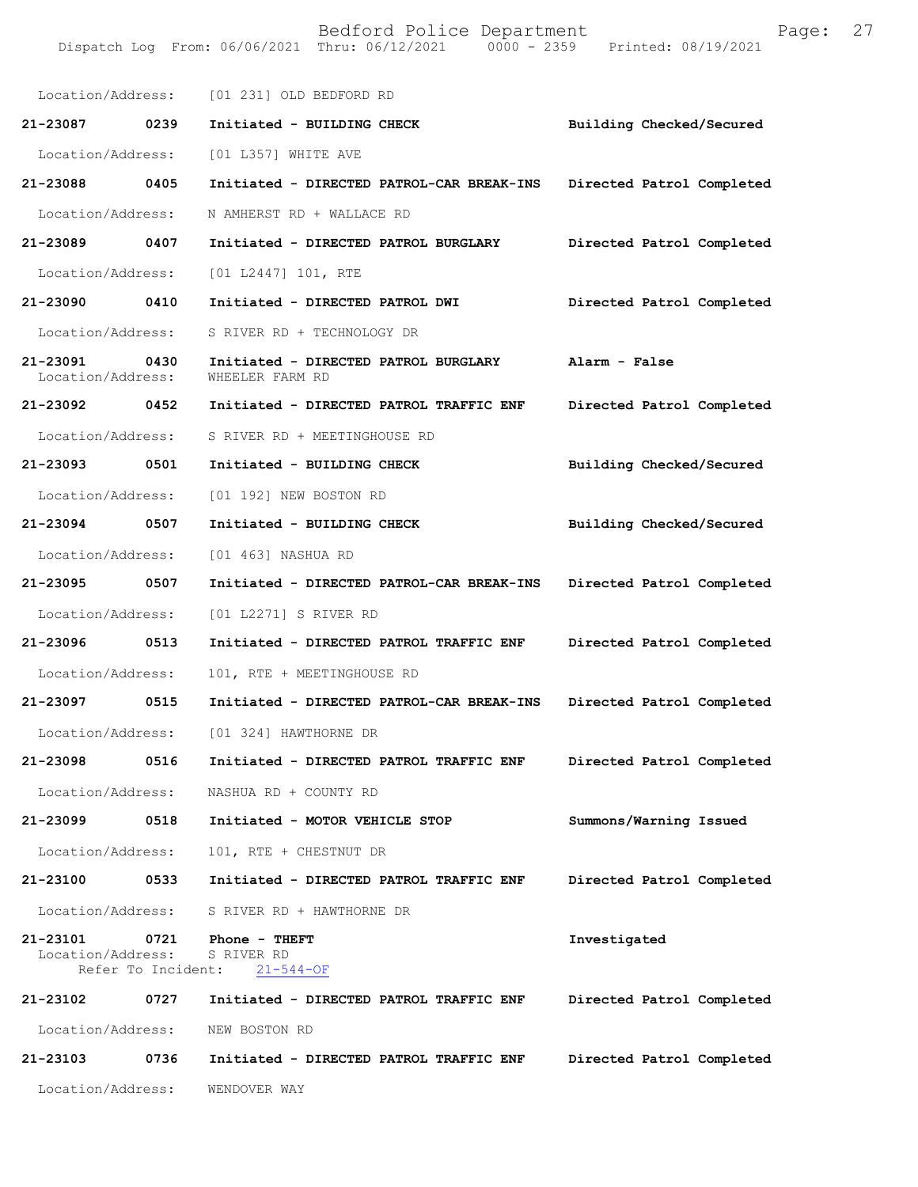|                                                     |      | Location/Address: [01 231] OLD BEDFORD RD               |                           |
|-----------------------------------------------------|------|---------------------------------------------------------|---------------------------|
| 21-23087 0239                                       |      | Initiated - BUILDING CHECK                              | Building Checked/Secured  |
| Location/Address:                                   |      | [01 L357] WHITE AVE                                     |                           |
| 21-23088 0405                                       |      | Initiated - DIRECTED PATROL-CAR BREAK-INS               | Directed Patrol Completed |
| Location/Address:                                   |      | N AMHERST RD + WALLACE RD                               |                           |
| 21-23089 0407                                       |      | Initiated - DIRECTED PATROL BURGLARY                    | Directed Patrol Completed |
| Location/Address:                                   |      | [01 L2447] 101, RTE                                     |                           |
| 21-23090 0410                                       |      | Initiated - DIRECTED PATROL DWI                         | Directed Patrol Completed |
| Location/Address:                                   |      | S RIVER RD + TECHNOLOGY DR                              |                           |
| 21-23091<br>0430<br>Location/Address:               |      | Initiated - DIRECTED PATROL BURGLARY<br>WHEELER FARM RD | Alarm - False             |
| 21-23092 0452                                       |      | Initiated - DIRECTED PATROL TRAFFIC ENF                 | Directed Patrol Completed |
| Location/Address:                                   |      | S RIVER RD + MEETINGHOUSE RD                            |                           |
| 21-23093 0501                                       |      | Initiated - BUILDING CHECK                              | Building Checked/Secured  |
| Location/Address:                                   |      | [01 192] NEW BOSTON RD                                  |                           |
| 21-23094 0507                                       |      | Initiated - BUILDING CHECK                              | Building Checked/Secured  |
| Location/Address:                                   |      | [01 463] NASHUA RD                                      |                           |
| 21-23095 0507                                       |      | Initiated - DIRECTED PATROL-CAR BREAK-INS               | Directed Patrol Completed |
| Location/Address:                                   |      | [01 L2271] S RIVER RD                                   |                           |
| 21-23096 0513                                       |      | Initiated - DIRECTED PATROL TRAFFIC ENF                 | Directed Patrol Completed |
| Location/Address:                                   |      | 101, RTE + MEETINGHOUSE RD                              |                           |
| 21-23097 0515                                       |      | Initiated - DIRECTED PATROL-CAR BREAK-INS               | Directed Patrol Completed |
| Location/Address:                                   |      | [01 324] HAWTHORNE DR                                   |                           |
| 21-23098                                            | 0516 | Initiated - DIRECTED PATROL TRAFFIC ENF                 | Directed Patrol Completed |
| Location/Address:                                   |      | NASHUA RD + COUNTY RD                                   |                           |
| 21-23099                                            | 0518 | Initiated - MOTOR VEHICLE STOP                          | Summons/Warning Issued    |
| Location/Address:                                   |      | 101, RTE + CHESTNUT DR                                  |                           |
| 21-23100                                            | 0533 | Initiated - DIRECTED PATROL TRAFFIC ENF                 | Directed Patrol Completed |
| Location/Address:                                   |      | S RIVER RD + HAWTHORNE DR                               |                           |
| 21-23101<br>Location/Address:<br>Refer To Incident: | 0721 | Phone - THEFT<br>S RIVER RD<br>$21 - 544 - OF$          | Investigated              |
| 21-23102                                            | 0727 | Initiated - DIRECTED PATROL TRAFFIC ENF                 | Directed Patrol Completed |
| Location/Address:                                   |      | NEW BOSTON RD                                           |                           |
| 21-23103                                            | 0736 | Initiated - DIRECTED PATROL TRAFFIC ENF                 | Directed Patrol Completed |
| Location/Address:                                   |      | WENDOVER WAY                                            |                           |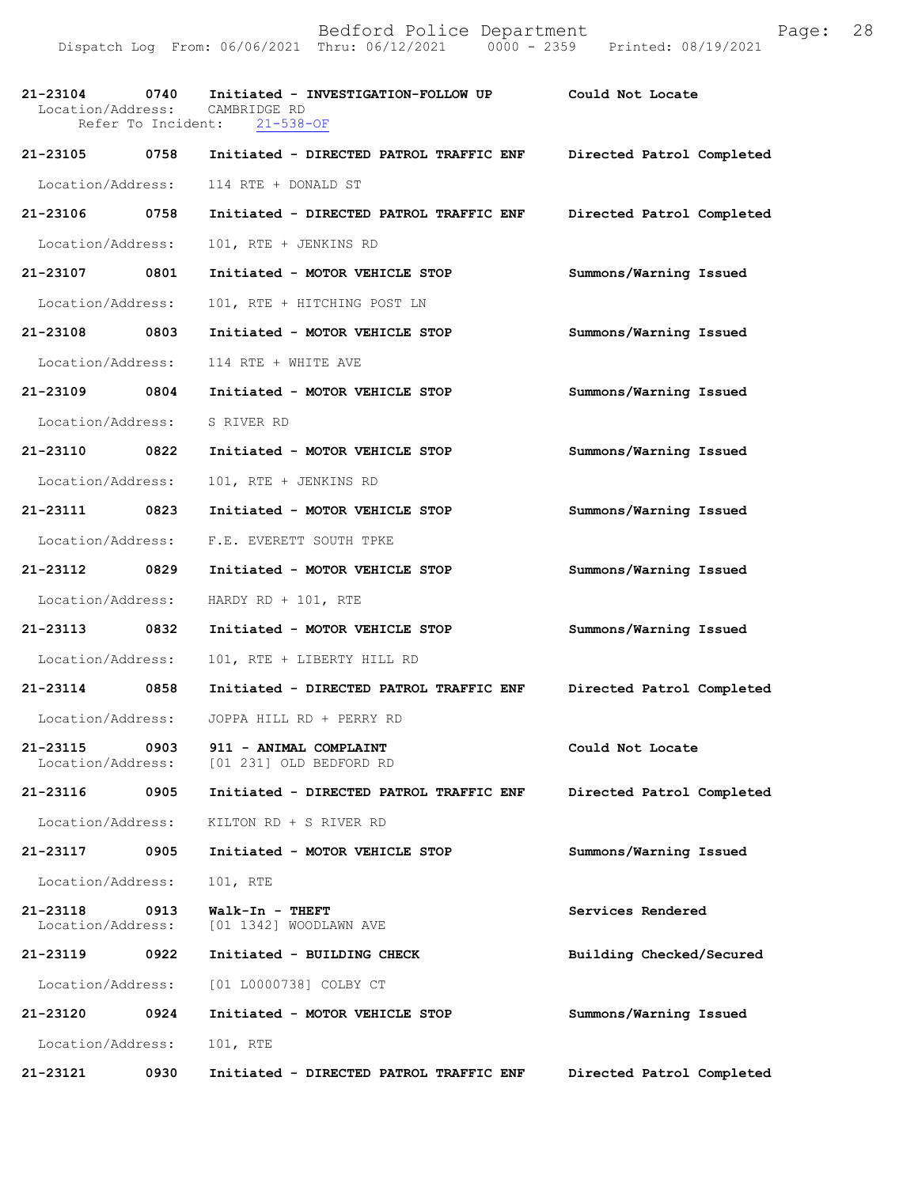|                               |      | 21-23104 0740 Initiated - INVESTIGATION-FOLLOW UP<br>Location/Address: CAMBRIDGE RD | Could Not Locate          |
|-------------------------------|------|-------------------------------------------------------------------------------------|---------------------------|
|                               |      | Refer To Incident: 21-538-OF                                                        |                           |
| 21-23105 0758                 |      | Initiated - DIRECTED PATROL TRAFFIC ENF                                             | Directed Patrol Completed |
| Location/Address:             |      | 114 RTE + DONALD ST                                                                 |                           |
| 21-23106 0758                 |      | Initiated - DIRECTED PATROL TRAFFIC ENF                                             | Directed Patrol Completed |
| Location/Address:             |      | 101, RTE + JENKINS RD                                                               |                           |
| 21-23107 0801                 |      | Initiated - MOTOR VEHICLE STOP                                                      | Summons/Warning Issued    |
| Location/Address:             |      | 101, RTE + HITCHING POST LN                                                         |                           |
| 21-23108 0803                 |      | Initiated - MOTOR VEHICLE STOP                                                      | Summons/Warning Issued    |
| Location/Address:             |      | 114 RTE + WHITE AVE                                                                 |                           |
| 21-23109 0804                 |      | Initiated - MOTOR VEHICLE STOP                                                      | Summons/Warning Issued    |
| Location/Address:             |      | S RIVER RD                                                                          |                           |
| 21-23110 0822                 |      | Initiated - MOTOR VEHICLE STOP                                                      | Summons/Warning Issued    |
| Location/Address:             |      | 101, RTE + JENKINS RD                                                               |                           |
| 21-23111 0823                 |      | Initiated - MOTOR VEHICLE STOP                                                      | Summons/Warning Issued    |
| Location/Address:             |      | F.E. EVERETT SOUTH TPKE                                                             |                           |
| 21-23112 0829                 |      | Initiated - MOTOR VEHICLE STOP                                                      | Summons/Warning Issued    |
| Location/Address:             |      | HARDY RD + $101$ , RTE                                                              |                           |
| 21-23113 0832                 |      | Initiated - MOTOR VEHICLE STOP                                                      | Summons/Warning Issued    |
| Location/Address:             |      | 101, RTE + LIBERTY HILL RD                                                          |                           |
| 21-23114 0858                 |      | Initiated - DIRECTED PATROL TRAFFIC ENF                                             | Directed Patrol Completed |
|                               |      | Location/Address: JOPPA HILL RD + PERRY RD                                          |                           |
| 21-23115<br>Location/Address: | 0903 | 911 - ANIMAL COMPLAINT<br>[01 231] OLD BEDFORD RD                                   | Could Not Locate          |
| 21-23116                      | 0905 | Initiated - DIRECTED PATROL TRAFFIC ENF                                             | Directed Patrol Completed |
| Location/Address:             |      | KILTON RD + S RIVER RD                                                              |                           |
| 21-23117                      | 0905 | Initiated - MOTOR VEHICLE STOP                                                      | Summons/Warning Issued    |
| Location/Address:             |      | 101, RTE                                                                            |                           |
| 21-23118<br>Location/Address: | 0913 | Walk-In - THEFT<br>[01 1342] WOODLAWN AVE                                           | Services Rendered         |
| 21-23119                      | 0922 | Initiated - BUILDING CHECK                                                          | Building Checked/Secured  |
| Location/Address:             |      | [01 L0000738] COLBY CT                                                              |                           |
| 21-23120                      | 0924 | Initiated - MOTOR VEHICLE STOP                                                      | Summons/Warning Issued    |
| Location/Address:             |      | 101, RTE                                                                            |                           |
| 21-23121                      | 0930 | Initiated - DIRECTED PATROL TRAFFIC ENF                                             | Directed Patrol Completed |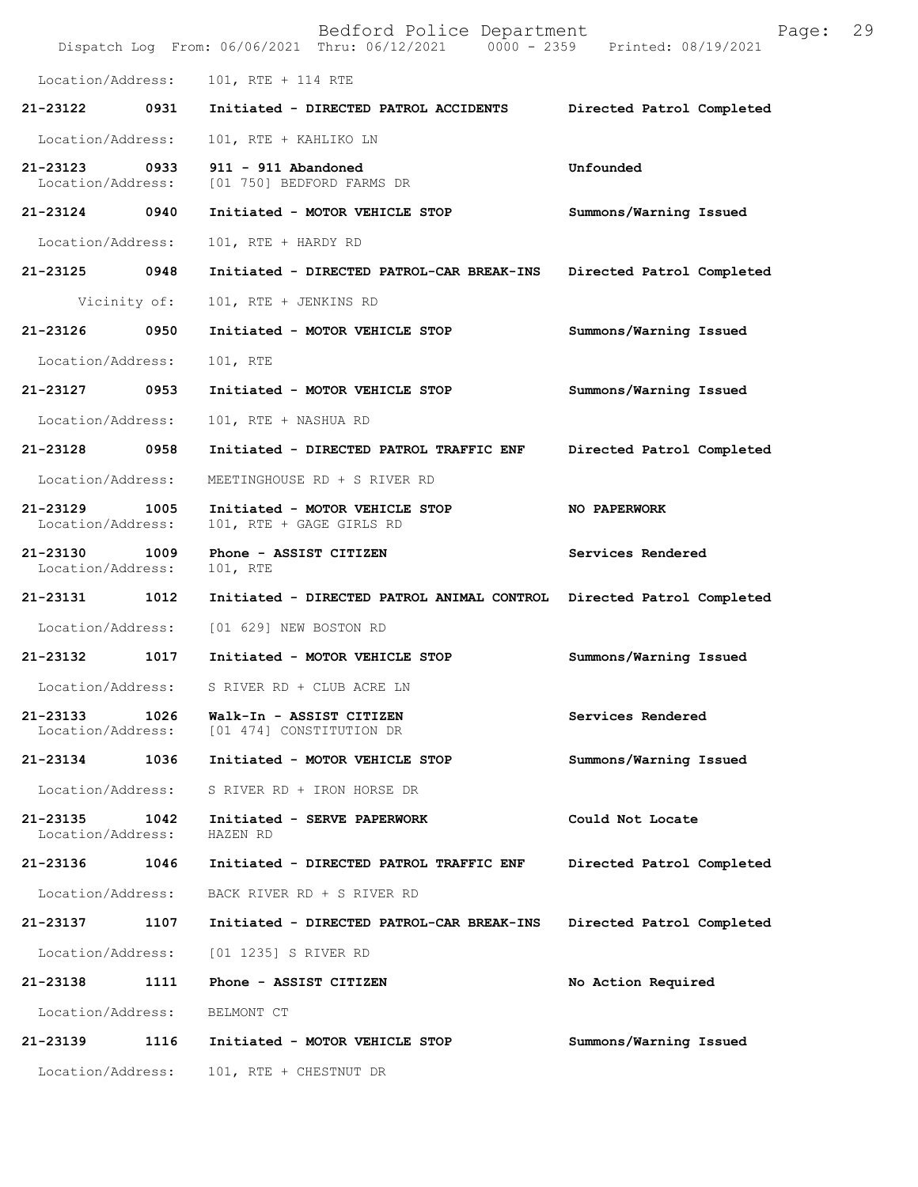|                               |              | Bedford Police Department<br>Dispatch Log From: 06/06/2021 Thru: 06/12/2021 0000 - 2359 Printed: 08/19/2021 | Page:                     | 29 |
|-------------------------------|--------------|-------------------------------------------------------------------------------------------------------------|---------------------------|----|
| Location/Address:             |              | 101, RTE + 114 RTE                                                                                          |                           |    |
| 21-23122                      | 0931         | Initiated - DIRECTED PATROL ACCIDENTS                                                                       | Directed Patrol Completed |    |
| Location/Address:             |              | 101, RTE + KAHLIKO LN                                                                                       |                           |    |
| 21-23123<br>Location/Address: | 0933         | 911 - 911 Abandoned<br>[01 750] BEDFORD FARMS DR                                                            | Unfounded                 |    |
| $21 - 23124$                  | 0940         | Initiated - MOTOR VEHICLE STOP                                                                              | Summons/Warning Issued    |    |
| Location/Address:             |              | 101, RTE + HARDY RD                                                                                         |                           |    |
| 21-23125                      | 0948         | Initiated - DIRECTED PATROL-CAR BREAK-INS                                                                   | Directed Patrol Completed |    |
|                               | Vicinity of: | 101, RTE + JENKINS RD                                                                                       |                           |    |
| 21-23126                      | 0950         | Initiated - MOTOR VEHICLE STOP                                                                              | Summons/Warning Issued    |    |
| Location/Address:             |              | 101, RTE                                                                                                    |                           |    |
| 21-23127                      | 0953         | Initiated - MOTOR VEHICLE STOP                                                                              | Summons/Warning Issued    |    |
| Location/Address:             |              | 101, RTE + NASHUA RD                                                                                        |                           |    |
| 21-23128                      | 0958         | Initiated - DIRECTED PATROL TRAFFIC ENF                                                                     | Directed Patrol Completed |    |
| Location/Address:             |              | MEETINGHOUSE RD + S RIVER RD                                                                                |                           |    |
| 21-23129<br>Location/Address: | 1005         | Initiated - MOTOR VEHICLE STOP<br>101, RTE + GAGE GIRLS RD                                                  | NO PAPERWORK              |    |
| 21-23130<br>Location/Address: | 1009         | Phone - ASSIST CITIZEN<br>101, RTE                                                                          | Services Rendered         |    |
| 21-23131                      | 1012         | Initiated - DIRECTED PATROL ANIMAL CONTROL Directed Patrol Completed                                        |                           |    |
| Location/Address:             |              | [01 629] NEW BOSTON RD                                                                                      |                           |    |
| 21-23132                      | 1017         | Initiated - MOTOR VEHICLE STOP                                                                              | Summons/Warning Issued    |    |
| Location/Address:             |              | S RIVER RD + CLUB ACRE LN                                                                                   |                           |    |
| 21-23133<br>Location/Address: | 1026         | Walk-In - ASSIST CITIZEN<br>[01 474] CONSTITUTION DR                                                        | Services Rendered         |    |
| 21-23134                      | 1036         | Initiated - MOTOR VEHICLE STOP                                                                              | Summons/Warning Issued    |    |
| Location/Address:             |              | S RIVER RD + IRON HORSE DR                                                                                  |                           |    |
| 21-23135<br>Location/Address: | 1042         | Initiated - SERVE PAPERWORK<br>HAZEN RD                                                                     | Could Not Locate          |    |
| 21-23136                      | 1046         | Initiated - DIRECTED PATROL TRAFFIC ENF                                                                     | Directed Patrol Completed |    |
| Location/Address:             |              | BACK RIVER RD + S RIVER RD                                                                                  |                           |    |
| 21-23137                      | 1107         | Initiated - DIRECTED PATROL-CAR BREAK-INS                                                                   | Directed Patrol Completed |    |
| Location/Address:             |              | [01 1235] S RIVER RD                                                                                        |                           |    |
| 21-23138                      | 1111         | Phone - ASSIST CITIZEN                                                                                      | No Action Required        |    |
| Location/Address:             |              | BELMONT CT                                                                                                  |                           |    |
| 21-23139                      | 1116         | Initiated - MOTOR VEHICLE STOP                                                                              | Summons/Warning Issued    |    |
| Location/Address:             |              | 101, RTE + CHESTNUT DR                                                                                      |                           |    |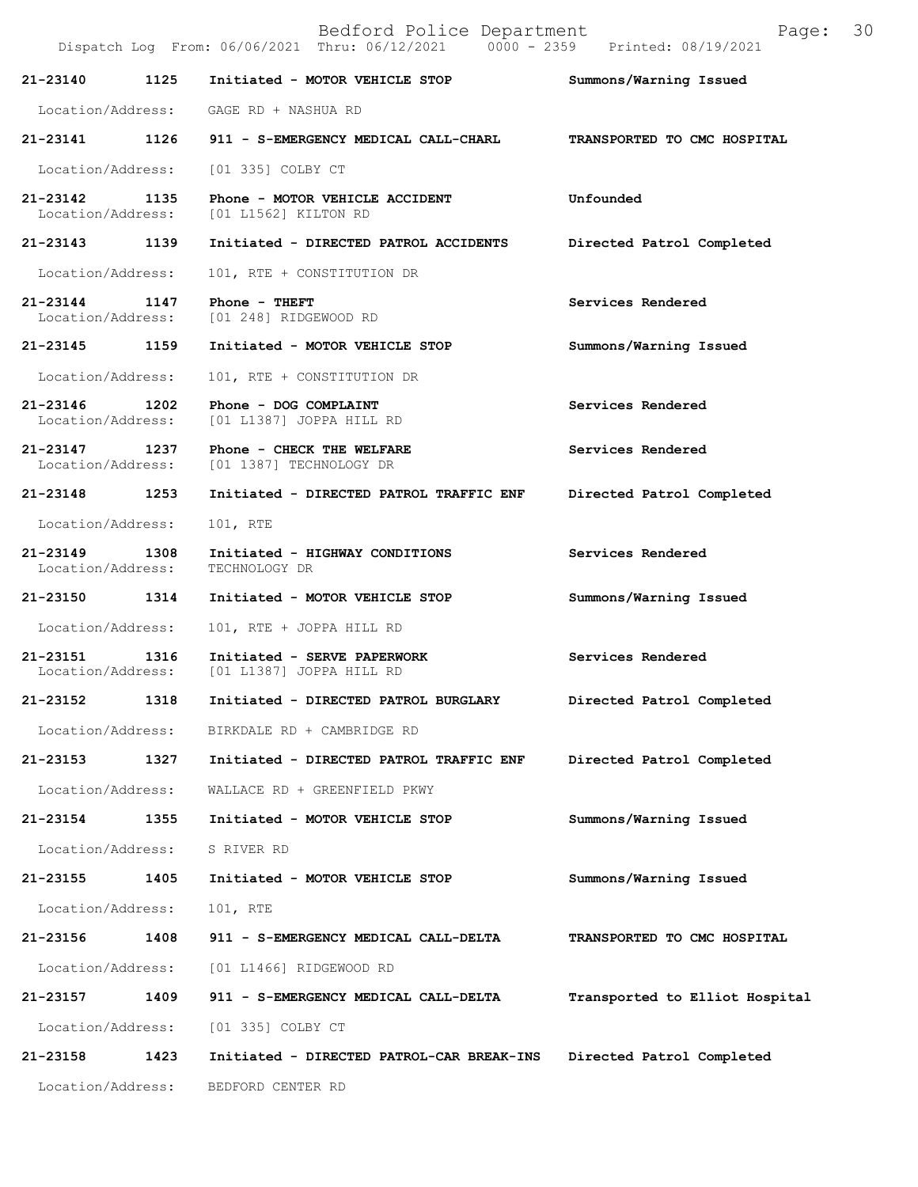Bedford Police Department Page: 30 Dispatch Log From: 06/06/2021 Thru: 06/12/2021 **21-23140 1125 Initiated - MOTOR VEHICLE STOP Summons/Warning Issued**  Location/Address: GAGE RD + NASHUA RD **21-23141 1126 911 - S-EMERGENCY MEDICAL CALL-CHARL TRANSPORTED TO CMC HOSPITAL**  Location/Address: [01 335] COLBY CT **21-23142 1135 Phone - MOTOR VEHICLE ACCIDENT Unfounded**  Location/Address: [01 L1562] KILTON RD **21-23143 1139 Initiated - DIRECTED PATROL ACCIDENTS Directed Patrol Completed**  Location/Address: 101, RTE + CONSTITUTION DR **21-23144 1147 Phone - THEFT 1147 Services Rendered Services Rendered Iocation/Address:** [01 248] RIDGEWOOD RD [01 248] RIDGEWOOD RD **21-23145 1159 Initiated - MOTOR VEHICLE STOP Summons/Warning Issued**  Location/Address: 101, RTE + CONSTITUTION DR **21-23146 1202 Phone - DOG COMPLAINT Services Rendered**  Location/Address: [01 L1387] JOPPA HILL RD **21-23147 1237 Phone - CHECK THE WELFARE Services Rendered**  Location/Address: [01 1387] TECHNOLOGY DR **21-23148 1253 Initiated - DIRECTED PATROL TRAFFIC ENF Directed Patrol Completed**  Location/Address: 101, RTE **21-23149 1308 Initiated - HIGHWAY CONDITIONS Services Rendered**  Location/Address: **21-23150 1314 Initiated - MOTOR VEHICLE STOP Summons/Warning Issued**  Location/Address: 101, RTE + JOPPA HILL RD **21-23151 1316 Initiated - SERVE PAPERWORK Services Rendered**  Location/Address: [01 L1387] JOPPA HILL RD **21-23152 1318 Initiated - DIRECTED PATROL BURGLARY Directed Patrol Completed**  Location/Address: BIRKDALE RD + CAMBRIDGE RD **21-23153 1327 Initiated - DIRECTED PATROL TRAFFIC ENF Directed Patrol Completed**  Location/Address: WALLACE RD + GREENFIELD PKWY **21-23154 1355 Initiated - MOTOR VEHICLE STOP Summons/Warning Issued**  Location/Address: S RIVER RD **21-23155 1405 Initiated - MOTOR VEHICLE STOP Summons/Warning Issued**  Location/Address: 101, RTE **21-23156 1408 911 - S-EMERGENCY MEDICAL CALL-DELTA TRANSPORTED TO CMC HOSPITAL**  Location/Address: [01 L1466] RIDGEWOOD RD **21-23157 1409 911 - S-EMERGENCY MEDICAL CALL-DELTA Transported to Elliot Hospital** Location/Address: [01 335] COLBY CT **21-23158 1423 Initiated - DIRECTED PATROL-CAR BREAK-INS Directed Patrol Completed** 

Location/Address: BEDFORD CENTER RD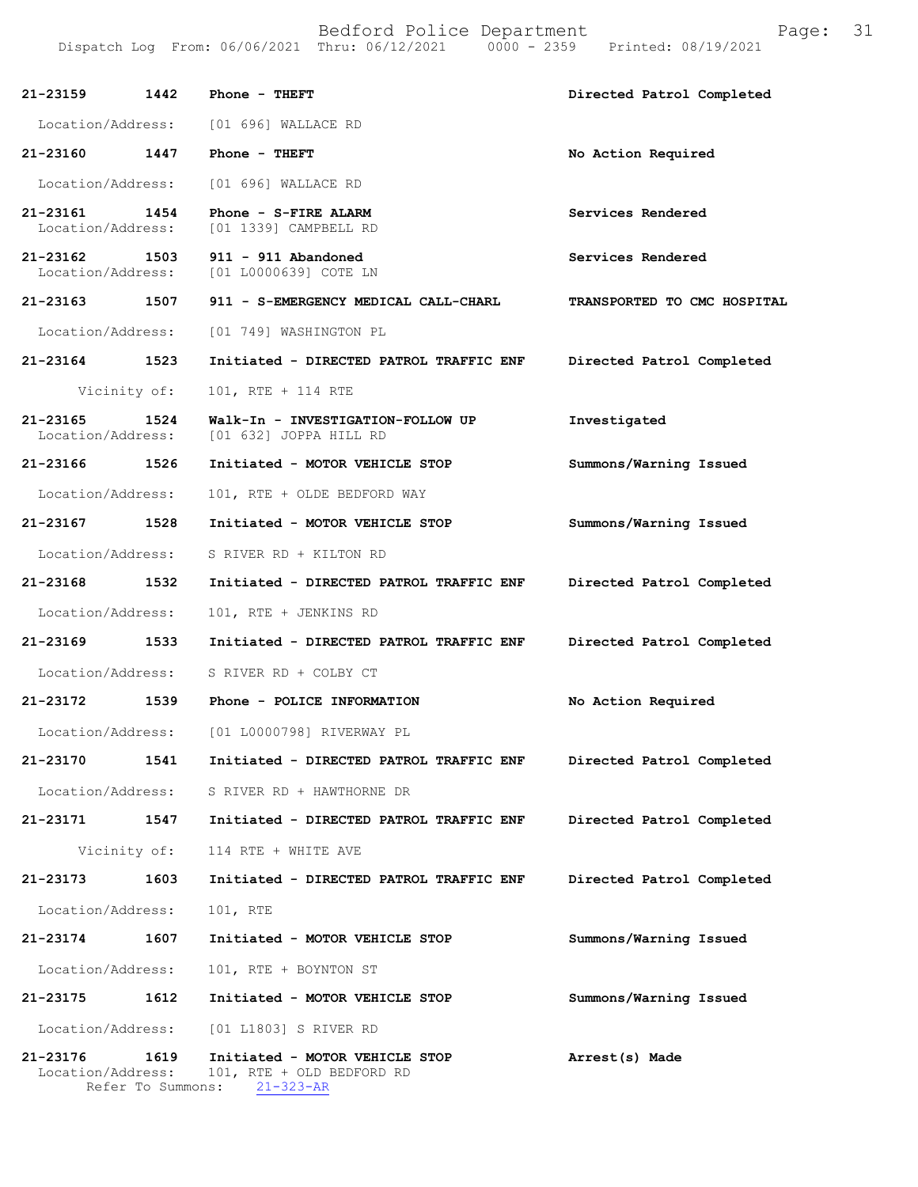|                   |              | 21-23159 1442 Phone - THEFT                                                   | Directed Patrol Completed   |
|-------------------|--------------|-------------------------------------------------------------------------------|-----------------------------|
|                   |              | Location/Address: [01 696] WALLACE RD                                         |                             |
| 21-23160 1447     |              | Phone - THEFT                                                                 | No Action Required          |
|                   |              | Location/Address: [01 696] WALLACE RD                                         |                             |
| 21-23161 1454     |              | Phone - S-FIRE ALARM<br>Location/Address: [01 1339] CAMPBELL RD               | Services Rendered           |
|                   |              | 21-23162 1503 911 - 911 Abandoned<br>Location/Address: [01 L0000639] COTE LN  | Services Rendered           |
|                   |              | 21-23163 1507 911 - S-EMERGENCY MEDICAL CALL-CHARL                            | TRANSPORTED TO CMC HOSPITAL |
|                   |              | Location/Address: [01 749] WASHINGTON PL                                      |                             |
| 21-23164 1523     |              | Initiated - DIRECTED PATROL TRAFFIC ENF                                       | Directed Patrol Completed   |
|                   | Vicinity of: | 101, RTE + 114 RTE                                                            |                             |
| 21-23165          | 1524         | Walk-In - INVESTIGATION-FOLLOW UP<br>Location/Address: [01 632] JOPPA HILL RD | Investigated                |
| 21-23166 1526     |              | Initiated - MOTOR VEHICLE STOP                                                | Summons/Warning Issued      |
| Location/Address: |              | 101, RTE + OLDE BEDFORD WAY                                                   |                             |
| 21-23167 1528     |              | Initiated - MOTOR VEHICLE STOP                                                | Summons/Warning Issued      |
|                   |              | Location/Address: S RIVER RD + KILTON RD                                      |                             |
| 21-23168 1532     |              | Initiated - DIRECTED PATROL TRAFFIC ENF                                       | Directed Patrol Completed   |
| Location/Address: |              | 101, RTE + JENKINS RD                                                         |                             |
| 21-23169 1533     |              | Initiated - DIRECTED PATROL TRAFFIC ENF                                       | Directed Patrol Completed   |
|                   |              | Location/Address: S RIVER RD + COLBY CT                                       |                             |
| 21-23172 1539     |              | Phone - POLICE INFORMATION                                                    | No Action Required          |
| Location/Address: |              | [01 L0000798] RIVERWAY PL                                                     |                             |
| 21-23170          | 1541         | Initiated - DIRECTED PATROL TRAFFIC ENF                                       | Directed Patrol Completed   |
| Location/Address: |              | S RIVER RD + HAWTHORNE DR                                                     |                             |
| 21-23171          | 1547         | Initiated - DIRECTED PATROL TRAFFIC ENF                                       | Directed Patrol Completed   |
|                   | Vicinity of: | 114 RTE + WHITE AVE                                                           |                             |
| 21-23173          | 1603         | Initiated - DIRECTED PATROL TRAFFIC ENF                                       | Directed Patrol Completed   |
| Location/Address: |              | 101, RTE                                                                      |                             |
| 21-23174          | 1607         | Initiated - MOTOR VEHICLE STOP                                                | Summons/Warning Issued      |
| Location/Address: |              | 101, RTE + BOYNTON ST                                                         |                             |
| 21-23175          | 1612         | Initiated - MOTOR VEHICLE STOP                                                | Summons/Warning Issued      |
| Location/Address: |              | [01 L1803] S RIVER RD                                                         |                             |
| 21-23176          | 1619         | Initiated - MOTOR VEHICLE STOP                                                | Arrest(s) Made              |

 Location/Address: 101, RTE + OLD BEDFORD RD Refer To Summons: 21-323-AR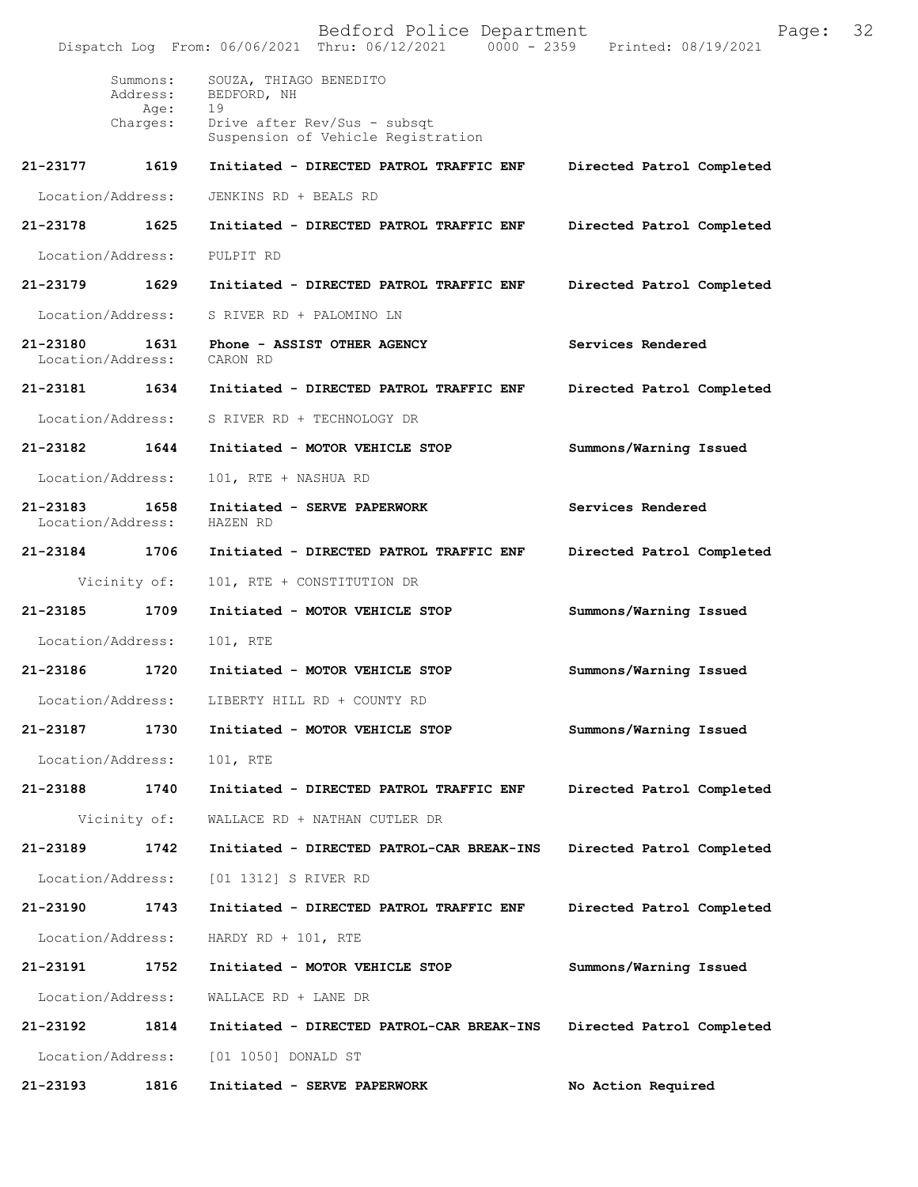Bedford Police Department Page: 32 Dispatch Log From: 06/06/2021 Thru: 06/12/2021 Summons: SOUZA, THIAGO BENEDITO Address: BEDFORD, NH<br>Age: 19 Age:<br>:Charges Drive after Rev/Sus - subsqt Suspension of Vehicle Registration **21-23177 1619 Initiated - DIRECTED PATROL TRAFFIC ENF Directed Patrol Completed** Location/Address: JENKINS RD + BEALS RD **21-23178 1625 Initiated - DIRECTED PATROL TRAFFIC ENF Directed Patrol Completed** Location/Address: PULPIT RD **21-23179 1629 Initiated - DIRECTED PATROL TRAFFIC ENF Directed Patrol Completed** Location/Address: S RIVER RD + PALOMINO LN **21-23180 1631 Phone - ASSIST OTHER AGENCY Services Rendered** Location/Address: CARON RD **21-23181 1634 Initiated - DIRECTED PATROL TRAFFIC ENF Directed Patrol Completed** Location/Address: S RIVER RD + TECHNOLOGY DR **21-23182 1644 Initiated - MOTOR VEHICLE STOP Summons/Warning Issued** Location/Address: 101, RTE + NASHUA RD **21-23183 1658 Initiated - SERVE PAPERWORK Services Rendered** Location/Address: **21-23184 1706 Initiated - DIRECTED PATROL TRAFFIC ENF Directed Patrol Completed** Vicinity of: 101, RTE + CONSTITUTION DR **21-23185 1709 Initiated - MOTOR VEHICLE STOP Summons/Warning Issued** Location/Address: 101, RTE **21-23186 1720 Initiated - MOTOR VEHICLE STOP Summons/Warning Issued** Location/Address: LIBERTY HILL RD + COUNTY RD **21-23187 1730 Initiated - MOTOR VEHICLE STOP Summons/Warning Issued** Location/Address: 101, RTE **21-23188 1740 Initiated - DIRECTED PATROL TRAFFIC ENF Directed Patrol Completed** Vicinity of: WALLACE RD + NATHAN CUTLER DR **21-23189 1742 Initiated - DIRECTED PATROL-CAR BREAK-INS Directed Patrol Completed** Location/Address: [01 1312] S RIVER RD **21-23190 1743 Initiated - DIRECTED PATROL TRAFFIC ENF Directed Patrol Completed** Location/Address: HARDY RD + 101, RTE **21-23191 1752 Initiated - MOTOR VEHICLE STOP Summons/Warning Issued** Location/Address: WALLACE RD + LANE DR **21-23192 1814 Initiated - DIRECTED PATROL-CAR BREAK-INS Directed Patrol Completed** Location/Address: [01 1050] DONALD ST **21-23193 1816 Initiated - SERVE PAPERWORK No Action Required**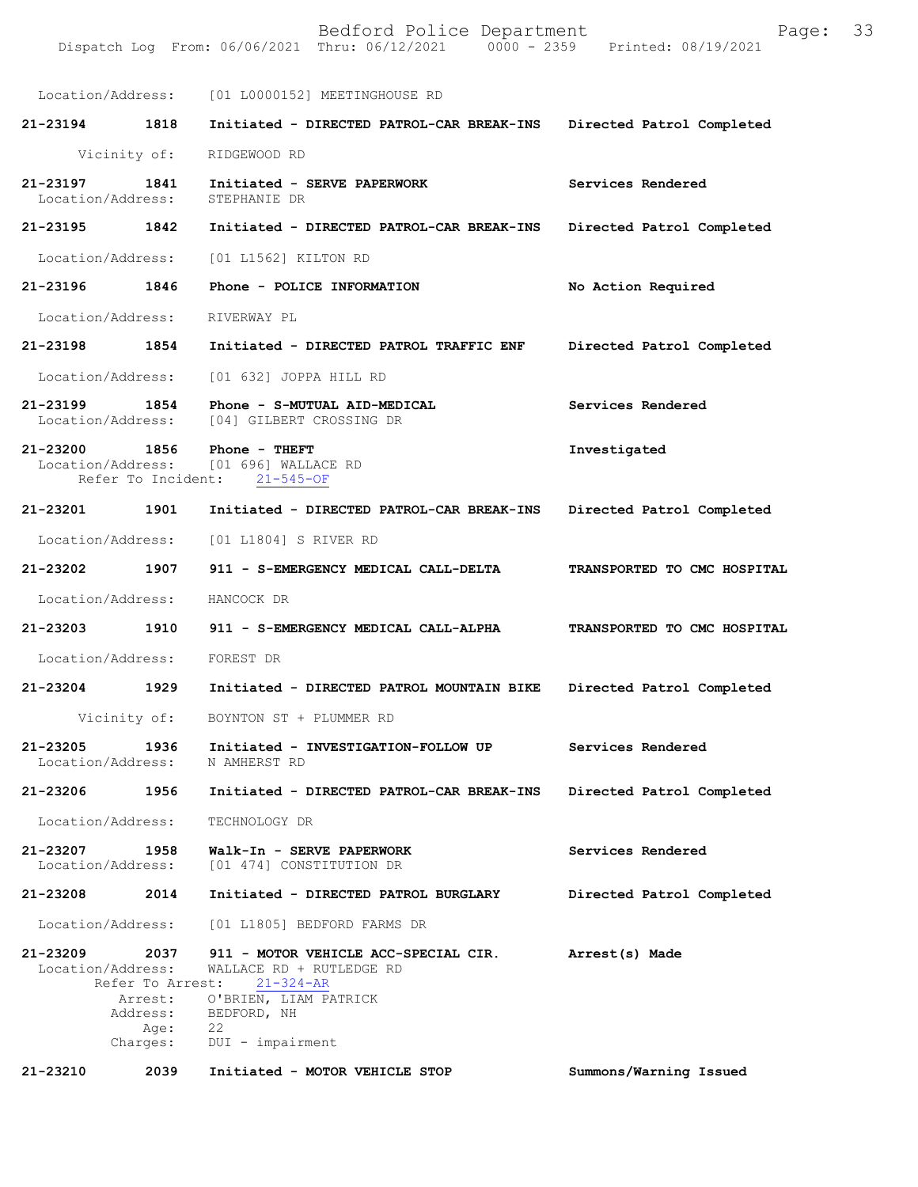|                               |                                              | Location/Address: [01 L0000152] MEETINGHOUSE RD                                                                                                                        |                             |
|-------------------------------|----------------------------------------------|------------------------------------------------------------------------------------------------------------------------------------------------------------------------|-----------------------------|
| 21-23194                      | 1818                                         | Initiated - DIRECTED PATROL-CAR BREAK-INS                                                                                                                              | Directed Patrol Completed   |
|                               | Vicinity of:                                 | RIDGEWOOD RD                                                                                                                                                           |                             |
| 21-23197<br>Location/Address: | 1841                                         | Initiated - SERVE PAPERWORK<br>STEPHANIE DR                                                                                                                            | Services Rendered           |
| 21-23195 1842                 |                                              | Initiated - DIRECTED PATROL-CAR BREAK-INS                                                                                                                              | Directed Patrol Completed   |
| Location/Address:             |                                              | [01 L1562] KILTON RD                                                                                                                                                   |                             |
| 21-23196 1846                 |                                              | Phone - POLICE INFORMATION                                                                                                                                             | No Action Required          |
| Location/Address: RIVERWAY PL |                                              |                                                                                                                                                                        |                             |
| 21-23198 1854                 |                                              | Initiated - DIRECTED PATROL TRAFFIC ENF                                                                                                                                | Directed Patrol Completed   |
| Location/Address:             |                                              | [01 632] JOPPA HILL RD                                                                                                                                                 |                             |
| 21-23199<br>Location/Address: | 1854                                         | Phone - S-MUTUAL AID-MEDICAL<br>[04] GILBERT CROSSING DR                                                                                                               | Services Rendered           |
| 21-23200 1856                 |                                              | $Phone - THEFT$<br>Location/Address: [01 696] WALLACE RD<br>Refer To Incident: 21-545-OF                                                                               | Investigated                |
| 21-23201 1901                 |                                              | Initiated - DIRECTED PATROL-CAR BREAK-INS                                                                                                                              | Directed Patrol Completed   |
| Location/Address:             |                                              | [01 L1804] S RIVER RD                                                                                                                                                  |                             |
| 21-23202 1907                 |                                              | 911 - S-EMERGENCY MEDICAL CALL-DELTA                                                                                                                                   | TRANSPORTED TO CMC HOSPITAL |
| Location/Address:             |                                              | HANCOCK DR                                                                                                                                                             |                             |
| 21-23203                      | 1910                                         | 911 - S-EMERGENCY MEDICAL CALL-ALPHA                                                                                                                                   | TRANSPORTED TO CMC HOSPITAL |
| Location/Address: FOREST DR   |                                              |                                                                                                                                                                        |                             |
| 21-23204 1929                 |                                              | Initiated - DIRECTED PATROL MOUNTAIN BIKE                                                                                                                              | Directed Patrol Completed   |
|                               | Vicinity of:                                 | BOYNTON ST + PLUMMER RD                                                                                                                                                |                             |
| 21-23205<br>Location/Address: | 1936                                         | Initiated - INVESTIGATION-FOLLOW UP<br>N AMHERST RD                                                                                                                    | Services Rendered           |
| 21-23206                      | 1956                                         | Initiated - DIRECTED PATROL-CAR BREAK-INS                                                                                                                              | Directed Patrol Completed   |
| Location/Address:             |                                              | TECHNOLOGY DR                                                                                                                                                          |                             |
| 21-23207<br>Location/Address: | 1958                                         | Walk-In - SERVE PAPERWORK<br>[01 474] CONSTITUTION DR                                                                                                                  | Services Rendered           |
| 21-23208                      | 2014                                         | Initiated - DIRECTED PATROL BURGLARY                                                                                                                                   | Directed Patrol Completed   |
| Location/Address:             |                                              | [01 L1805] BEDFORD FARMS DR                                                                                                                                            |                             |
| 21-23209<br>Location/Address: | 2037<br>Refer To Arrest:<br>Age:<br>Charges: | 911 - MOTOR VEHICLE ACC-SPECIAL CIR.<br>WALLACE RD + RUTLEDGE RD<br>$21 - 324 - AR$<br>Arrest: O'BRIEN, LIAM PATRICK<br>Address: BEDFORD, NH<br>22<br>DUI - impairment | Arrest(s) Made              |
| 21-23210                      | 2039                                         | Initiated - MOTOR VEHICLE STOP                                                                                                                                         | Summons/Warning Issued      |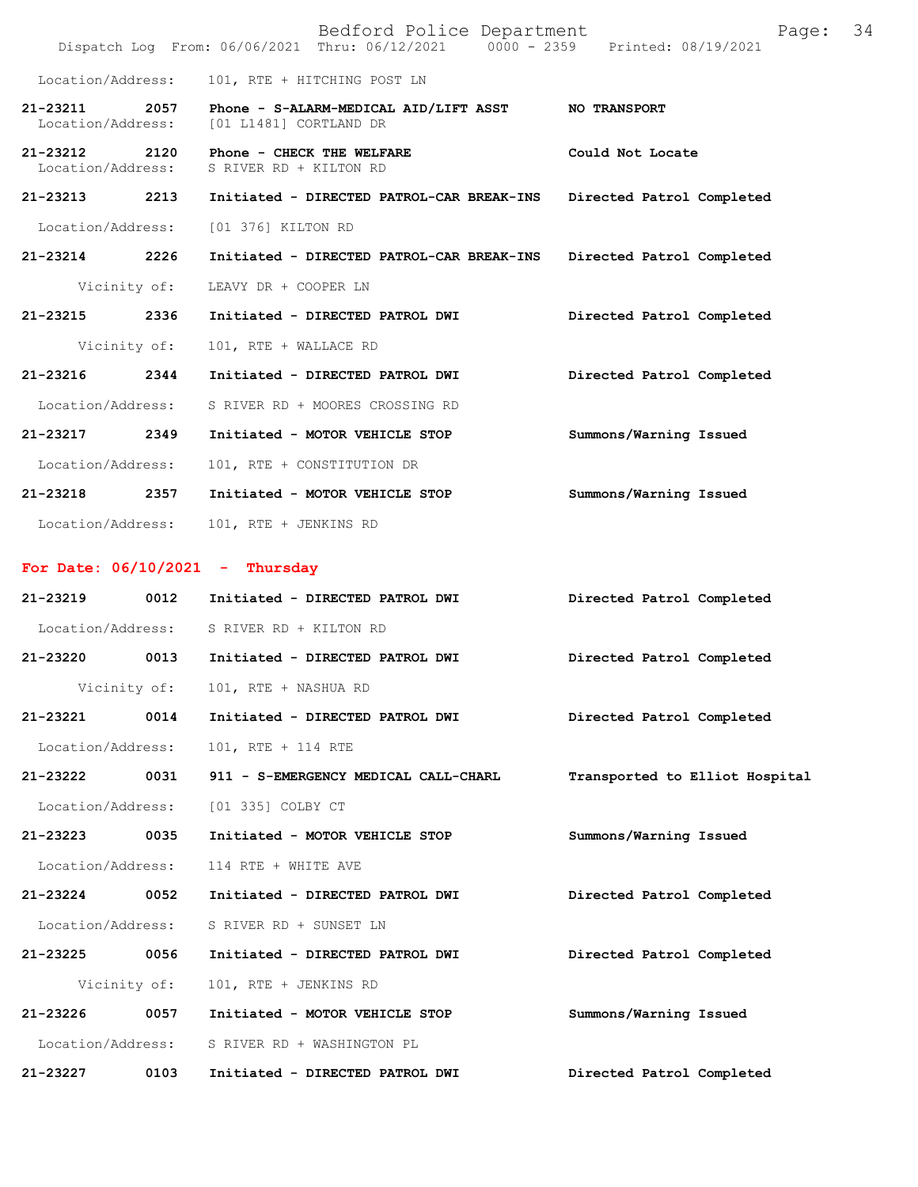|                                    |              | Bedford Police Department<br>Dispatch Log From: 06/06/2021 Thru: 06/12/2021 0000 - 2359 Printed: 08/19/2021 | Page:                          | 34 |
|------------------------------------|--------------|-------------------------------------------------------------------------------------------------------------|--------------------------------|----|
| Location/Address:                  |              | 101, RTE + HITCHING POST LN                                                                                 |                                |    |
| 21-23211<br>Location/Address:      |              | 2057 Phone - S-ALARM-MEDICAL AID/LIFT ASST<br>[01 L1481] CORTLAND DR                                        | <b>NO TRANSPORT</b>            |    |
| 21-23212 2120<br>Location/Address: |              | Phone - CHECK THE WELFARE<br>S RIVER RD + KILTON RD                                                         | Could Not Locate               |    |
| 21-23213 2213                      |              | Initiated - DIRECTED PATROL-CAR BREAK-INS                                                                   | Directed Patrol Completed      |    |
| Location/Address:                  |              | [01 376] KILTON RD                                                                                          |                                |    |
| 21-23214 2226                      |              | Initiated - DIRECTED PATROL-CAR BREAK-INS                                                                   | Directed Patrol Completed      |    |
|                                    | Vicinity of: | LEAVY DR + COOPER LN                                                                                        |                                |    |
| 21-23215 2336                      |              | Initiated - DIRECTED PATROL DWI                                                                             | Directed Patrol Completed      |    |
|                                    | Vicinity of: | 101, RTE + WALLACE RD                                                                                       |                                |    |
| 21-23216 2344                      |              | Initiated - DIRECTED PATROL DWI                                                                             | Directed Patrol Completed      |    |
| Location/Address:                  |              | S RIVER RD + MOORES CROSSING RD                                                                             |                                |    |
| 21-23217                           | 2349         | Initiated - MOTOR VEHICLE STOP                                                                              | Summons/Warning Issued         |    |
| Location/Address:                  |              | 101, RTE + CONSTITUTION DR                                                                                  |                                |    |
|                                    |              | 21-23218 2357 Initiated - MOTOR VEHICLE STOP                                                                | Summons/Warning Issued         |    |
|                                    |              | Location/Address: 101, RTE + JENKINS RD                                                                     |                                |    |
|                                    |              | For Date: $06/10/2021$ - Thursday                                                                           |                                |    |
| 21-23219                           |              | 0012 Initiated - DIRECTED PATROL DWI                                                                        | Directed Patrol Completed      |    |
|                                    |              | Location/Address: S RIVER RD + KILTON RD                                                                    |                                |    |
|                                    |              | 21-23220 0013 Initiated - DIRECTED PATROL DWI                                                               | Directed Patrol Completed      |    |
|                                    | Vicinity of: | 101, RTE + NASHUA RD                                                                                        |                                |    |
| 21-23221                           | 0014         | Initiated - DIRECTED PATROL DWI                                                                             | Directed Patrol Completed      |    |
| Location/Address:                  |              | 101, RTE + 114 RTE                                                                                          |                                |    |
| 21-23222                           | 0031         | 911 - S-EMERGENCY MEDICAL CALL-CHARL                                                                        | Transported to Elliot Hospital |    |
| Location/Address:                  |              | [01 335] COLBY CT                                                                                           |                                |    |
| 21-23223                           | 0035         | Initiated - MOTOR VEHICLE STOP                                                                              | Summons/Warning Issued         |    |
| Location/Address:                  |              | 114 RTE + WHITE AVE                                                                                         |                                |    |
| 21-23224                           | 0052         | Initiated - DIRECTED PATROL DWI                                                                             | Directed Patrol Completed      |    |
| Location/Address:                  |              | S RIVER RD + SUNSET LN                                                                                      |                                |    |
| 21-23225                           | 0056         | Initiated - DIRECTED PATROL DWI                                                                             | Directed Patrol Completed      |    |
|                                    | Vicinity of: | 101, RTE + JENKINS RD                                                                                       |                                |    |
| 21-23226                           | 0057         | Initiated - MOTOR VEHICLE STOP                                                                              | Summons/Warning Issued         |    |
| Location/Address:                  |              | S RIVER RD + WASHINGTON PL                                                                                  |                                |    |
| 21-23227                           | 0103         | Initiated - DIRECTED PATROL DWI                                                                             | Directed Patrol Completed      |    |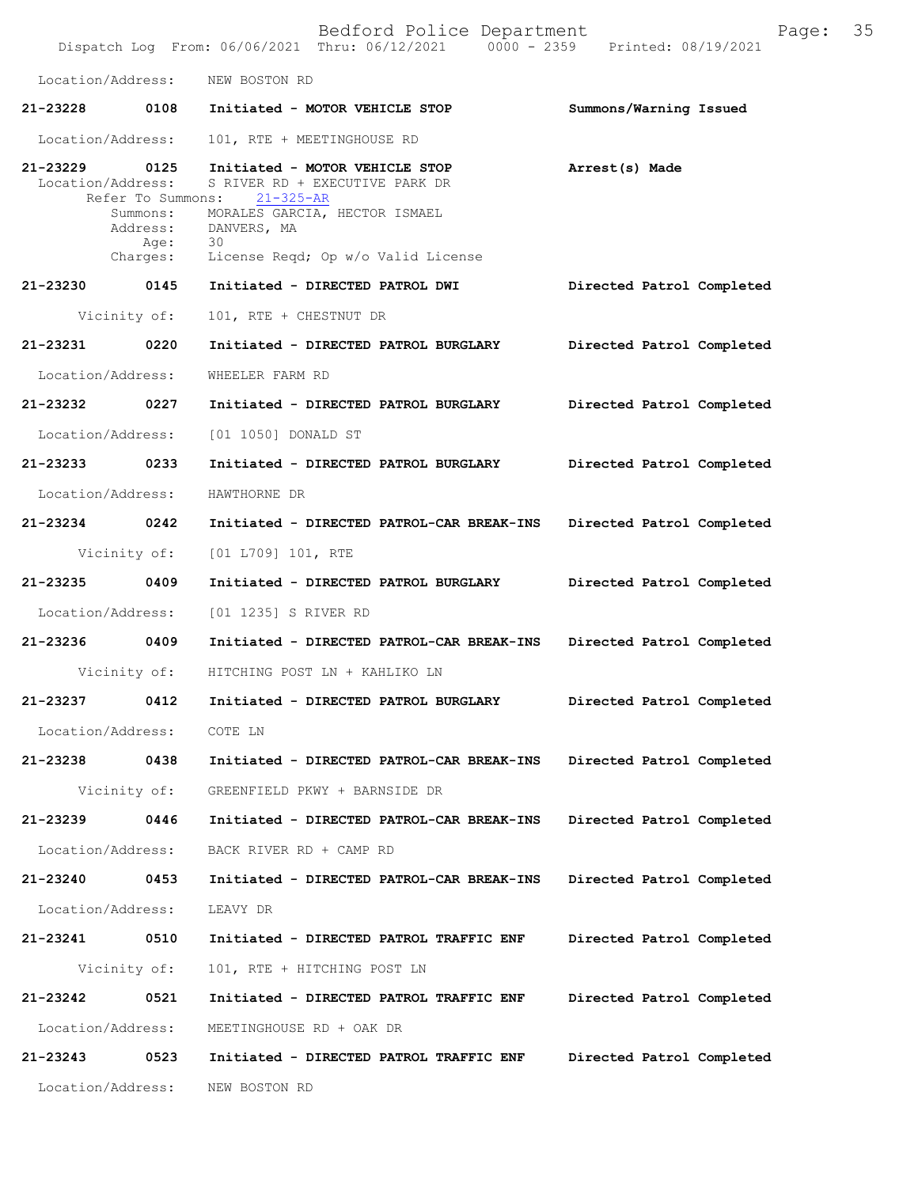|                                    |                              | Bedford Police Department<br>Dispatch Log From: 06/06/2021 Thru: 06/12/2021 0000 - 2359 Printed: 08/19/2021 | Page:                     | 35 |
|------------------------------------|------------------------------|-------------------------------------------------------------------------------------------------------------|---------------------------|----|
| Location/Address:                  |                              | NEW BOSTON RD                                                                                               |                           |    |
| 21-23228                           |                              | 0108 Initiated - MOTOR VEHICLE STOP                                                                         | Summons/Warning Issued    |    |
| Location/Address:                  |                              | 101, RTE + MEETINGHOUSE RD                                                                                  |                           |    |
| 21-23229 0125<br>Location/Address: | Refer To Summons:            | Initiated - MOTOR VEHICLE STOP<br>S RIVER RD + EXECUTIVE PARK DR<br>$21 - 325 - AR$                         | Arrest(s) Made            |    |
|                                    | Summons:<br>Address:<br>Age: | MORALES GARCIA, HECTOR ISMAEL<br>DANVERS, MA<br>30                                                          |                           |    |
|                                    | Charges:                     | License Reqd; Op w/o Valid License                                                                          |                           |    |
| 21-23230 0145                      |                              | Initiated - DIRECTED PATROL DWI                                                                             | Directed Patrol Completed |    |
| Vicinity of:                       |                              | 101, RTE + CHESTNUT DR                                                                                      |                           |    |
| 21-23231                           | 0220                         | Initiated - DIRECTED PATROL BURGLARY                                                                        | Directed Patrol Completed |    |
| Location/Address:                  |                              | WHEELER FARM RD                                                                                             |                           |    |
| 21-23232 0227                      |                              | Initiated - DIRECTED PATROL BURGLARY                                                                        | Directed Patrol Completed |    |
| Location/Address:                  |                              | [01 1050] DONALD ST                                                                                         |                           |    |
| 21-23233 0233                      |                              | Initiated - DIRECTED PATROL BURGLARY                                                                        | Directed Patrol Completed |    |
| Location/Address:                  |                              | HAWTHORNE DR                                                                                                |                           |    |
| 21-23234 0242                      |                              | Initiated - DIRECTED PATROL-CAR BREAK-INS Directed Patrol Completed                                         |                           |    |
|                                    | Vicinity of:                 | [01 L709] 101, RTE                                                                                          |                           |    |
| 21-23235                           | 0409                         | Initiated - DIRECTED PATROL BURGLARY                                                                        | Directed Patrol Completed |    |
| Location/Address:                  |                              | [01 1235] S RIVER RD                                                                                        |                           |    |
| 21-23236 0409                      |                              | Initiated - DIRECTED PATROL-CAR BREAK-INS Directed Patrol Completed                                         |                           |    |
|                                    |                              | Vicinity of: HITCHING POST LN + KAHLIKO LN                                                                  |                           |    |
| 21-23237                           | 0412                         | Initiated - DIRECTED PATROL BURGLARY                                                                        | Directed Patrol Completed |    |
| Location/Address:                  |                              | COTE LN                                                                                                     |                           |    |
| 21-23238                           | 0438                         | Initiated - DIRECTED PATROL-CAR BREAK-INS                                                                   | Directed Patrol Completed |    |
| Vicinity of:                       |                              | GREENFIELD PKWY + BARNSIDE DR                                                                               |                           |    |
| 21-23239                           | 0446                         | Initiated - DIRECTED PATROL-CAR BREAK-INS                                                                   | Directed Patrol Completed |    |
| Location/Address:                  |                              | BACK RIVER RD + CAMP RD                                                                                     |                           |    |
| 21-23240                           | 0453                         | Initiated - DIRECTED PATROL-CAR BREAK-INS                                                                   | Directed Patrol Completed |    |
| Location/Address:                  |                              | LEAVY DR                                                                                                    |                           |    |
| 21-23241                           | 0510                         | Initiated - DIRECTED PATROL TRAFFIC ENF                                                                     | Directed Patrol Completed |    |
| Vicinity of:                       |                              | 101, RTE + HITCHING POST LN                                                                                 |                           |    |
| 21-23242                           | 0521                         | Initiated - DIRECTED PATROL TRAFFIC ENF                                                                     | Directed Patrol Completed |    |
| Location/Address:                  |                              | MEETINGHOUSE RD + OAK DR                                                                                    |                           |    |
| 21-23243                           | 0523                         | Initiated - DIRECTED PATROL TRAFFIC ENF                                                                     | Directed Patrol Completed |    |
| Location/Address:                  |                              | NEW BOSTON RD                                                                                               |                           |    |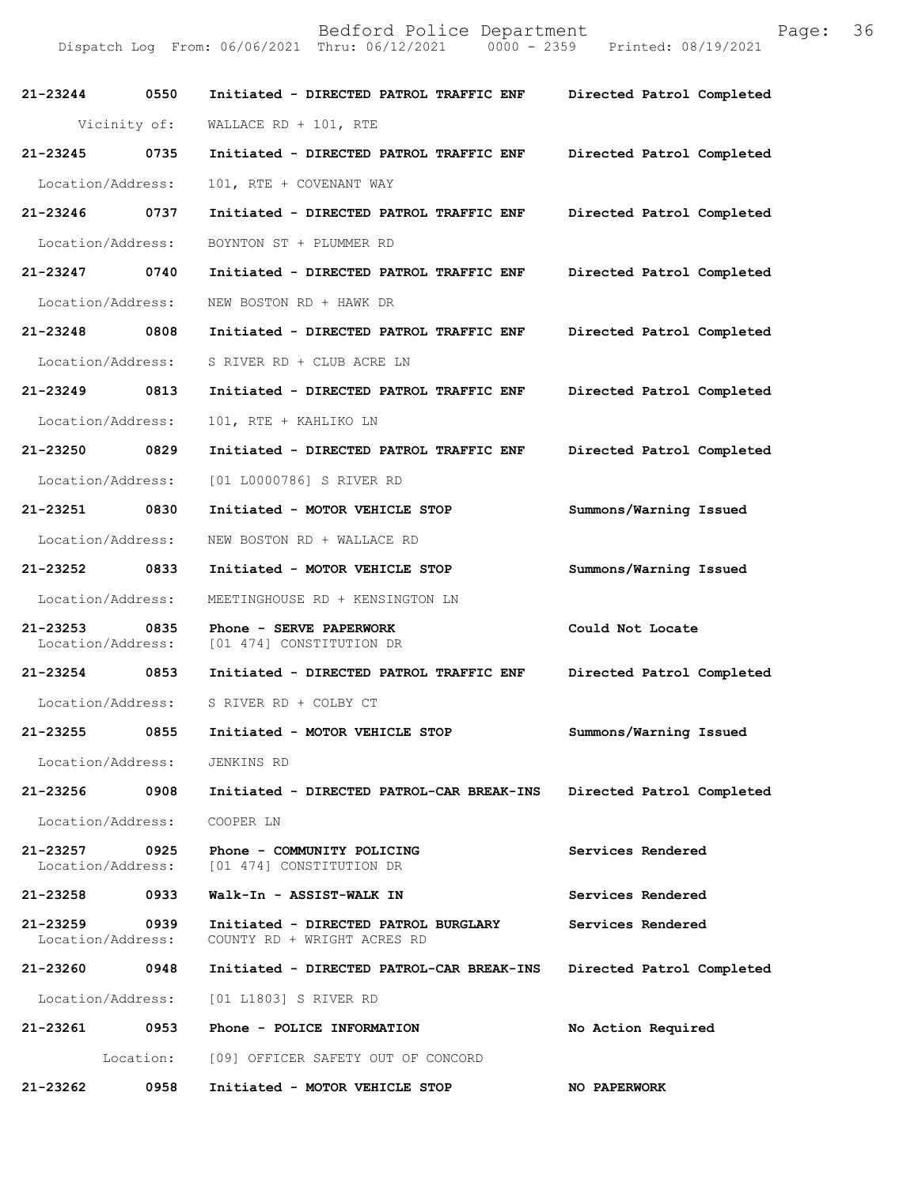|                               |           | Dispatch Log From: 06/06/2021 Thru: 06/12/2021<br>$0000 - 2359$     | Printed: 08/19/2021       |
|-------------------------------|-----------|---------------------------------------------------------------------|---------------------------|
| $21 - 23244$                  | 0550      | Initiated - DIRECTED PATROL TRAFFIC ENF                             | Directed Patrol Completed |
| Vicinity of:                  |           | WALLACE RD + $101$ , RTE                                            |                           |
| 21-23245                      | 0735      | Initiated - DIRECTED PATROL TRAFFIC ENF                             | Directed Patrol Completed |
| Location/Address:             |           | 101, RTE + COVENANT WAY                                             |                           |
| 21-23246 0737                 |           | Initiated - DIRECTED PATROL TRAFFIC ENF                             | Directed Patrol Completed |
| Location/Address:             |           | BOYNTON ST + PLUMMER RD                                             |                           |
| $21 - 23247$                  | 0740      | Initiated - DIRECTED PATROL TRAFFIC ENF                             | Directed Patrol Completed |
| Location/Address:             |           | NEW BOSTON RD + HAWK DR                                             |                           |
| 21-23248                      | 0808      | Initiated - DIRECTED PATROL TRAFFIC ENF                             | Directed Patrol Completed |
| Location/Address:             |           | S RIVER RD + CLUB ACRE LN                                           |                           |
| 21-23249 0813                 |           | Initiated - DIRECTED PATROL TRAFFIC ENF                             | Directed Patrol Completed |
| Location/Address:             |           | 101, RTE + KAHLIKO LN                                               |                           |
| 21-23250 0829                 |           | Initiated - DIRECTED PATROL TRAFFIC ENF                             | Directed Patrol Completed |
| Location/Address:             |           | [01 L0000786] S RIVER RD                                            |                           |
| 21-23251                      | 0830      | Initiated - MOTOR VEHICLE STOP                                      | Summons/Warning Issued    |
| Location/Address:             |           | NEW BOSTON RD + WALLACE RD                                          |                           |
| 21-23252 0833                 |           | Initiated - MOTOR VEHICLE STOP                                      | Summons/Warning Issued    |
| Location/Address:             |           | MEETINGHOUSE RD + KENSINGTON LN                                     |                           |
| 21-23253<br>Location/Address: | 0835      | Phone - SERVE PAPERWORK<br>[01 474] CONSTITUTION DR                 | Could Not Locate          |
| 21-23254                      | 0853      | Initiated - DIRECTED PATROL TRAFFIC ENF                             | Directed Patrol Completed |
| Location/Address:             |           | S RIVER RD + COLBY CT                                               |                           |
| 21-23255                      | 0855      | Initiated - MOTOR VEHICLE STOP                                      | Summons/Warning Issued    |
| Location/Address:             |           | JENKINS RD                                                          |                           |
| 21-23256                      | 0908      | Initiated - DIRECTED PATROL-CAR BREAK-INS                           | Directed Patrol Completed |
| Location/Address:             |           | COOPER LN                                                           |                           |
| 21-23257<br>Location/Address: | 0925      | Phone - COMMUNITY POLICING<br>[01 474] CONSTITUTION DR              | Services Rendered         |
| 21-23258                      | 0933      | Walk-In - ASSIST-WALK IN                                            | Services Rendered         |
| 21-23259<br>Location/Address: | 0939      | Initiated - DIRECTED PATROL BURGLARY<br>COUNTY RD + WRIGHT ACRES RD | Services Rendered         |
| 21-23260                      | 0948      | Initiated - DIRECTED PATROL-CAR BREAK-INS                           | Directed Patrol Completed |
| Location/Address:             |           | [01 L1803] S RIVER RD                                               |                           |
| 21-23261                      | 0953      | Phone - POLICE INFORMATION                                          | No Action Required        |
|                               | Location: | [09] OFFICER SAFETY OUT OF CONCORD                                  |                           |
| 21-23262                      | 0958      | Initiated - MOTOR VEHICLE STOP                                      | <b>NO PAPERWORK</b>       |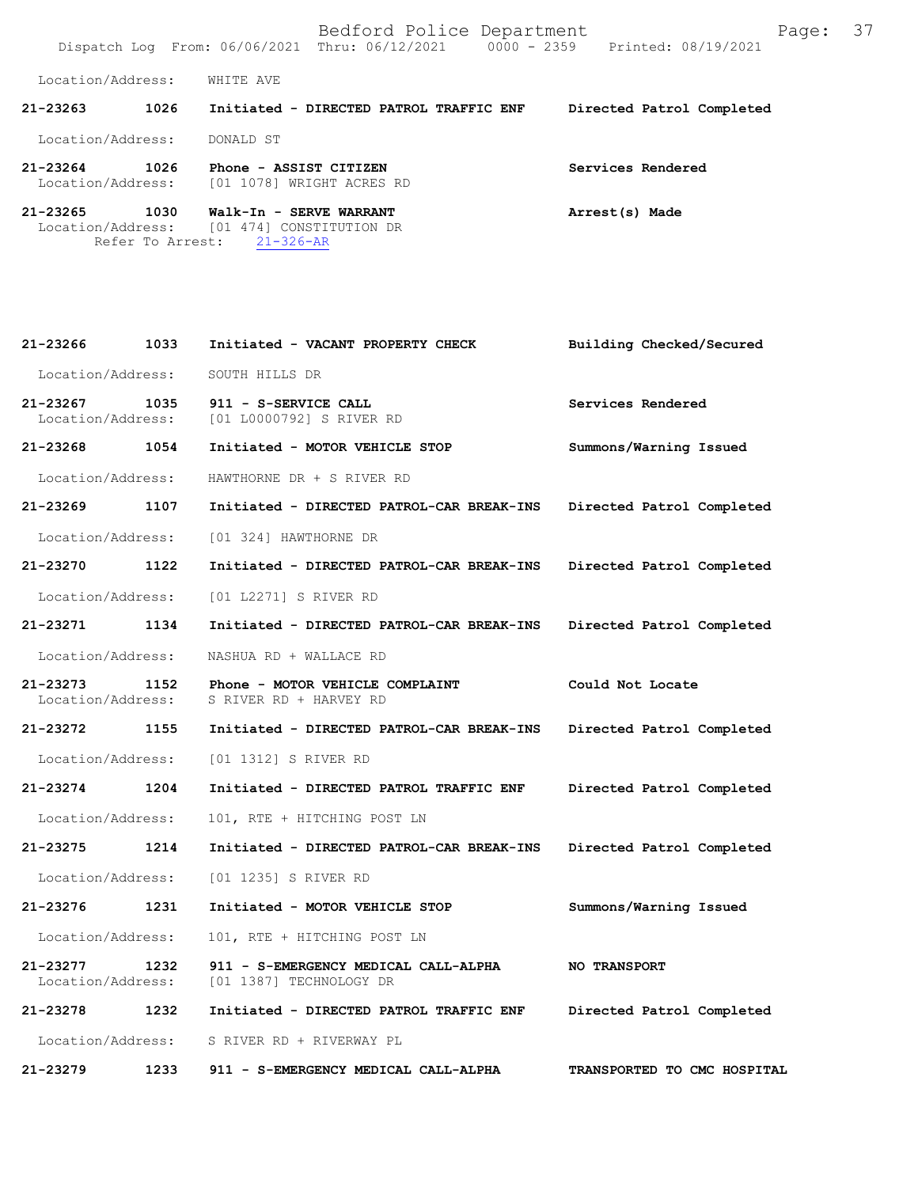Bedford Police Department Fage: 37 Dispatch Log From: 06/06/2021 Thru: 06/12/2021 0000 - 2359 Printed: 08/19/2021 Location/Address: WHITE AVE **21-23263 1026 Initiated - DIRECTED PATROL TRAFFIC ENF Directed Patrol Completed**  Location/Address: DONALD ST **21-23264 1026 Phone - ASSIST CITIZEN Services Rendered**  Location/Address: [01 1078] WRIGHT ACRES RD **21-23265 1030 Walk-In - SERVE WARRANT Arrest(s) Made**  Location/Address: [01 474] CONSTITUTION DR Refer To Arrest: 21-326-AR

| 21-23266                          | 1033 | Initiated - VACANT PROPERTY CHECK                               | Building Checked/Secured    |
|-----------------------------------|------|-----------------------------------------------------------------|-----------------------------|
| Location/Address:                 |      | SOUTH HILLS DR                                                  |                             |
| 21-23267<br>Location/Address:     | 1035 | 911 - S-SERVICE CALL<br>[01 L0000792] S RIVER RD                | Services Rendered           |
| 21-23268                          | 1054 | Initiated - MOTOR VEHICLE STOP                                  | Summons/Warning Issued      |
| Location/Address:                 |      | HAWTHORNE DR + S RIVER RD                                       |                             |
| 21-23269                          | 1107 | Initiated - DIRECTED PATROL-CAR BREAK-INS                       | Directed Patrol Completed   |
| Location/Address:                 |      | [01 324] HAWTHORNE DR                                           |                             |
| 21-23270                          | 1122 | Initiated - DIRECTED PATROL-CAR BREAK-INS                       | Directed Patrol Completed   |
| Location/Address:                 |      | [01 L2271] S RIVER RD                                           |                             |
| 21-23271                          | 1134 | Initiated - DIRECTED PATROL-CAR BREAK-INS                       | Directed Patrol Completed   |
| Location/Address:                 |      | NASHUA RD + WALLACE RD                                          |                             |
| 21-23273<br>Location/Address:     | 1152 | Phone - MOTOR VEHICLE COMPLAINT<br>S RIVER RD + HARVEY RD       | Could Not Locate            |
| 21-23272                          | 1155 | Initiated - DIRECTED PATROL-CAR BREAK-INS                       | Directed Patrol Completed   |
| Location/Address:                 |      | [01 1312] S RIVER RD                                            |                             |
| $21 - 23274$                      | 1204 | Initiated - DIRECTED PATROL TRAFFIC ENF                         | Directed Patrol Completed   |
| Location/Address:                 |      | 101, RTE + HITCHING POST LN                                     |                             |
| 21-23275                          | 1214 | Initiated - DIRECTED PATROL-CAR BREAK-INS                       | Directed Patrol Completed   |
| Location/Address:                 |      | [01 1235] S RIVER RD                                            |                             |
| 21-23276                          | 1231 | Initiated - MOTOR VEHICLE STOP                                  | Summons/Warning Issued      |
| Location/Address:                 |      | 101, RTE + HITCHING POST LN                                     |                             |
| $21 - 23277$<br>Location/Address: | 1232 | 911 - S-EMERGENCY MEDICAL CALL-ALPHA<br>[01 1387] TECHNOLOGY DR | NO TRANSPORT                |
| 21-23278                          | 1232 | Initiated - DIRECTED PATROL TRAFFIC ENF                         | Directed Patrol Completed   |
| Location/Address:                 |      | S RIVER RD + RIVERWAY PL                                        |                             |
| 21-23279                          | 1233 | 911 - S-EMERGENCY MEDICAL CALL-ALPHA                            | TRANSPORTED TO CMC HOSPITAL |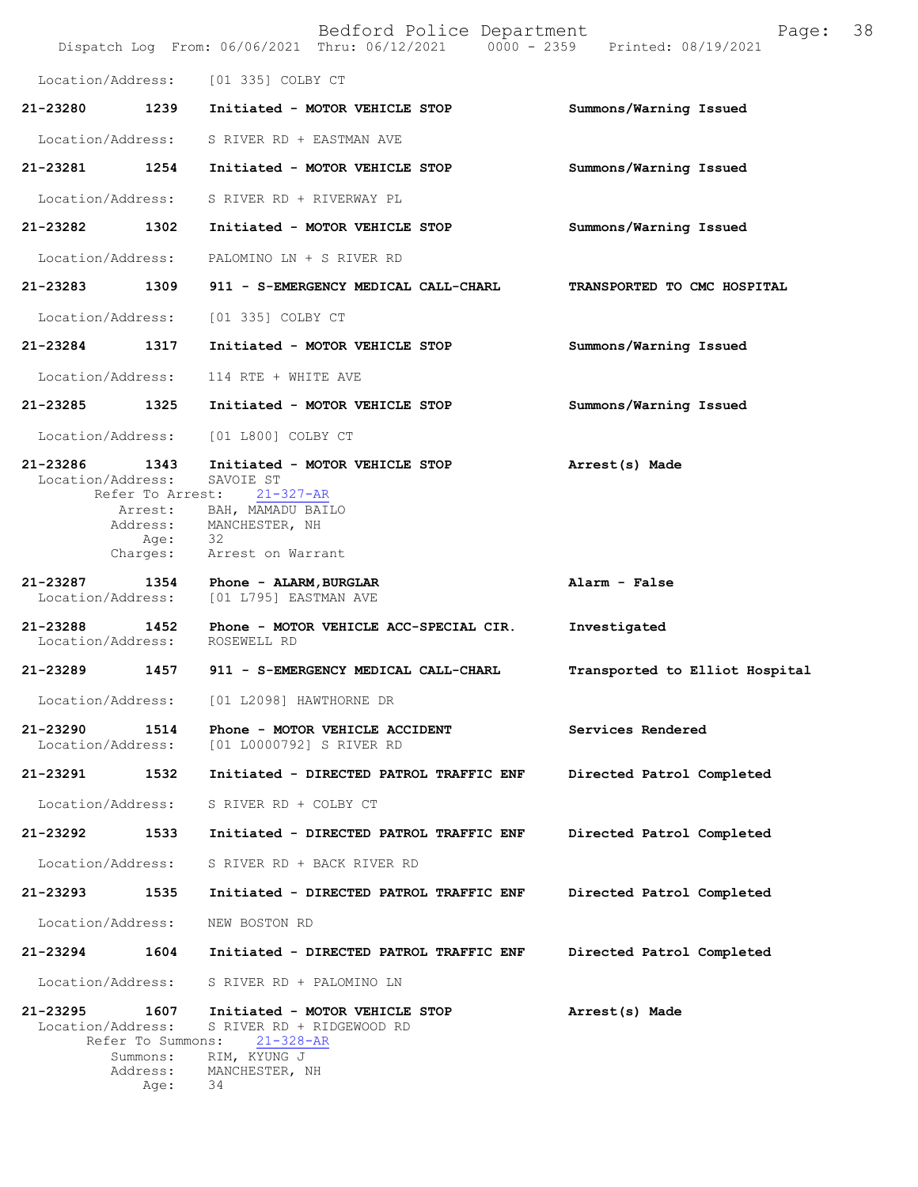|                               |                                                           | Bedford Police Department<br>Dispatch Log From: 06/06/2021 Thru: 06/12/2021 0000 - 2359 Printed: 08/19/2021                                   | Page:                          | 38 |
|-------------------------------|-----------------------------------------------------------|-----------------------------------------------------------------------------------------------------------------------------------------------|--------------------------------|----|
| Location/Address:             |                                                           | [01 335] COLBY CT                                                                                                                             |                                |    |
| 21-23280                      | 1239                                                      | Initiated - MOTOR VEHICLE STOP                                                                                                                | Summons/Warning Issued         |    |
| Location/Address:             |                                                           | S RIVER RD + EASTMAN AVE                                                                                                                      |                                |    |
| 21-23281                      | 1254                                                      | Initiated - MOTOR VEHICLE STOP                                                                                                                | Summons/Warning Issued         |    |
| Location/Address:             |                                                           | S RIVER RD + RIVERWAY PL                                                                                                                      |                                |    |
| 21-23282 1302                 |                                                           | Initiated - MOTOR VEHICLE STOP                                                                                                                | Summons/Warning Issued         |    |
| Location/Address:             |                                                           | PALOMINO LN + S RIVER RD                                                                                                                      |                                |    |
| 21-23283 1309                 |                                                           | 911 - S-EMERGENCY MEDICAL CALL-CHARL                                                                                                          | TRANSPORTED TO CMC HOSPITAL    |    |
| Location/Address:             |                                                           | [01 335] COLBY CT                                                                                                                             |                                |    |
| 21-23284                      | 1317                                                      | Initiated - MOTOR VEHICLE STOP                                                                                                                | Summons/Warning Issued         |    |
| Location/Address:             |                                                           | 114 RTE + WHITE AVE                                                                                                                           |                                |    |
| 21-23285 1325                 |                                                           | Initiated - MOTOR VEHICLE STOP                                                                                                                | Summons/Warning Issued         |    |
| Location/Address:             |                                                           | [01 L800] COLBY CT                                                                                                                            |                                |    |
| 21-23286<br>Location/Address: | 1343<br>Arrest:<br>Address:<br>Age:<br>Charges:           | Initiated - MOTOR VEHICLE STOP<br>SAVOIE ST<br>Refer To Arrest: 21-327-AR<br>BAH, MAMADU BAILO<br>MANCHESTER, NH<br>- 32<br>Arrest on Warrant | Arrest(s) Made                 |    |
| 21-23287<br>Location/Address: | 1354                                                      | Phone - ALARM, BURGLAR<br>[01 L795] EASTMAN AVE                                                                                               | Alarm - False                  |    |
| 21-23288                      | 1452                                                      | Phone - MOTOR VEHICLE ACC-SPECIAL CIR.<br>Location/Address: ROSEWELL RD                                                                       | Investigated                   |    |
| 21-23289                      | 1457                                                      | 911 - S-EMERGENCY MEDICAL CALL-CHARL                                                                                                          | Transported to Elliot Hospital |    |
| Location/Address:             |                                                           | [01 L2098] HAWTHORNE DR                                                                                                                       |                                |    |
| 21-23290<br>Location/Address: | 1514                                                      | Phone - MOTOR VEHICLE ACCIDENT<br>[01 L0000792] S RIVER RD                                                                                    | Services Rendered              |    |
| 21-23291                      | 1532                                                      | Initiated - DIRECTED PATROL TRAFFIC ENF                                                                                                       | Directed Patrol Completed      |    |
| Location/Address:             |                                                           | S RIVER RD + COLBY CT                                                                                                                         |                                |    |
| 21-23292                      | 1533                                                      | Initiated - DIRECTED PATROL TRAFFIC ENF                                                                                                       | Directed Patrol Completed      |    |
| Location/Address:             |                                                           | S RIVER RD + BACK RIVER RD                                                                                                                    |                                |    |
| 21-23293                      | 1535                                                      | Initiated - DIRECTED PATROL TRAFFIC ENF                                                                                                       | Directed Patrol Completed      |    |
| Location/Address:             |                                                           | NEW BOSTON RD                                                                                                                                 |                                |    |
| 21-23294                      | 1604                                                      | Initiated - DIRECTED PATROL TRAFFIC ENF                                                                                                       | Directed Patrol Completed      |    |
| Location/Address:             |                                                           | S RIVER RD + PALOMINO LN                                                                                                                      |                                |    |
| 21-23295<br>Location/Address: | 1607<br>Refer To Summons:<br>Summons:<br>Address:<br>Age: | Initiated - MOTOR VEHICLE STOP<br>S RIVER RD + RIDGEWOOD RD<br>$21 - 328 - AR$<br>RIM, KYUNG J<br>MANCHESTER, NH<br>34                        | Arrest(s) Made                 |    |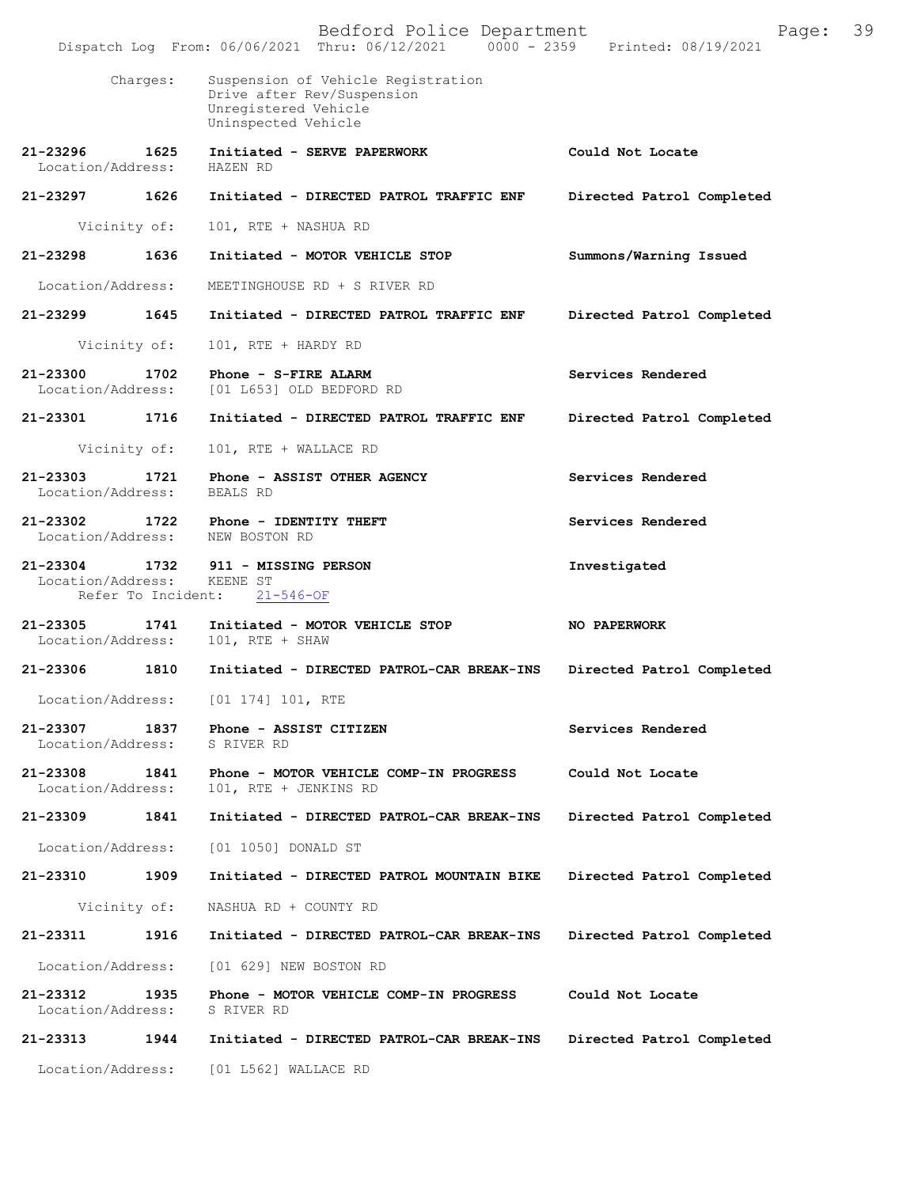|                                    |                    | Bedford Police Department<br>Dispatch Log From: 06/06/2021 Thru: 06/12/2021 0000 - 2359 Printed: 08/19/2021     | Page:                     | 39 |
|------------------------------------|--------------------|-----------------------------------------------------------------------------------------------------------------|---------------------------|----|
|                                    | Charges:           | Suspension of Vehicle Registration<br>Drive after Rev/Suspension<br>Unregistered Vehicle<br>Uninspected Vehicle |                           |    |
| 21-23296<br>Location/Address:      | 1625               | Initiated - SERVE PAPERWORK<br>HAZEN RD                                                                         | Could Not Locate          |    |
| 21-23297 1626                      |                    | Initiated - DIRECTED PATROL TRAFFIC ENF                                                                         | Directed Patrol Completed |    |
|                                    | Vicinity of:       | 101, RTE + NASHUA RD                                                                                            |                           |    |
| 21-23298                           | 1636               | Initiated - MOTOR VEHICLE STOP                                                                                  | Summons/Warning Issued    |    |
| Location/Address:                  |                    | MEETINGHOUSE RD + S RIVER RD                                                                                    |                           |    |
| $21 - 23299$                       | 1645               | Initiated - DIRECTED PATROL TRAFFIC ENF                                                                         | Directed Patrol Completed |    |
|                                    | Vicinity of:       | 101, RTE + HARDY RD                                                                                             |                           |    |
| 21-23300<br>Location/Address:      | 1702               | Phone - S-FIRE ALARM<br>[01 L653] OLD BEDFORD RD                                                                | Services Rendered         |    |
| 21-23301                           | 1716               | Initiated - DIRECTED PATROL TRAFFIC ENF                                                                         | Directed Patrol Completed |    |
|                                    | Vicinity of:       | 101, RTE + WALLACE RD                                                                                           |                           |    |
| 21-23303<br>Location/Address:      | 1721               | Phone - ASSIST OTHER AGENCY<br>BEALS RD                                                                         | Services Rendered         |    |
| 21-23302                           |                    | 1722 Phone - IDENTITY THEFT<br>Location/Address: NEW BOSTON RD                                                  | Services Rendered         |    |
| 21-23304 1732<br>Location/Address: | Refer To Incident: | 911 - MISSING PERSON<br>KEENE ST<br>$21 - 546 - OF$                                                             | Investigated              |    |
| 21-23305<br>Location/Address:      | 1741               | Initiated - MOTOR VEHICLE STOP<br>$101$ , RTE + SHAW                                                            | <b>NO PAPERWORK</b>       |    |
| 21-23306                           | 1810               | Initiated - DIRECTED PATROL-CAR BREAK-INS                                                                       | Directed Patrol Completed |    |
| Location/Address:                  |                    | [01 174] 101, RTE                                                                                               |                           |    |
| 21-23307<br>Location/Address:      | 1837               | Phone - ASSIST CITIZEN<br>S RIVER RD                                                                            | Services Rendered         |    |
| 21-23308<br>Location/Address:      | 1841               | Phone - MOTOR VEHICLE COMP-IN PROGRESS<br>101, RTE + JENKINS RD                                                 | Could Not Locate          |    |
| 21-23309                           | 1841               | Initiated - DIRECTED PATROL-CAR BREAK-INS                                                                       | Directed Patrol Completed |    |
| Location/Address:                  |                    | [01 1050] DONALD ST                                                                                             |                           |    |
| 21-23310                           | 1909               | Initiated - DIRECTED PATROL MOUNTAIN BIKE                                                                       | Directed Patrol Completed |    |
|                                    | Vicinity of:       | NASHUA RD + COUNTY RD                                                                                           |                           |    |
| 21-23311                           | 1916               | Initiated - DIRECTED PATROL-CAR BREAK-INS                                                                       | Directed Patrol Completed |    |
| Location/Address:                  |                    | [01 629] NEW BOSTON RD                                                                                          |                           |    |
| 21-23312<br>Location/Address:      | 1935               | Phone - MOTOR VEHICLE COMP-IN PROGRESS<br>S RIVER RD                                                            | Could Not Locate          |    |
| 21-23313                           | 1944               | Initiated - DIRECTED PATROL-CAR BREAK-INS                                                                       | Directed Patrol Completed |    |
| Location/Address:                  |                    | $[01 L562]$ WALLACE RD                                                                                          |                           |    |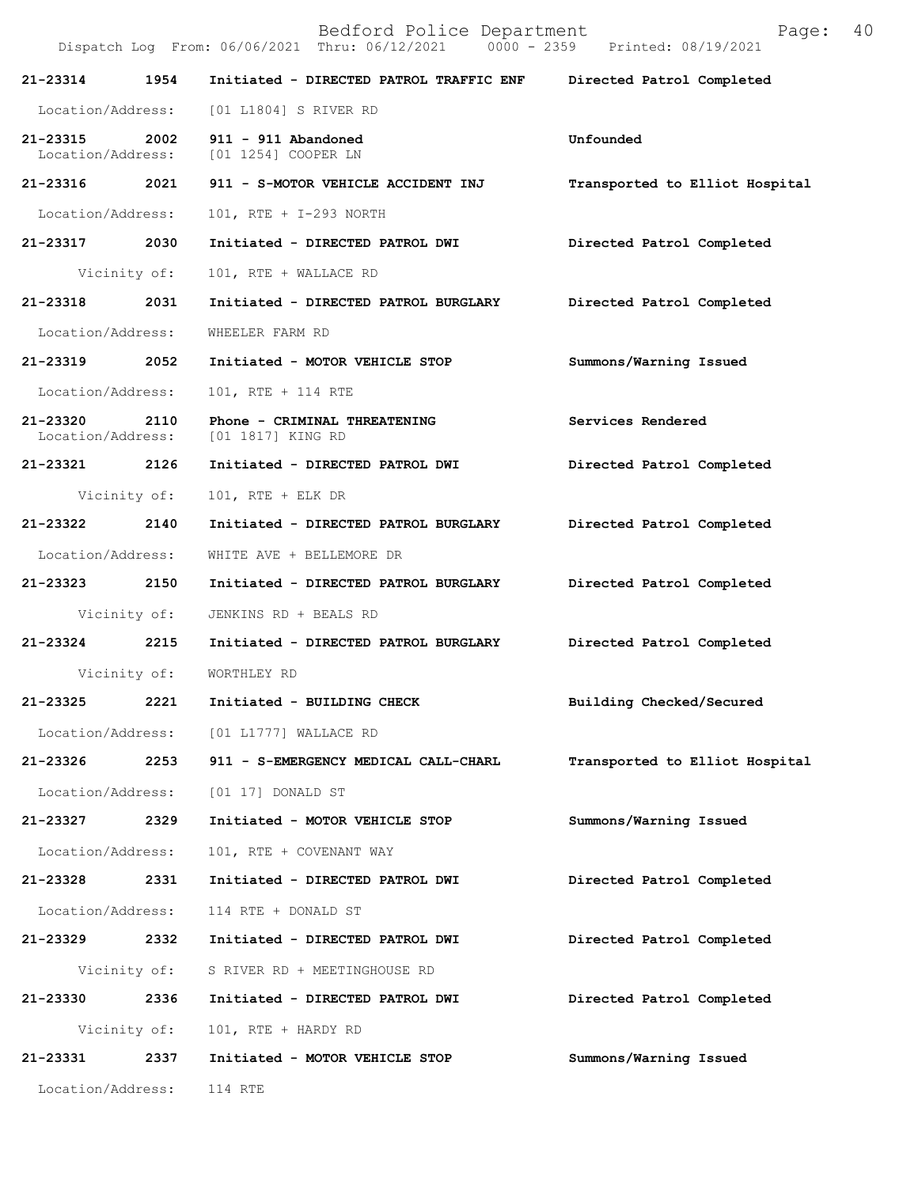|                               |              | Bedford Police Department<br>Dispatch Log From: 06/06/2021 Thru: 06/12/2021 0000 - 2359 Printed: 08/19/2021 | Page:                          | 40 |
|-------------------------------|--------------|-------------------------------------------------------------------------------------------------------------|--------------------------------|----|
| 21-23314                      | 1954         | Initiated - DIRECTED PATROL TRAFFIC ENF                                                                     | Directed Patrol Completed      |    |
| Location/Address:             |              | [01 L1804] S RIVER RD                                                                                       |                                |    |
| 21-23315 2002                 |              | 911 - 911 Abandoned<br>Location/Address: [01 1254] COOPER LN                                                | Unfounded                      |    |
| 21-23316 2021                 |              | 911 - S-MOTOR VEHICLE ACCIDENT INJ                                                                          | Transported to Elliot Hospital |    |
| Location/Address:             |              | 101, RTE + I-293 NORTH                                                                                      |                                |    |
| 21-23317 2030                 |              | Initiated - DIRECTED PATROL DWI                                                                             | Directed Patrol Completed      |    |
|                               | Vicinity of: | 101, RTE + WALLACE RD                                                                                       |                                |    |
| 21-23318                      | 2031         | Initiated - DIRECTED PATROL BURGLARY                                                                        | Directed Patrol Completed      |    |
| Location/Address:             |              | WHEELER FARM RD                                                                                             |                                |    |
| 21-23319                      | 2052         | Initiated - MOTOR VEHICLE STOP                                                                              | Summons/Warning Issued         |    |
| Location/Address:             |              | 101, RTE + 114 RTE                                                                                          |                                |    |
| 21-23320<br>Location/Address: | 2110         | Phone - CRIMINAL THREATENING<br>[01 1817] KING RD                                                           | Services Rendered              |    |
| 21-23321 2126                 |              | Initiated - DIRECTED PATROL DWI                                                                             | Directed Patrol Completed      |    |
|                               | Vicinity of: | $101$ , RTE + ELK DR                                                                                        |                                |    |
| 21-23322                      | 2140         | Initiated - DIRECTED PATROL BURGLARY                                                                        | Directed Patrol Completed      |    |
| Location/Address:             |              | WHITE AVE + BELLEMORE DR                                                                                    |                                |    |
| 21-23323 2150                 |              | Initiated - DIRECTED PATROL BURGLARY                                                                        | Directed Patrol Completed      |    |
|                               | Vicinity of: | JENKINS RD + BEALS RD                                                                                       |                                |    |
| 21-23324 2215                 |              | Initiated - DIRECTED PATROL BURGLARY                                                                        | Directed Patrol Completed      |    |
|                               |              | Vicinity of: WORTHLEY RD                                                                                    |                                |    |
| 21-23325                      | 2221         | Initiated - BUILDING CHECK                                                                                  | Building Checked/Secured       |    |
| Location/Address:             |              | [01 L1777] WALLACE RD                                                                                       |                                |    |
| 21-23326                      | 2253         | 911 - S-EMERGENCY MEDICAL CALL-CHARL                                                                        | Transported to Elliot Hospital |    |
| Location/Address:             |              | [01 17] DONALD ST                                                                                           |                                |    |
| 21-23327                      | 2329         | Initiated - MOTOR VEHICLE STOP                                                                              | Summons/Warning Issued         |    |
| Location/Address:             |              | 101, RTE + COVENANT WAY                                                                                     |                                |    |
| 21-23328 2331                 |              | Initiated - DIRECTED PATROL DWI                                                                             | Directed Patrol Completed      |    |
| Location/Address:             |              | 114 RTE + DONALD ST                                                                                         |                                |    |
| 21-23329 2332                 |              | Initiated - DIRECTED PATROL DWI                                                                             | Directed Patrol Completed      |    |
|                               | Vicinity of: | S RIVER RD + MEETINGHOUSE RD                                                                                |                                |    |
| 21-23330                      | 2336         | Initiated - DIRECTED PATROL DWI                                                                             | Directed Patrol Completed      |    |
|                               | Vicinity of: | 101, RTE + HARDY RD                                                                                         |                                |    |
| 21-23331                      | 2337         | Initiated - MOTOR VEHICLE STOP                                                                              | Summons/Warning Issued         |    |
| Location/Address:             |              | 114 RTE                                                                                                     |                                |    |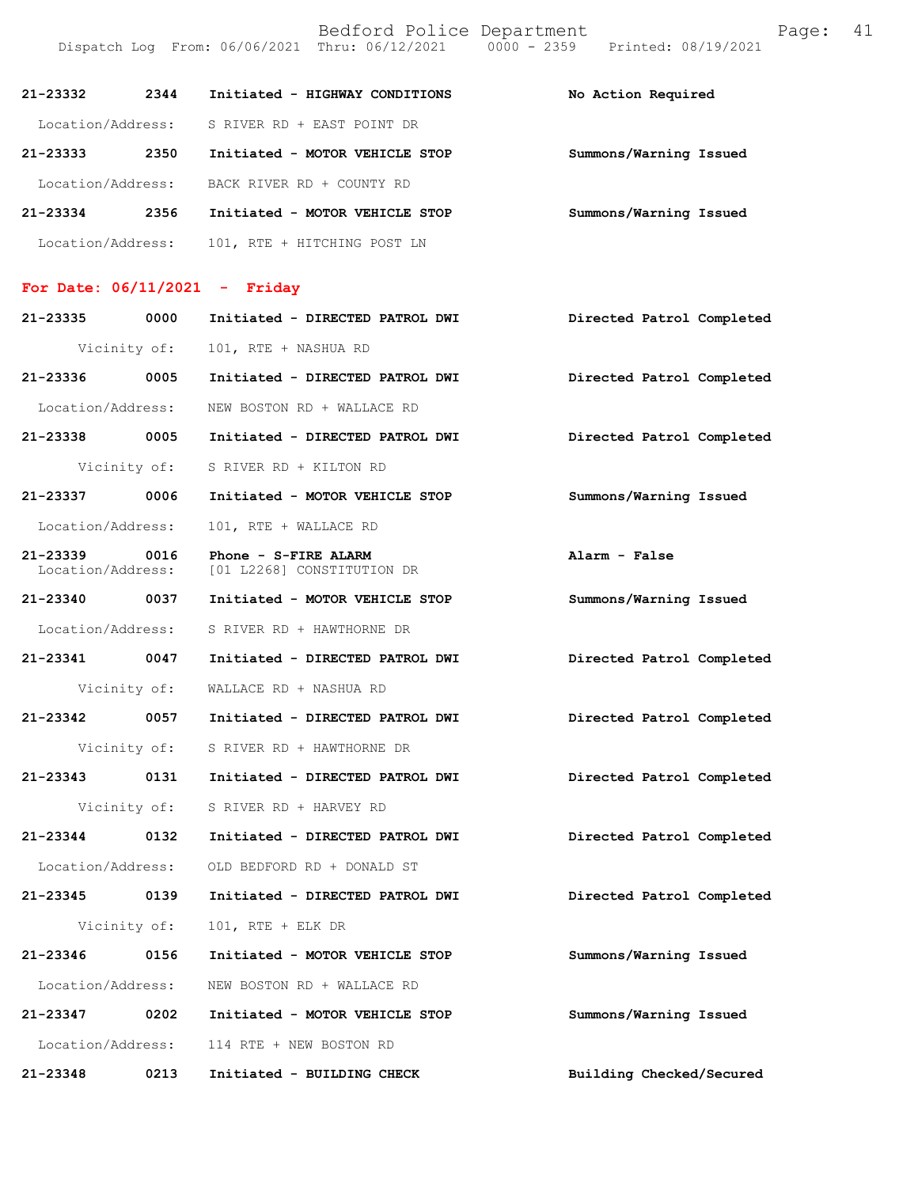| 21-23332          | 2344 | Initiated - HIGHWAY CONDITIONS | No Action Required     |
|-------------------|------|--------------------------------|------------------------|
| Location/Address: |      | S RIVER RD + EAST POINT DR     |                        |
| 21-23333          | 2350 | Initiated - MOTOR VEHICLE STOP | Summons/Warning Issued |
| Location/Address: |      | BACK RIVER RD + COUNTY RD      |                        |
| $21 - 23334$      | 2356 | Initiated - MOTOR VEHICLE STOP | Summons/Warning Issued |
| Location/Address: |      | 101, RTE + HITCHING POST LN    |                        |

Dispatch Log From: 06/06/2021 Thru: 06/12/2021 0000 - 2359 Printed: 08/19/2021

### **For Date: 06/11/2021 - Friday**

| 21-23335 0000                 |              | Initiated - DIRECTED PATROL DWI                    | Directed Patrol Completed |
|-------------------------------|--------------|----------------------------------------------------|---------------------------|
|                               |              | Vicinity of: 101, RTE + NASHUA RD                  |                           |
|                               |              | 21-23336 0005 Initiated - DIRECTED PATROL DWI      | Directed Patrol Completed |
|                               |              | Location/Address: NEW BOSTON RD + WALLACE RD       |                           |
|                               |              | 21-23338 0005 Initiated - DIRECTED PATROL DWI      | Directed Patrol Completed |
|                               |              | Vicinity of: S RIVER RD + KILTON RD                |                           |
| 21-23337 0006                 |              | Initiated - MOTOR VEHICLE STOP                     | Summons/Warning Issued    |
| Location/Address:             |              | 101, RTE + WALLACE RD                              |                           |
| 21-23339<br>Location/Address: | 0016         | Phone - S-FIRE ALARM<br>[01 L2268] CONSTITUTION DR | Alarm - False             |
|                               |              | 21-23340 0037 Initiated - MOTOR VEHICLE STOP       | Summons/Warning Issued    |
|                               |              | Location/Address: S RIVER RD + HAWTHORNE DR        |                           |
|                               |              | 21-23341 0047 Initiated - DIRECTED PATROL DWI      | Directed Patrol Completed |
|                               | Vicinity of: | WALLACE RD + NASHUA RD                             |                           |
|                               |              | 21-23342 0057 Initiated - DIRECTED PATROL DWI      | Directed Patrol Completed |
|                               |              | Vicinity of: S RIVER RD + HAWTHORNE DR             |                           |
|                               |              | 21-23343 0131 Initiated - DIRECTED PATROL DWI      | Directed Patrol Completed |
|                               |              | Vicinity of: S RIVER RD + HARVEY RD                |                           |
|                               |              | 21-23344 0132 Initiated - DIRECTED PATROL DWI      | Directed Patrol Completed |
|                               |              | Location/Address: OLD BEDFORD RD + DONALD ST       |                           |
| 21-23345 0139                 |              | Initiated - DIRECTED PATROL DWI                    | Directed Patrol Completed |
|                               | Vicinity of: | $101$ , RTE + ELK DR                               |                           |
| 21-23346 0156                 |              | Initiated - MOTOR VEHICLE STOP                     | Summons/Warning Issued    |
|                               |              | Location/Address: NEW BOSTON RD + WALLACE RD       |                           |
|                               |              | 21-23347 0202 Initiated - MOTOR VEHICLE STOP       | Summons/Warning Issued    |
|                               |              | Location/Address: 114 RTE + NEW BOSTON RD          |                           |
| 21-23348                      | 0213         | Initiated - BUILDING CHECK                         | Building Checked/Secured  |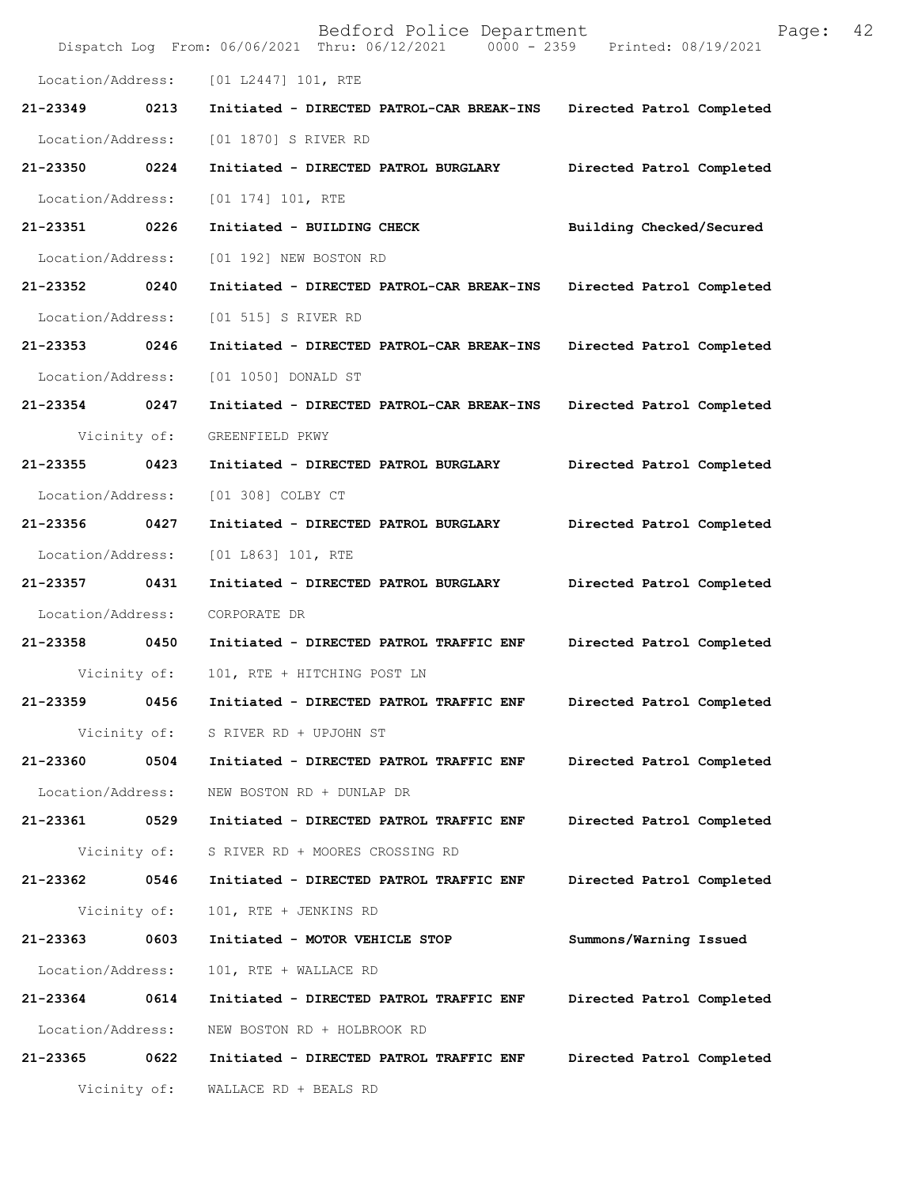|                   |              | Bedford Police Department<br>Dispatch Log From: 06/06/2021 Thru: 06/12/2021 0000 - 2359 | Page:<br>Printed: 08/19/2021 | 42 |
|-------------------|--------------|-----------------------------------------------------------------------------------------|------------------------------|----|
| Location/Address: |              | [01 L2447] 101, RTE                                                                     |                              |    |
| 21-23349          | 0213         | Initiated - DIRECTED PATROL-CAR BREAK-INS                                               | Directed Patrol Completed    |    |
| Location/Address: |              | [01 1870] S RIVER RD                                                                    |                              |    |
| 21-23350          | 0224         | Initiated - DIRECTED PATROL BURGLARY                                                    | Directed Patrol Completed    |    |
| Location/Address: |              | [01 174] 101, RTE                                                                       |                              |    |
| 21-23351          | 0226         | Initiated - BUILDING CHECK                                                              | Building Checked/Secured     |    |
| Location/Address: |              | [01 192] NEW BOSTON RD                                                                  |                              |    |
| 21-23352          | 0240         | Initiated - DIRECTED PATROL-CAR BREAK-INS                                               | Directed Patrol Completed    |    |
| Location/Address: |              | [01 515] S RIVER RD                                                                     |                              |    |
| 21-23353          | 0246         | Initiated - DIRECTED PATROL-CAR BREAK-INS                                               | Directed Patrol Completed    |    |
| Location/Address: |              | [01 1050] DONALD ST                                                                     |                              |    |
| 21-23354          | 0247         | Initiated - DIRECTED PATROL-CAR BREAK-INS                                               | Directed Patrol Completed    |    |
|                   | Vicinity of: | GREENFIELD PKWY                                                                         |                              |    |
| 21-23355          | 0423         | Initiated - DIRECTED PATROL BURGLARY                                                    | Directed Patrol Completed    |    |
| Location/Address: |              | [01 308] COLBY CT                                                                       |                              |    |
| 21-23356          | 0427         | Initiated - DIRECTED PATROL BURGLARY                                                    | Directed Patrol Completed    |    |
| Location/Address: |              | [01 L863] 101, RTE                                                                      |                              |    |
| 21-23357          | 0431         | Initiated - DIRECTED PATROL BURGLARY                                                    | Directed Patrol Completed    |    |
| Location/Address: |              | CORPORATE DR                                                                            |                              |    |
| 21-23358          | 0450         | Initiated - DIRECTED PATROL TRAFFIC ENF                                                 | Directed Patrol Completed    |    |
|                   | Vicinity of: | 101, RTE + HITCHING POST LN                                                             |                              |    |
| 21-23359          | 0456         | Initiated - DIRECTED PATROL TRAFFIC ENF                                                 | Directed Patrol Completed    |    |
|                   | Vicinity of: | S RIVER RD + UPJOHN ST                                                                  |                              |    |
| 21-23360          | 0504         | Initiated - DIRECTED PATROL TRAFFIC ENF                                                 | Directed Patrol Completed    |    |
| Location/Address: |              | NEW BOSTON RD + DUNLAP DR                                                               |                              |    |
| 21-23361          | 0529         | Initiated - DIRECTED PATROL TRAFFIC ENF                                                 | Directed Patrol Completed    |    |
|                   | Vicinity of: | S RIVER RD + MOORES CROSSING RD                                                         |                              |    |
| 21-23362          | 0546         | Initiated - DIRECTED PATROL TRAFFIC ENF                                                 | Directed Patrol Completed    |    |
|                   | Vicinity of: | 101, RTE + JENKINS RD                                                                   |                              |    |
| 21-23363          | 0603         | Initiated - MOTOR VEHICLE STOP                                                          | Summons/Warning Issued       |    |
| Location/Address: |              | 101, RTE + WALLACE RD                                                                   |                              |    |
| 21-23364          | 0614         | Initiated - DIRECTED PATROL TRAFFIC ENF                                                 | Directed Patrol Completed    |    |
| Location/Address: |              | NEW BOSTON RD + HOLBROOK RD                                                             |                              |    |
| 21-23365          | 0622         | Initiated - DIRECTED PATROL TRAFFIC ENF                                                 | Directed Patrol Completed    |    |
|                   | Vicinity of: | WALLACE RD + BEALS RD                                                                   |                              |    |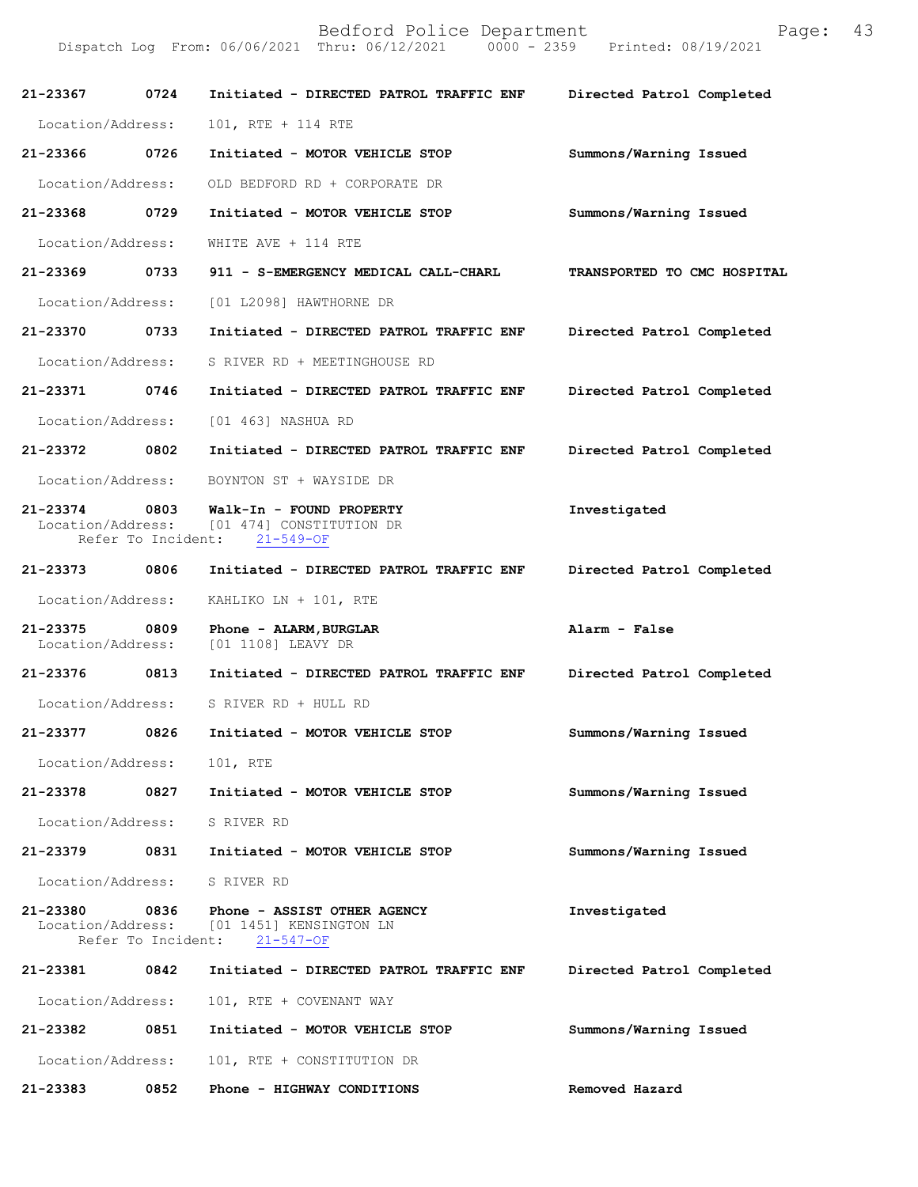| 21-23367                          | 0724                       | Initiated - DIRECTED PATROL TRAFFIC ENF Directed Patrol Completed                    |                             |
|-----------------------------------|----------------------------|--------------------------------------------------------------------------------------|-----------------------------|
| Location/Address:                 |                            | 101, RTE + 114 RTE                                                                   |                             |
| 21-23366<br>0726                  |                            | Initiated - MOTOR VEHICLE STOP                                                       | Summons/Warning Issued      |
| Location/Address:                 |                            | OLD BEDFORD RD + CORPORATE DR                                                        |                             |
| 21-23368                          | 0729                       | Initiated - MOTOR VEHICLE STOP                                                       | Summons/Warning Issued      |
| Location/Address:                 |                            | WHITE AVE + 114 RTE                                                                  |                             |
| 21-23369 0733                     |                            | 911 - S-EMERGENCY MEDICAL CALL-CHARL                                                 | TRANSPORTED TO CMC HOSPITAL |
| Location/Address:                 |                            | [01 L2098] HAWTHORNE DR                                                              |                             |
| 21-23370                          | 0733                       | Initiated - DIRECTED PATROL TRAFFIC ENF                                              | Directed Patrol Completed   |
| Location/Address:                 |                            | S RIVER RD + MEETINGHOUSE RD                                                         |                             |
| 21-23371                          | 0746                       | Initiated - DIRECTED PATROL TRAFFIC ENF                                              | Directed Patrol Completed   |
| Location/Address:                 |                            | [01 463] NASHUA RD                                                                   |                             |
| 21-23372 0802                     |                            | Initiated - DIRECTED PATROL TRAFFIC ENF                                              | Directed Patrol Completed   |
| Location/Address:                 |                            | BOYNTON ST + WAYSIDE DR                                                              |                             |
| $21 - 23374$<br>Location/Address: | 0803                       | Walk-In - FOUND PROPERTY<br>[01 474] CONSTITUTION DR<br>Refer To Incident: 21-549-OF | Investigated                |
| 21-23373                          | 0806                       | Initiated - DIRECTED PATROL TRAFFIC ENF                                              | Directed Patrol Completed   |
| Location/Address:                 |                            | KAHLIKO LN + 101, RTE                                                                |                             |
| 21-23375<br>Location/Address:     | 0809                       | Phone - ALARM, BURGLAR<br>[01 1108] LEAVY DR                                         | Alarm - False               |
| 21-23376                          | 0813                       | Initiated - DIRECTED PATROL TRAFFIC ENF                                              | Directed Patrol Completed   |
| Location/Address:                 |                            | S RIVER RD + HULL RD                                                                 |                             |
| 21-23377                          | 0826                       | Initiated - MOTOR VEHICLE STOP                                                       | Summons/Warning Issued      |
| Location/Address:                 |                            | 101, RTE                                                                             |                             |
| 21-23378                          | 0827                       | Initiated - MOTOR VEHICLE STOP                                                       | Summons/Warning Issued      |
| Location/Address:                 |                            | S RIVER RD                                                                           |                             |
| 21-23379                          | 0831                       | Initiated - MOTOR VEHICLE STOP                                                       | Summons/Warning Issued      |
| Location/Address:                 |                            | S RIVER RD                                                                           |                             |
| 21-23380<br>Location/Address:     | 0836<br>Refer To Incident: | Phone - ASSIST OTHER AGENCY<br>[01 1451] KENSINGTON LN<br>$21 - 547 - OF$            | Investigated                |
| 21-23381                          | 0842                       | Initiated - DIRECTED PATROL TRAFFIC ENF                                              | Directed Patrol Completed   |
| Location/Address:                 |                            | 101, RTE + COVENANT WAY                                                              |                             |
| 21-23382                          | 0851                       | Initiated - MOTOR VEHICLE STOP                                                       | Summons/Warning Issued      |
| Location/Address:                 |                            | 101, RTE + CONSTITUTION DR                                                           |                             |
| 21-23383                          | 0852                       | Phone - HIGHWAY CONDITIONS                                                           | Removed Hazard              |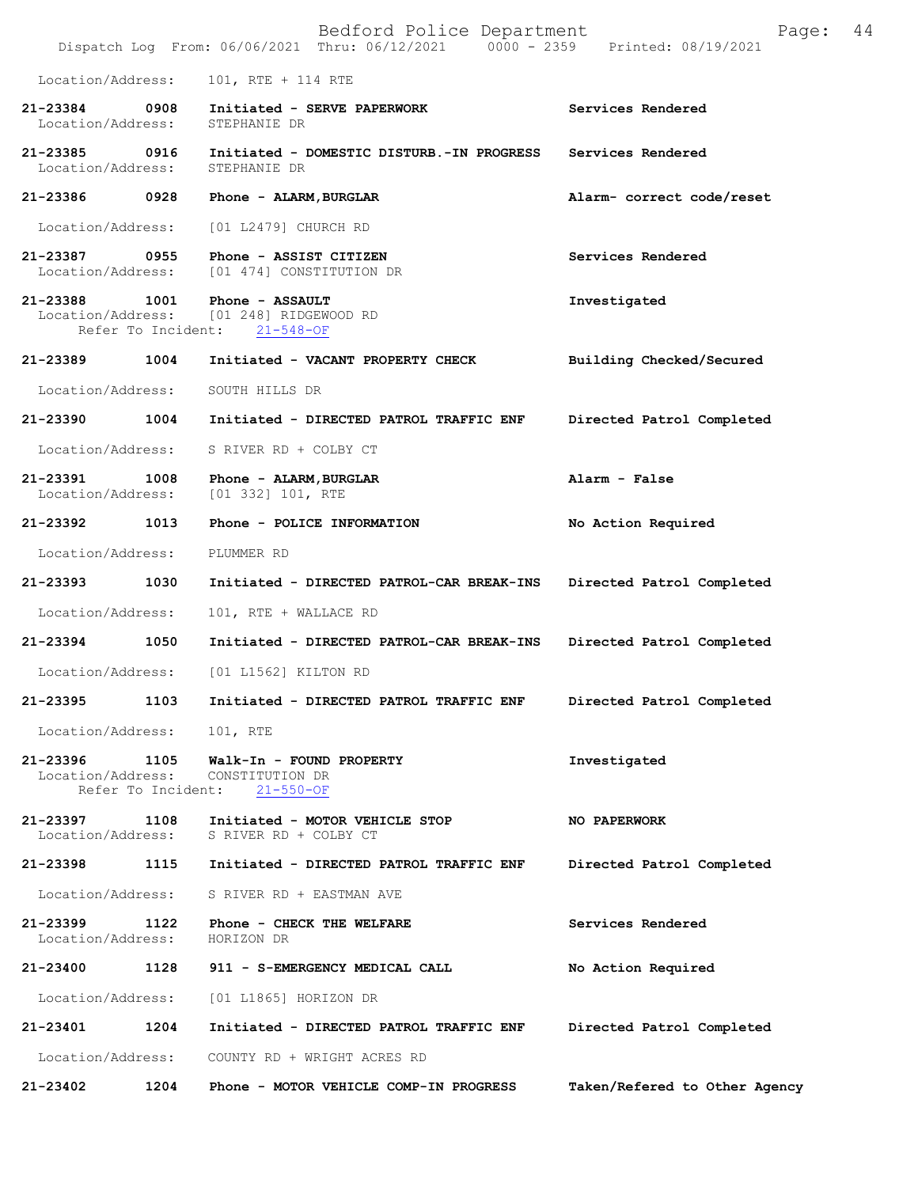Bedford Police Department Page: 44 Dispatch Log From: 06/06/2021 Thru: 06/12/2021 Location/Address: 101, RTE + 114 RTE **21-23384 0908 Initiated - SERVE PAPERWORK Services Rendered**  Location/Address: **21-23385 0916 Initiated - DOMESTIC DISTURB.-IN PROGRESS Services Rendered**  Location/Address: **21-23386 0928 Phone - ALARM,BURGLAR Alarm- correct code/reset**  Location/Address: [01 L2479] CHURCH RD **21-23387 0955 Phone - ASSIST CITIZEN Services Rendered**  Location/Address: [01 474] CONSTITUTION DR **21-23388 1001 Phone - ASSAULT Investigated**  Location/Address: [01 248] RIDGEWOOD RD Refer To Incident: 21-548-OF **21-23389 1004 Initiated - VACANT PROPERTY CHECK Building Checked/Secured**  Location/Address: SOUTH HILLS DR **21-23390 1004 Initiated - DIRECTED PATROL TRAFFIC ENF Directed Patrol Completed**  Location/Address: S RIVER RD + COLBY CT **21-23391 1008 Phone - ALARM,BURGLAR Alarm - False**  Location/Address: [01 332] 101, RTE **21-23392 1013 Phone - POLICE INFORMATION No Action Required**  Location/Address: PLUMMER RD **21-23393 1030 Initiated - DIRECTED PATROL-CAR BREAK-INS Directed Patrol Completed**  Location/Address: 101, RTE + WALLACE RD **21-23394 1050 Initiated - DIRECTED PATROL-CAR BREAK-INS Directed Patrol Completed**  Location/Address: [01 L1562] KILTON RD **21-23395 1103 Initiated - DIRECTED PATROL TRAFFIC ENF Directed Patrol Completed**  Location/Address: 101, RTE **21-23396 1105 Walk-In - FOUND PROPERTY Investigated**  Location/Address: CONSTITUTION DR<br>Refer To Incident: 21-550-OF Refer To Incident: **21-23397 1108 Initiated - MOTOR VEHICLE STOP NO PAPERWORK**  Location/Address: S RIVER RD + COLBY CT **21-23398 1115 Initiated - DIRECTED PATROL TRAFFIC ENF Directed Patrol Completed**  Location/Address: S RIVER RD + EASTMAN AVE **21-23399 1122 Phone - CHECK THE WELFARE Services Rendered Services Rendered I**ocation/Address: **HORIZON** DR Location/Address: **21-23400 1128 911 - S-EMERGENCY MEDICAL CALL No Action Required**  Location/Address: [01 L1865] HORIZON DR **21-23401 1204 Initiated - DIRECTED PATROL TRAFFIC ENF Directed Patrol Completed**  Location/Address: COUNTY RD + WRIGHT ACRES RD **21-23402 1204 Phone - MOTOR VEHICLE COMP-IN PROGRESS Taken/Refered to Other Agency**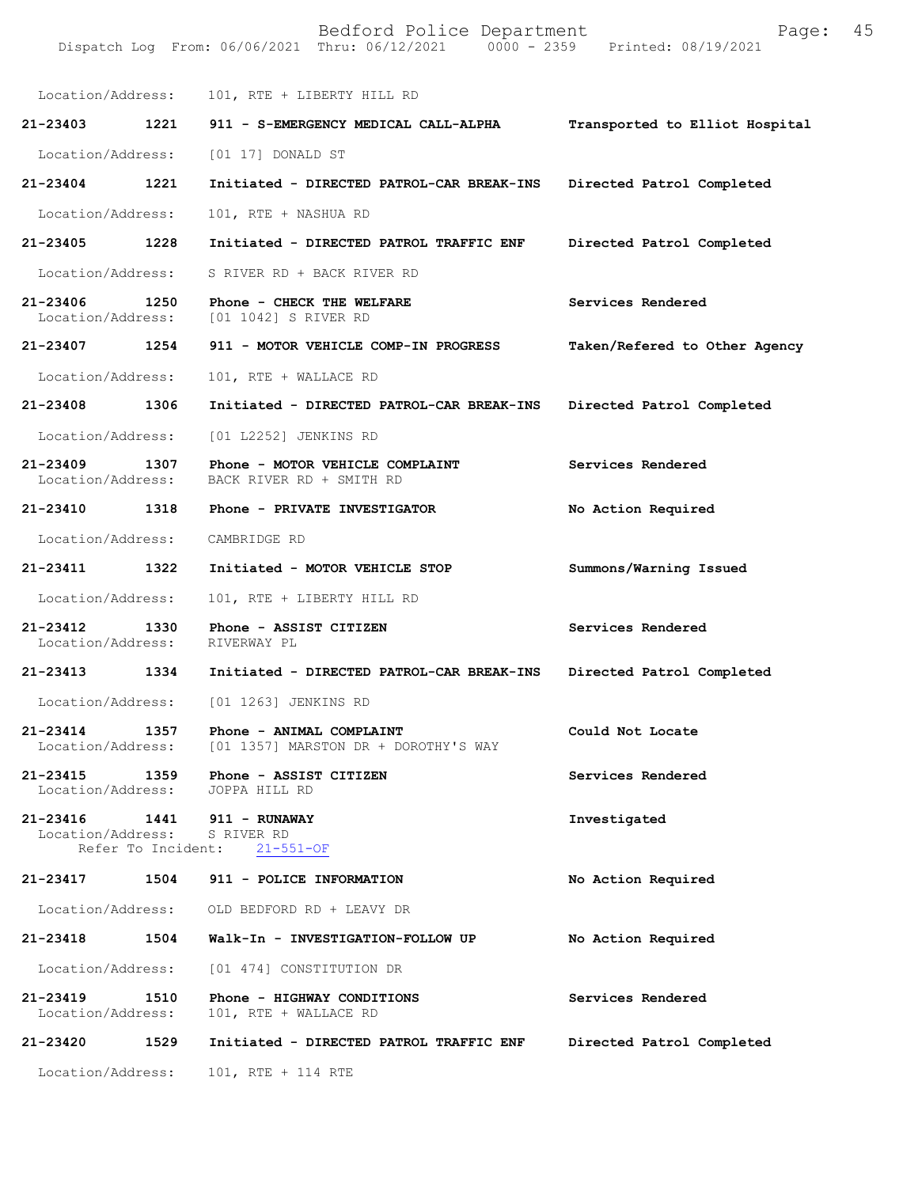| Location/Address:                        |                    | 101, RTE + LIBERTY HILL RD                                       |                                |
|------------------------------------------|--------------------|------------------------------------------------------------------|--------------------------------|
| 21-23403                                 | 1221               | 911 - S-EMERGENCY MEDICAL CALL-ALPHA                             | Transported to Elliot Hospital |
| Location/Address:                        |                    | [01 17] DONALD ST                                                |                                |
| 21-23404                                 | 1221               | Initiated - DIRECTED PATROL-CAR BREAK-INS                        | Directed Patrol Completed      |
| Location/Address:                        |                    | 101, RTE + NASHUA RD                                             |                                |
| 21-23405 1228                            |                    | Initiated - DIRECTED PATROL TRAFFIC ENF                          | Directed Patrol Completed      |
| Location/Address:                        |                    | S RIVER RD + BACK RIVER RD                                       |                                |
| 21-23406<br>Location/Address:            | 1250               | Phone - CHECK THE WELFARE<br>[01 1042] S RIVER RD                | Services Rendered              |
| 21-23407 1254                            |                    | 911 - MOTOR VEHICLE COMP-IN PROGRESS                             | Taken/Refered to Other Agency  |
| Location/Address:                        |                    | 101, RTE + WALLACE RD                                            |                                |
| 21-23408 1306                            |                    | Initiated - DIRECTED PATROL-CAR BREAK-INS                        | Directed Patrol Completed      |
| Location/Address:                        |                    | [01 L2252] JENKINS RD                                            |                                |
| 21-23409<br>Location/Address:            | 1307               | Phone - MOTOR VEHICLE COMPLAINT<br>BACK RIVER RD + SMITH RD      | Services Rendered              |
| 21-23410 1318                            |                    | Phone - PRIVATE INVESTIGATOR                                     | No Action Required             |
| Location/Address:                        |                    | CAMBRIDGE RD                                                     |                                |
| 21-23411                                 | 1322               | Initiated - MOTOR VEHICLE STOP                                   | Summons/Warning Issued         |
| Location/Address:                        |                    | 101, RTE + LIBERTY HILL RD                                       |                                |
| 21-23412<br>Location/Address:            | 1330               | Phone - ASSIST CITIZEN<br>RIVERWAY PL                            | Services Rendered              |
| 21-23413 1334                            |                    | Initiated - DIRECTED PATROL-CAR BREAK-INS                        | Directed Patrol Completed      |
| Location/Address:                        |                    | [01 1263] JENKINS RD                                             |                                |
| 21-23414<br>Location/Address:            | 1357               | Phone - ANIMAL COMPLAINT<br>[01 1357] MARSTON DR + DOROTHY'S WAY | Could Not Locate               |
| $21 - 23415$<br>Location/Address:        | 1359               | Phone - ASSIST CITIZEN<br>JOPPA HILL RD                          | Services Rendered              |
| 21-23416<br>Location/Address: S RIVER RD | Refer To Incident: | 1441 911 - RUNAWAY<br>$21 - 551 - OF$                            | Investigated                   |
| 21-23417 1504                            |                    | 911 - POLICE INFORMATION                                         | No Action Required             |
|                                          |                    | Location/Address: OLD BEDFORD RD + LEAVY DR                      |                                |
| 21-23418                                 | 1504               | Walk-In - INVESTIGATION-FOLLOW UP                                | No Action Required             |
| Location/Address:                        |                    | [01 474] CONSTITUTION DR                                         |                                |
| 21-23419<br>Location/Address:            | 1510               | Phone - HIGHWAY CONDITIONS<br>101, RTE + WALLACE RD              | Services Rendered              |
| 21-23420                                 | 1529               | Initiated - DIRECTED PATROL TRAFFIC ENF                          | Directed Patrol Completed      |
| Location/Address:                        |                    | 101, RTE + 114 RTE                                               |                                |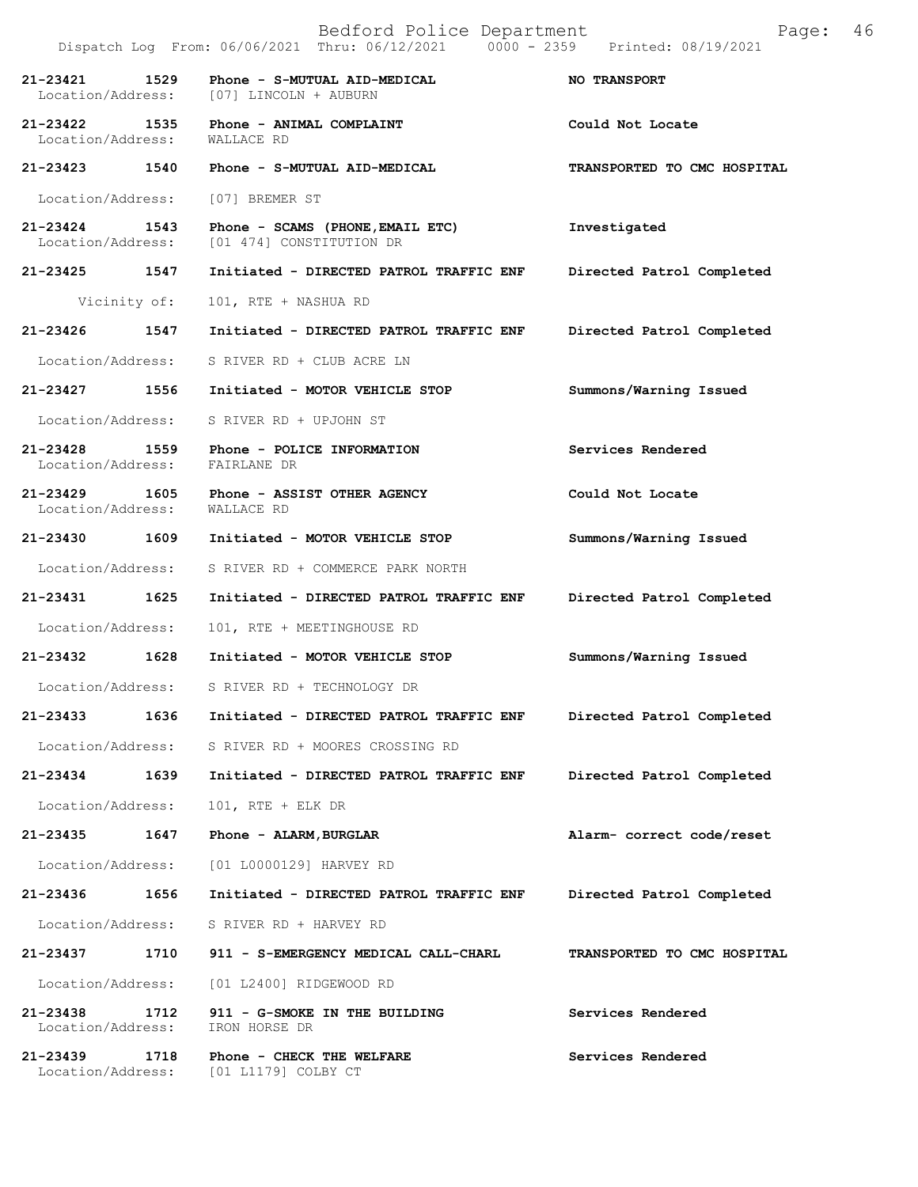|                               |      | Bedford Police Department<br>Dispatch Log From: 06/06/2021 Thru: 06/12/2021 0000 - 2359 Printed: 08/19/2021 | Page:                       | 46 |
|-------------------------------|------|-------------------------------------------------------------------------------------------------------------|-----------------------------|----|
| 21-23421 1529                 |      | Phone - S-MUTUAL AID-MEDICAL<br>Location/Address: [07] LINCOLN + AUBURN                                     | NO TRANSPORT                |    |
|                               |      | 21-23422 1535 Phone - ANIMAL COMPLAINT<br>Location/Address: WALLACE RD                                      | Could Not Locate            |    |
|                               |      | 21-23423 1540 Phone - S-MUTUAL AID-MEDICAL                                                                  | TRANSPORTED TO CMC HOSPITAL |    |
|                               |      | Location/Address: [07] BREMER ST                                                                            |                             |    |
|                               |      | 21-23424 1543 Phone - SCAMS (PHONE, EMAIL ETC)<br>Location/Address: [01 474] CONSTITUTION DR                | Investigated                |    |
|                               |      | 21-23425 1547 Initiated - DIRECTED PATROL TRAFFIC ENF                                                       | Directed Patrol Completed   |    |
|                               |      | Vicinity of: 101, RTE + NASHUA RD                                                                           |                             |    |
|                               |      | 21-23426 1547 Initiated - DIRECTED PATROL TRAFFIC ENF                                                       | Directed Patrol Completed   |    |
|                               |      | Location/Address: S RIVER RD + CLUB ACRE LN                                                                 |                             |    |
|                               |      | 21-23427 1556 Initiated - MOTOR VEHICLE STOP                                                                | Summons/Warning Issued      |    |
|                               |      | Location/Address: S RIVER RD + UPJOHN ST                                                                    |                             |    |
|                               |      | 21-23428 1559 Phone - POLICE INFORMATION<br>Location/Address: FAIRLANE DR                                   | Services Rendered           |    |
| Location/Address:             |      | 21-23429 1605 Phone - ASSIST OTHER AGENCY<br>WALLACE RD                                                     | Could Not Locate            |    |
|                               |      | 21-23430 1609 Initiated - MOTOR VEHICLE STOP                                                                | Summons/Warning Issued      |    |
|                               |      | Location/Address: S RIVER RD + COMMERCE PARK NORTH                                                          |                             |    |
|                               |      | 21-23431 1625 Initiated - DIRECTED PATROL TRAFFIC ENF                                                       | Directed Patrol Completed   |    |
| Location/Address:             |      | 101, RTE + MEETINGHOUSE RD                                                                                  |                             |    |
|                               |      | 21-23432 1628 Initiated - MOTOR VEHICLE STOP                                                                | Summons/Warning Issued      |    |
| Location/Address:             |      | S RIVER RD + TECHNOLOGY DR                                                                                  |                             |    |
| 21-23433                      | 1636 | Initiated - DIRECTED PATROL TRAFFIC ENF                                                                     | Directed Patrol Completed   |    |
|                               |      | Location/Address: S RIVER RD + MOORES CROSSING RD                                                           |                             |    |
| 21-23434                      | 1639 | Initiated - DIRECTED PATROL TRAFFIC ENF                                                                     | Directed Patrol Completed   |    |
| Location/Address:             |      | 101, RTE + ELK DR                                                                                           |                             |    |
| 21-23435                      | 1647 | Phone - ALARM, BURGLAR                                                                                      | Alarm- correct code/reset   |    |
| Location/Address:             |      | [01 L0000129] HARVEY RD                                                                                     |                             |    |
| 21-23436                      | 1656 | Initiated - DIRECTED PATROL TRAFFIC ENF                                                                     | Directed Patrol Completed   |    |
| Location/Address:             |      | S RIVER RD + HARVEY RD                                                                                      |                             |    |
| 21-23437                      | 1710 | 911 - S-EMERGENCY MEDICAL CALL-CHARL                                                                        | TRANSPORTED TO CMC HOSPITAL |    |
| Location/Address:             |      | [01 L2400] RIDGEWOOD RD                                                                                     |                             |    |
| 21-23438<br>Location/Address: | 1712 | 911 - G-SMOKE IN THE BUILDING<br>IRON HORSE DR                                                              | Services Rendered           |    |
| 21-23439                      | 1718 | Phone - CHECK THE WELFARE                                                                                   | Services Rendered           |    |

Location/Address: [01 L1179] COLBY CT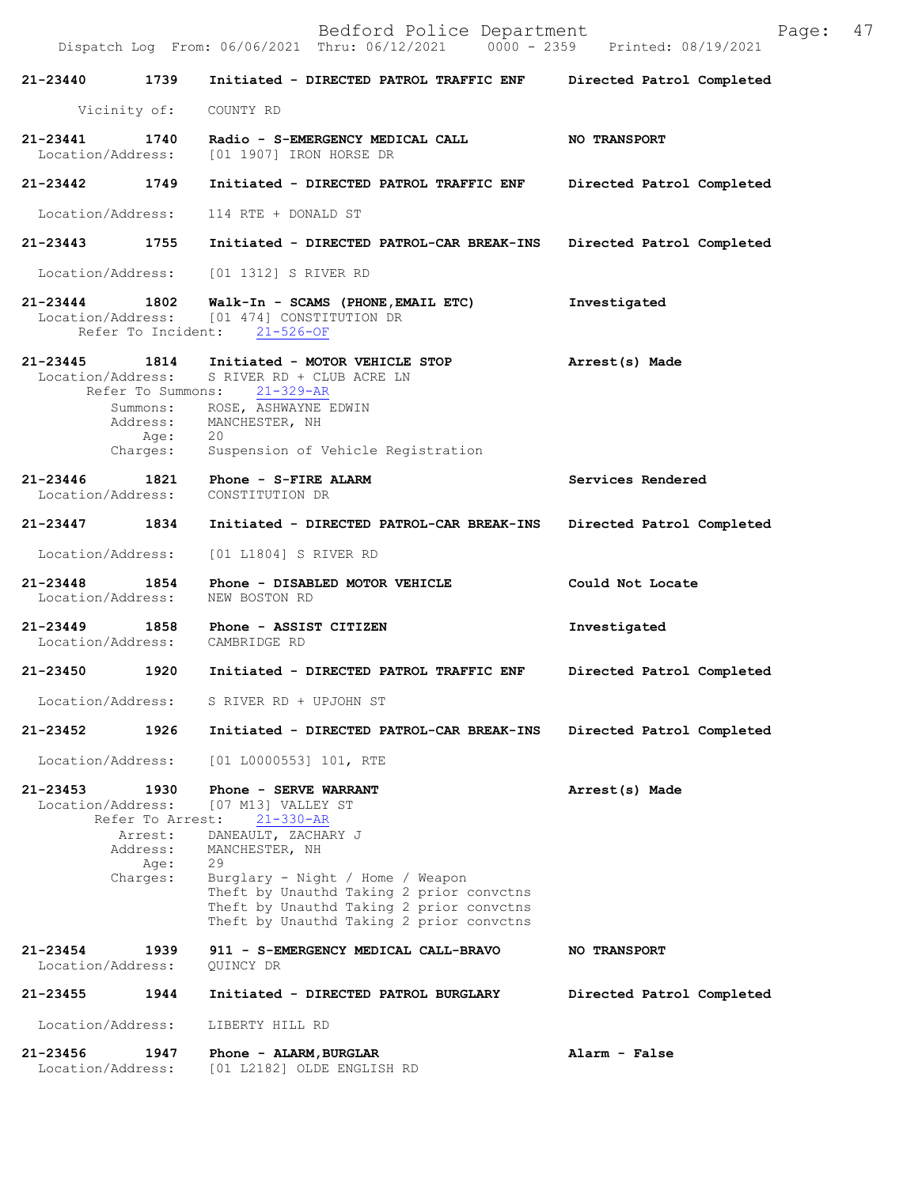|                               |                                                                     | Bedford Police Department<br>Dispatch Log From: 06/06/2021 Thru: 06/12/2021 0000 - 2359 Printed: 08/19/2021                                                                                                                                                                           | 47<br>Page:               |
|-------------------------------|---------------------------------------------------------------------|---------------------------------------------------------------------------------------------------------------------------------------------------------------------------------------------------------------------------------------------------------------------------------------|---------------------------|
| 21-23440                      | 1739                                                                | Initiated - DIRECTED PATROL TRAFFIC ENF                                                                                                                                                                                                                                               | Directed Patrol Completed |
|                               | Vicinity of:                                                        | COUNTY RD                                                                                                                                                                                                                                                                             |                           |
| 21-23441<br>Location/Address: | 1740                                                                | Radio - S-EMERGENCY MEDICAL CALL<br>[01 1907] IRON HORSE DR                                                                                                                                                                                                                           | <b>NO TRANSPORT</b>       |
| 21-23442 1749                 |                                                                     | Initiated - DIRECTED PATROL TRAFFIC ENF                                                                                                                                                                                                                                               | Directed Patrol Completed |
| Location/Address:             |                                                                     | 114 RTE + DONALD ST                                                                                                                                                                                                                                                                   |                           |
| 21-23443 1755                 |                                                                     | Initiated - DIRECTED PATROL-CAR BREAK-INS                                                                                                                                                                                                                                             | Directed Patrol Completed |
| Location/Address:             |                                                                     | [01 1312] S RIVER RD                                                                                                                                                                                                                                                                  |                           |
| $21 - 23444$                  | 1802                                                                | Walk-In - SCAMS (PHONE, EMAIL ETC)<br>Location/Address: [01 474] CONSTITUTION DR<br>Refer To Incident: 21-526-OF                                                                                                                                                                      | Investigated              |
| 21-23445<br>Location/Address: | Refer To Summons:<br>Age:<br>Charges:                               | 1814 Initiated - MOTOR VEHICLE STOP<br>S RIVER RD + CLUB ACRE LN<br>$21 - 329 - AR$<br>Summons: ROSE, ASHWAYNE EDWIN<br>Address: MANCHESTER, NH<br>20<br>Suspension of Vehicle Registration                                                                                           | Arrest(s) Made            |
| 21-23446<br>Location/Address: | 1821                                                                | Phone - S-FIRE ALARM<br>CONSTITUTION DR                                                                                                                                                                                                                                               | Services Rendered         |
| 21-23447                      | 1834                                                                | Initiated - DIRECTED PATROL-CAR BREAK-INS                                                                                                                                                                                                                                             | Directed Patrol Completed |
| Location/Address:             |                                                                     | [01 L1804] S RIVER RD                                                                                                                                                                                                                                                                 |                           |
| 21-23448<br>Location/Address: | 1854                                                                | Phone - DISABLED MOTOR VEHICLE<br>NEW BOSTON RD                                                                                                                                                                                                                                       | Could Not Locate          |
| 21-23449                      | 1858                                                                | Phone - ASSIST CITIZEN<br>Location/Address: CAMBRIDGE RD                                                                                                                                                                                                                              | Investigated              |
| 21-23450                      | 1920                                                                | Initiated - DIRECTED PATROL TRAFFIC ENF                                                                                                                                                                                                                                               | Directed Patrol Completed |
| Location/Address:             |                                                                     | S RIVER RD + UPJOHN ST                                                                                                                                                                                                                                                                |                           |
| 21-23452                      | 1926                                                                | Initiated - DIRECTED PATROL-CAR BREAK-INS                                                                                                                                                                                                                                             | Directed Patrol Completed |
| Location/Address:             |                                                                     | $[01 L0000553] 101$ , RTE                                                                                                                                                                                                                                                             |                           |
| 21-23453<br>Location/Address: | 1930<br>Refer To Arrest:<br>Arrest:<br>Address:<br>Age:<br>Charges: | Phone - SERVE WARRANT<br>[07 M13] VALLEY ST<br>$21 - 330 - AR$<br>DANEAULT, ZACHARY J<br>MANCHESTER, NH<br>29<br>Burglary - Night / Home / Weapon<br>Theft by Unauthd Taking 2 prior convctns<br>Theft by Unauthd Taking 2 prior convctns<br>Theft by Unauthd Taking 2 prior convctns | Arrest(s) Made            |
| 21-23454<br>Location/Address: | 1939                                                                | 911 - S-EMERGENCY MEDICAL CALL-BRAVO<br>QUINCY DR                                                                                                                                                                                                                                     | <b>NO TRANSPORT</b>       |
| 21-23455                      | 1944                                                                | Initiated - DIRECTED PATROL BURGLARY                                                                                                                                                                                                                                                  | Directed Patrol Completed |
| Location/Address:             |                                                                     | LIBERTY HILL RD                                                                                                                                                                                                                                                                       |                           |
| 21-23456<br>Location/Address: | 1947                                                                | Phone - ALARM, BURGLAR<br>[01 L2182] OLDE ENGLISH RD                                                                                                                                                                                                                                  | Alarm - False             |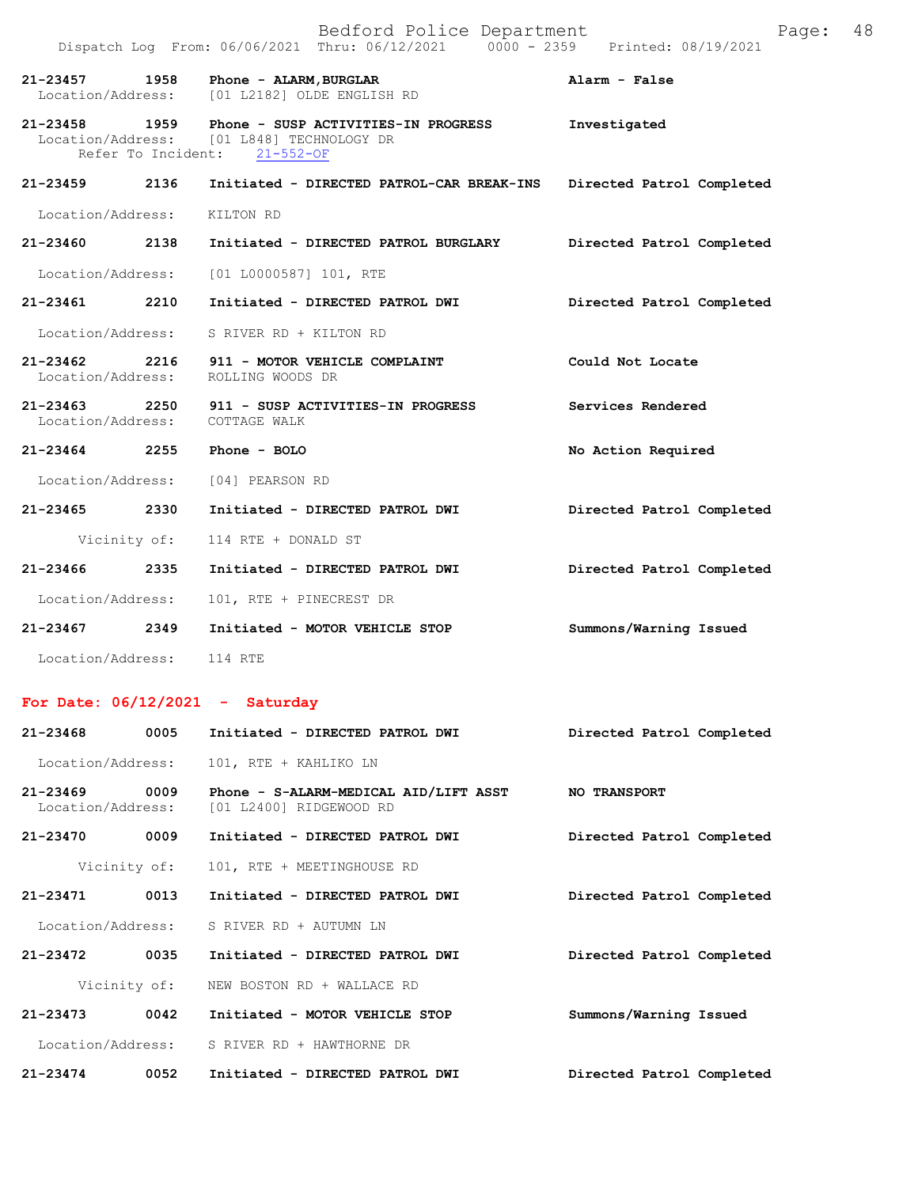|                             |              | Dispatch Log From: 06/06/2021 Thru: 06/12/2021 0000 - 2359 Printed: 08/19/2021                                                 |                           |
|-----------------------------|--------------|--------------------------------------------------------------------------------------------------------------------------------|---------------------------|
| 21-23457 1958               |              | Phone - ALARM, BURGLAR<br>Location/Address: [01 L2182] OLDE ENGLISH RD                                                         | Alarm - False             |
|                             |              | 21-23458 1959 Phone - SUSP ACTIVITIES-IN PROGRESS<br>Location/Address: [01 L848] TECHNOLOGY DR<br>Refer To Incident: 21-552-OF | Investigated              |
| 21-23459 2136               |              | Initiated - DIRECTED PATROL-CAR BREAK-INS                                                                                      | Directed Patrol Completed |
| Location/Address: KILTON RD |              |                                                                                                                                |                           |
| 21-23460 2138               |              | Initiated - DIRECTED PATROL BURGLARY                                                                                           | Directed Patrol Completed |
|                             |              | Location/Address: [01 L0000587] 101, RTE                                                                                       |                           |
| 21-23461 2210               |              | Initiated - DIRECTED PATROL DWI                                                                                                | Directed Patrol Completed |
| Location/Address:           |              | S RIVER RD + KILTON RD                                                                                                         |                           |
|                             |              | 21-23462 2216 911 - MOTOR VEHICLE COMPLAINT<br>Location/Address: ROLLING WOODS DR                                              | Could Not Locate          |
|                             |              | 21-23463 2250 911 - SUSP ACTIVITIES-IN PROGRESS<br>Location/Address: COTTAGE WALK                                              | Services Rendered         |
| 21-23464 2255               |              | Phone - BOLO                                                                                                                   | No Action Required        |
|                             |              | Location/Address: [04] PEARSON RD                                                                                              |                           |
| 21-23465 2330               |              | Initiated - DIRECTED PATROL DWI                                                                                                | Directed Patrol Completed |
|                             | Vicinity of: | 114 RTE + DONALD ST                                                                                                            |                           |
| 21-23466 2335               |              | Initiated - DIRECTED PATROL DWI                                                                                                | Directed Patrol Completed |
| Location/Address:           |              | 101, RTE + PINECREST DR                                                                                                        |                           |
| 21-23467 2349               |              | Initiated - MOTOR VEHICLE STOP                                                                                                 | Summons/Warning Issued    |
| Location/Address:           |              | 114 RTE                                                                                                                        |                           |

## **For Date: 06/12/2021 - Saturday**

| 21-23468                          | 0005         | Initiated - DIRECTED PATROL DWI                                  | Directed Patrol Completed |
|-----------------------------------|--------------|------------------------------------------------------------------|---------------------------|
| Location/Address:                 |              | 101, RTE + KAHLIKO LN                                            |                           |
| $21 - 23469$<br>Location/Address: | 0009         | Phone - S-ALARM-MEDICAL AID/LIFT ASST<br>[01 L2400] RIDGEWOOD RD | <b>NO TRANSPORT</b>       |
| 21-23470                          | 0009         | Initiated - DIRECTED PATROL DWI                                  | Directed Patrol Completed |
|                                   | Vicinity of: | 101, RTE + MEETINGHOUSE RD                                       |                           |
| 21-23471                          | 0013         | Initiated - DIRECTED PATROL DWI                                  | Directed Patrol Completed |
| Location/Address:                 |              | S RIVER RD + AUTUMN LN                                           |                           |
| 21-23472                          | 0035         | Initiated - DIRECTED PATROL DWI                                  | Directed Patrol Completed |
|                                   | Vicinity of: | NEW BOSTON RD + WALLACE RD                                       |                           |
| $21 - 23473$                      | 0042         | Initiated - MOTOR VEHICLE STOP                                   | Summons/Warning Issued    |
| Location/Address:                 |              | S RIVER RD + HAWTHORNE DR                                        |                           |
| $21 - 23474$                      | 0052         | Initiated - DIRECTED PATROL DWI                                  | Directed Patrol Completed |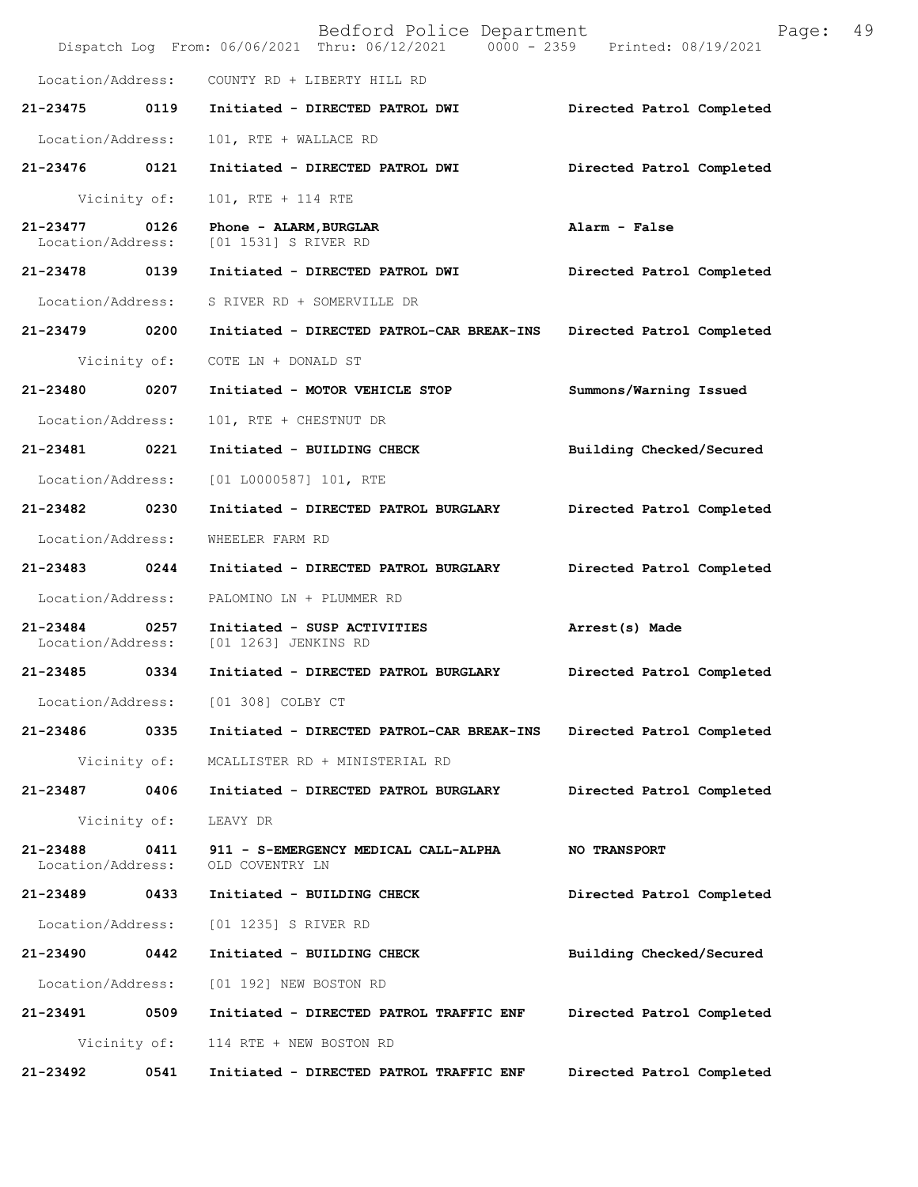|                                    |              | Bedford Police Department<br>Dispatch Log From: 06/06/2021 Thru: 06/12/2021 0000 - 2359 Printed: 08/19/2021 | Page:                     | 49 |
|------------------------------------|--------------|-------------------------------------------------------------------------------------------------------------|---------------------------|----|
| Location/Address:                  |              | COUNTY RD + LIBERTY HILL RD                                                                                 |                           |    |
| 21-23475                           | 0119         | Initiated - DIRECTED PATROL DWI                                                                             | Directed Patrol Completed |    |
| Location/Address:                  |              | 101, RTE + WALLACE RD                                                                                       |                           |    |
| 21-23476 0121                      |              | Initiated - DIRECTED PATROL DWI                                                                             | Directed Patrol Completed |    |
|                                    | Vicinity of: | 101, RTE + 114 RTE                                                                                          |                           |    |
| $21 - 23477$<br>Location/Address:  | 0126         | Phone - ALARM, BURGLAR<br>[01 1531] S RIVER RD                                                              | Alarm - False             |    |
| 21-23478 0139                      |              | Initiated - DIRECTED PATROL DWI                                                                             | Directed Patrol Completed |    |
| Location/Address:                  |              | S RIVER RD + SOMERVILLE DR                                                                                  |                           |    |
| 21-23479 0200                      |              | Initiated - DIRECTED PATROL-CAR BREAK-INS                                                                   | Directed Patrol Completed |    |
|                                    | Vicinity of: | COTE LN + DONALD ST                                                                                         |                           |    |
| 21-23480 0207                      |              | Initiated - MOTOR VEHICLE STOP                                                                              | Summons/Warning Issued    |    |
| Location/Address:                  |              | 101, RTE + CHESTNUT DR                                                                                      |                           |    |
| 21-23481                           | 0221         | Initiated - BUILDING CHECK                                                                                  | Building Checked/Secured  |    |
| Location/Address:                  |              | [01 L0000587] 101, RTE                                                                                      |                           |    |
| 21-23482 0230                      |              | Initiated - DIRECTED PATROL BURGLARY                                                                        | Directed Patrol Completed |    |
| Location/Address:                  |              | WHEELER FARM RD                                                                                             |                           |    |
| 21-23483 0244                      |              | Initiated - DIRECTED PATROL BURGLARY                                                                        | Directed Patrol Completed |    |
| Location/Address:                  |              | PALOMINO LN + PLUMMER RD                                                                                    |                           |    |
| 21-23484 0257<br>Location/Address: |              | Initiated - SUSP ACTIVITIES<br>[01 1263] JENKINS RD                                                         | Arrest(s) Made            |    |
| 21-23485                           | 0334         | Initiated - DIRECTED PATROL BURGLARY                                                                        | Directed Patrol Completed |    |
| Location/Address:                  |              | [01 308] COLBY CT                                                                                           |                           |    |
| 21-23486                           | 0335         | Initiated - DIRECTED PATROL-CAR BREAK-INS                                                                   | Directed Patrol Completed |    |
|                                    | Vicinity of: | MCALLISTER RD + MINISTERIAL RD                                                                              |                           |    |
| 21-23487 0406                      |              | Initiated - DIRECTED PATROL BURGLARY                                                                        | Directed Patrol Completed |    |
|                                    | Vicinity of: | LEAVY DR                                                                                                    |                           |    |
| 21-23488<br>Location/Address:      | 0411         | 911 - S-EMERGENCY MEDICAL CALL-ALPHA<br>OLD COVENTRY LN                                                     | <b>NO TRANSPORT</b>       |    |
| 21-23489 0433                      |              | Initiated - BUILDING CHECK                                                                                  | Directed Patrol Completed |    |
| Location/Address:                  |              | [01 1235] S RIVER RD                                                                                        |                           |    |
| 21-23490                           | 0442         | Initiated - BUILDING CHECK                                                                                  | Building Checked/Secured  |    |
| Location/Address:                  |              | [01 192] NEW BOSTON RD                                                                                      |                           |    |
| 21-23491                           | 0509         | Initiated - DIRECTED PATROL TRAFFIC ENF                                                                     | Directed Patrol Completed |    |
|                                    | Vicinity of: | 114 RTE + NEW BOSTON RD                                                                                     |                           |    |
| 21-23492                           | 0541         | Initiated - DIRECTED PATROL TRAFFIC ENF                                                                     | Directed Patrol Completed |    |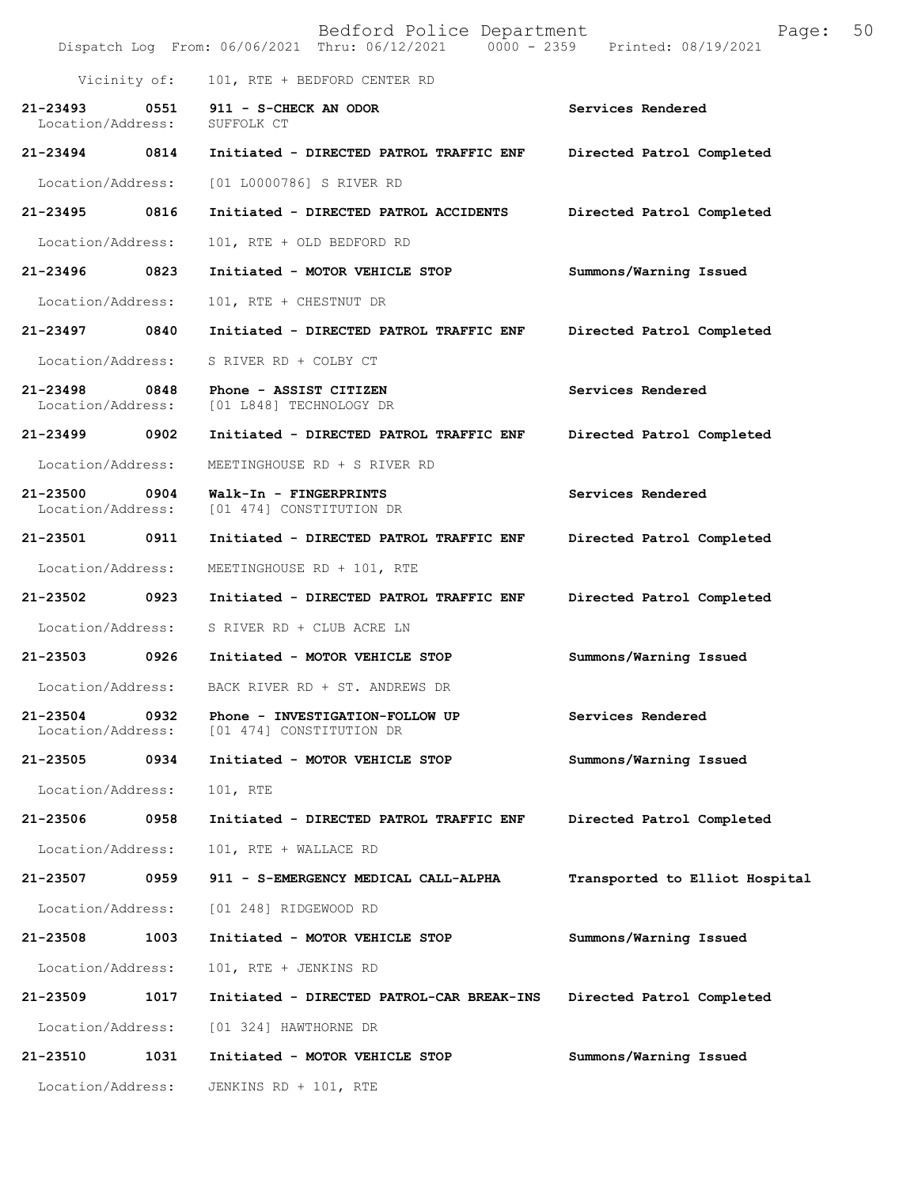|                               |              | Bedford Police Department<br>Dispatch Log From: 06/06/2021 Thru: 06/12/2021 0000 - 2359 | 50<br>Page:<br>Printed: 08/19/2021 |
|-------------------------------|--------------|-----------------------------------------------------------------------------------------|------------------------------------|
|                               | Vicinity of: | 101, RTE + BEDFORD CENTER RD                                                            |                                    |
| 21-23493<br>Location/Address: | 0551         | 911 - S-CHECK AN ODOR<br>SUFFOLK CT                                                     | Services Rendered                  |
| 21-23494                      | 0814         | Initiated - DIRECTED PATROL TRAFFIC ENF                                                 | Directed Patrol Completed          |
| Location/Address:             |              | [01 L0000786] S RIVER RD                                                                |                                    |
| 21-23495                      | 0816         | Initiated - DIRECTED PATROL ACCIDENTS                                                   | Directed Patrol Completed          |
| Location/Address:             |              | 101, RTE + OLD BEDFORD RD                                                               |                                    |
| 21-23496                      | 0823         | Initiated - MOTOR VEHICLE STOP                                                          | Summons/Warning Issued             |
| Location/Address:             |              | 101, RTE + CHESTNUT DR                                                                  |                                    |
| 21-23497                      | 0840         | Initiated - DIRECTED PATROL TRAFFIC ENF                                                 | Directed Patrol Completed          |
| Location/Address:             |              | S RIVER RD + COLBY CT                                                                   |                                    |
| 21-23498<br>Location/Address: | 0848         | Phone - ASSIST CITIZEN<br>[01 L848] TECHNOLOGY DR                                       | Services Rendered                  |
| 21-23499                      | 0902         | Initiated - DIRECTED PATROL TRAFFIC ENF                                                 | Directed Patrol Completed          |
| Location/Address:             |              | MEETINGHOUSE RD + S RIVER RD                                                            |                                    |
| 21-23500<br>Location/Address: | 0904         | Walk-In - FINGERPRINTS<br>[01 474] CONSTITUTION DR                                      | Services Rendered                  |
| 21-23501                      | 0911         | Initiated - DIRECTED PATROL TRAFFIC ENF                                                 | Directed Patrol Completed          |
| Location/Address:             |              | MEETINGHOUSE RD + 101, RTE                                                              |                                    |
| 21-23502                      | 0923         | Initiated - DIRECTED PATROL TRAFFIC ENF                                                 | Directed Patrol Completed          |
| Location/Address:             |              | S RIVER RD + CLUB ACRE LN                                                               |                                    |
| 21-23503                      | 0926         | Initiated - MOTOR VEHICLE STOP                                                          | Summons/Warning Issued             |
| Location/Address:             |              | BACK RIVER RD + ST. ANDREWS DR                                                          |                                    |
| 21-23504<br>Location/Address: | 0932         | Phone - INVESTIGATION-FOLLOW UP<br>[01 474] CONSTITUTION DR                             | Services Rendered                  |
| 21-23505                      | 0934         | Initiated - MOTOR VEHICLE STOP                                                          | Summons/Warning Issued             |
| Location/Address:             |              | 101, RTE                                                                                |                                    |
| 21-23506                      | 0958         | Initiated - DIRECTED PATROL TRAFFIC ENF                                                 | Directed Patrol Completed          |
| Location/Address:             |              | 101, RTE + WALLACE RD                                                                   |                                    |
| 21-23507                      | 0959         | 911 - S-EMERGENCY MEDICAL CALL-ALPHA                                                    | Transported to Elliot Hospital     |
| Location/Address:             |              | [01 248] RIDGEWOOD RD                                                                   |                                    |
| 21-23508                      | 1003         | Initiated - MOTOR VEHICLE STOP                                                          | Summons/Warning Issued             |
| Location/Address:             |              | 101, RTE + JENKINS RD                                                                   |                                    |
| 21-23509                      | 1017         | Initiated - DIRECTED PATROL-CAR BREAK-INS                                               | Directed Patrol Completed          |
| Location/Address:             |              | [01 324] HAWTHORNE DR                                                                   |                                    |
| 21-23510                      | 1031         | Initiated - MOTOR VEHICLE STOP                                                          | Summons/Warning Issued             |
| Location/Address:             |              | JENKINS RD + 101, RTE                                                                   |                                    |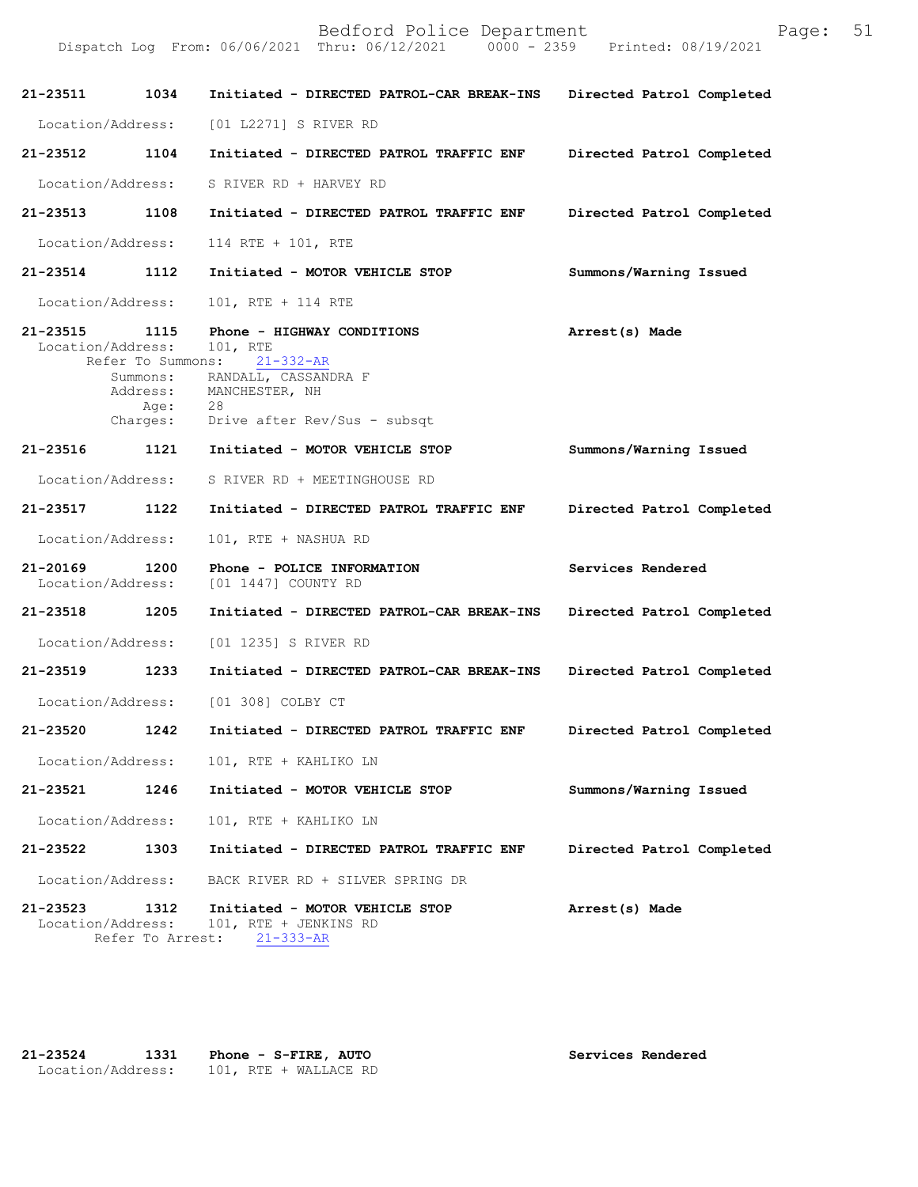| 21-23511                           | 1034                     | Initiated - DIRECTED PATROL-CAR BREAK-INS                                                                                                                                             | Directed Patrol Completed |
|------------------------------------|--------------------------|---------------------------------------------------------------------------------------------------------------------------------------------------------------------------------------|---------------------------|
| Location/Address:                  |                          | [01 L2271] S RIVER RD                                                                                                                                                                 |                           |
| 21-23512 1104                      |                          | Initiated - DIRECTED PATROL TRAFFIC ENF                                                                                                                                               | Directed Patrol Completed |
| Location/Address:                  |                          | S RIVER RD + HARVEY RD                                                                                                                                                                |                           |
| 21-23513                           | 1108                     | Initiated - DIRECTED PATROL TRAFFIC ENF                                                                                                                                               | Directed Patrol Completed |
| Location/Address:                  |                          | 114 RTE + 101, RTE                                                                                                                                                                    |                           |
| 21-23514 1112                      |                          | Initiated - MOTOR VEHICLE STOP                                                                                                                                                        | Summons/Warning Issued    |
| Location/Address:                  |                          | 101, RTE + 114 RTE                                                                                                                                                                    |                           |
| 21-23515 1115<br>Location/Address: |                          | Phone - HIGHWAY CONDITIONS<br>101, RTE<br>Refer To Summons: 21-332-AR<br>Summons: RANDALL, CASSANDRA F<br>Address: MANCHESTER, NH<br>Age: 28<br>Charges: Drive after Rev/Sus - subsqt | Arrest(s) Made            |
|                                    |                          | 21-23516 1121 Initiated - MOTOR VEHICLE STOP                                                                                                                                          | Summons/Warning Issued    |
| Location/Address:                  |                          | S RIVER RD + MEETINGHOUSE RD                                                                                                                                                          |                           |
| 21-23517 1122                      |                          | Initiated - DIRECTED PATROL TRAFFIC ENF                                                                                                                                               | Directed Patrol Completed |
| Location/Address:                  |                          | 101, RTE + NASHUA RD                                                                                                                                                                  |                           |
| 21-20169 1200<br>Location/Address: |                          | Phone - POLICE INFORMATION<br>[01 1447] COUNTY RD                                                                                                                                     | Services Rendered         |
| 21-23518 1205                      |                          | Initiated - DIRECTED PATROL-CAR BREAK-INS                                                                                                                                             | Directed Patrol Completed |
|                                    |                          | Location/Address: [01 1235] S RIVER RD                                                                                                                                                |                           |
| 21-23519 1233                      |                          | Initiated - DIRECTED PATROL-CAR BREAK-INS                                                                                                                                             | Directed Patrol Completed |
|                                    |                          | Location/Address: [01 308] COLBY CT                                                                                                                                                   |                           |
| 21-23520                           |                          | 1242 Initiated - DIRECTED PATROL TRAFFIC ENF                                                                                                                                          | Directed Patrol Completed |
| Location/Address:                  |                          | 101, RTE + KAHLIKO LN                                                                                                                                                                 |                           |
| 21-23521                           | 1246                     | Initiated - MOTOR VEHICLE STOP                                                                                                                                                        | Summons/Warning Issued    |
| Location/Address:                  |                          | 101, RTE + KAHLIKO LN                                                                                                                                                                 |                           |
| 21-23522                           | 1303                     | Initiated - DIRECTED PATROL TRAFFIC ENF                                                                                                                                               | Directed Patrol Completed |
| Location/Address:                  |                          | BACK RIVER RD + SILVER SPRING DR                                                                                                                                                      |                           |
| $21 - 23523$<br>Location/Address:  | 1312<br>Refer To Arrest: | Initiated - MOTOR VEHICLE STOP<br>101, RTE + JENKINS RD<br>$21 - 333 - AR$                                                                                                            | Arrest(s) Made            |

| 21-23524 | 1331 Phone - S-FIRE, AUTO               | Services Rendered |
|----------|-----------------------------------------|-------------------|
|          | Location/Address: 101, RTE + WALLACE RD |                   |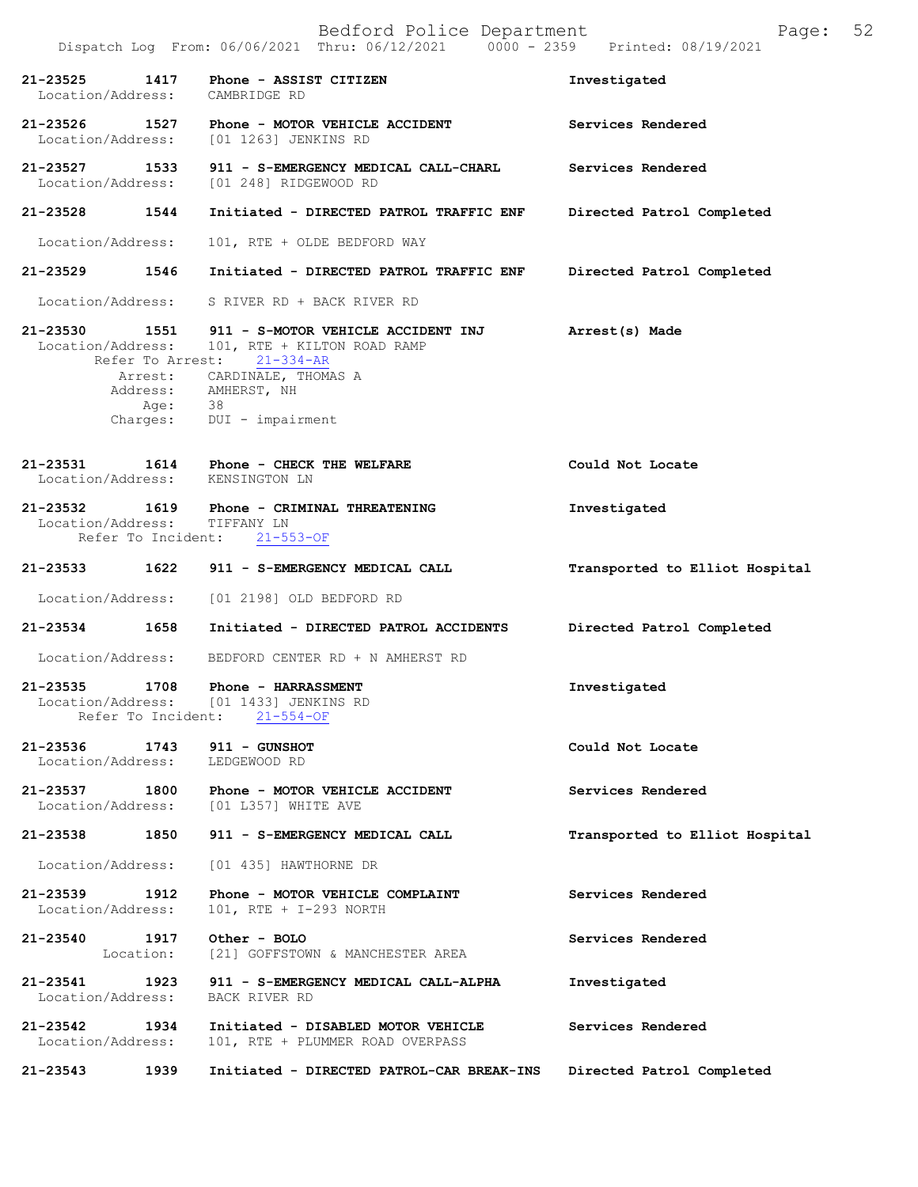|                                                          | Dispatch Log From: 06/06/2021 Thru: 06/12/2021 0000 - 2359 Printed: 08/19/2021                                                      |                                |
|----------------------------------------------------------|-------------------------------------------------------------------------------------------------------------------------------------|--------------------------------|
| 1417<br>21-23525<br>Location/Address:                    | Phone - ASSIST CITIZEN<br>CAMBRIDGE RD                                                                                              | Investigated                   |
| 21-23526 1527                                            | Phone - MOTOR VEHICLE ACCIDENT<br>Location/Address: [01 1263] JENKINS RD                                                            | Services Rendered              |
| 21-23527 1533                                            | 911 - S-EMERGENCY MEDICAL CALL-CHARL<br>Location/Address: [01 248] RIDGEWOOD RD                                                     | Services Rendered              |
| 21-23528 1544                                            | Initiated - DIRECTED PATROL TRAFFIC ENF                                                                                             | Directed Patrol Completed      |
| Location/Address:                                        | 101, RTE + OLDE BEDFORD WAY                                                                                                         |                                |
| 21-23529 1546                                            | Initiated - DIRECTED PATROL TRAFFIC ENF                                                                                             | Directed Patrol Completed      |
|                                                          | Location/Address: S RIVER RD + BACK RIVER RD                                                                                        |                                |
| Refer To Arrest:                                         | 21-23530 1551 911 - S-MOTOR VEHICLE ACCIDENT INJ Arrest(s) Made<br>Location/Address: 101, RTE + KILTON ROAD RAMP<br>$21 - 334 - AR$ |                                |
|                                                          | Arrest: CARDINALE, THOMAS A<br>Address: AMHERST, NH                                                                                 |                                |
| Age: 38                                                  | Charges: DUI - impairment                                                                                                           |                                |
| Location/Address: KENSINGTON LN                          | 21-23531 1614 Phone - CHECK THE WELFARE                                                                                             | Could Not Locate               |
| Location/Address: TIFFANY LN                             | 21-23532 1619 Phone - CRIMINAL THREATENING<br>Refer To Incident: 21-553-OF                                                          | Investigated                   |
| 21-23533 1622                                            | 911 - S-EMERGENCY MEDICAL CALL                                                                                                      | Transported to Elliot Hospital |
|                                                          | Location/Address: [01 2198] OLD BEDFORD RD                                                                                          |                                |
| 21-23534 1658                                            | Initiated - DIRECTED PATROL ACCIDENTS                                                                                               | Directed Patrol Completed      |
| Location/Address:                                        | BEDFORD CENTER RD + N AMHERST RD                                                                                                    |                                |
| 21-23535 1708<br>Location/Address:<br>Refer To Incident: | Phone - HARRASSMENT<br>[01 1433] JENKINS RD<br>$21 - 554 - OF$                                                                      | Investigated                   |
| 21-23536<br>1743<br>Location/Address:                    | 911 - GUNSHOT<br>LEDGEWOOD RD                                                                                                       | Could Not Locate               |
| 21-23537<br>1800                                         | Phone - MOTOR VEHICLE ACCIDENT<br>Location/Address: [01 L357] WHITE AVE                                                             | Services Rendered              |
| 21-23538 1850                                            | 911 - S-EMERGENCY MEDICAL CALL                                                                                                      | Transported to Elliot Hospital |
| Location/Address:                                        | [01 435] HAWTHORNE DR                                                                                                               |                                |
| 21-23539<br>1912<br>Location/Address:                    | Phone - MOTOR VEHICLE COMPLAINT<br>101, RTE + I-293 NORTH                                                                           | Services Rendered              |
| 21-23540 1917<br>Location:                               | Other - BOLO<br>[21] GOFFSTOWN & MANCHESTER AREA                                                                                    | Services Rendered              |
| 21-23541<br>1923<br>Location/Address:                    | 911 - S-EMERGENCY MEDICAL CALL-ALPHA<br>BACK RIVER RD                                                                               | Investigated                   |
| 21-23542<br>1934<br>Location/Address:                    | Initiated - DISABLED MOTOR VEHICLE<br>101, RTE + PLUMMER ROAD OVERPASS                                                              | Services Rendered              |
| 21-23543<br>1939                                         | Initiated - DIRECTED PATROL-CAR BREAK-INS                                                                                           | Directed Patrol Completed      |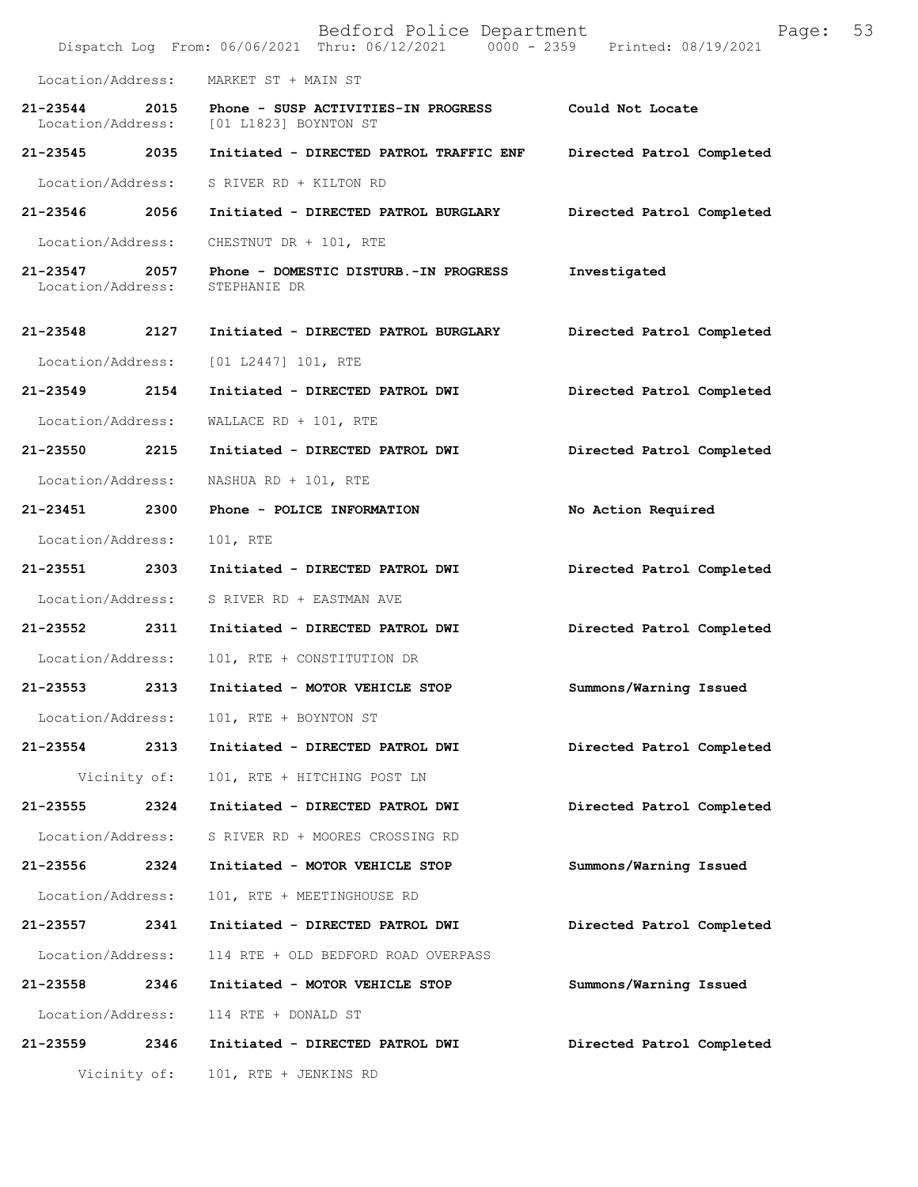|                               |              | Bedford Police Department<br>Dispatch Log From: 06/06/2021 Thru: 06/12/2021 0000 - 2359 Printed: 08/19/2021 | Page:                     | 53 |
|-------------------------------|--------------|-------------------------------------------------------------------------------------------------------------|---------------------------|----|
| Location/Address:             |              | MARKET ST + MAIN ST                                                                                         |                           |    |
| 21-23544<br>Location/Address: | 2015         | Phone - SUSP ACTIVITIES-IN PROGRESS<br>[01 L1823] BOYNTON ST                                                | Could Not Locate          |    |
| 21-23545 2035                 |              | Initiated - DIRECTED PATROL TRAFFIC ENF                                                                     | Directed Patrol Completed |    |
| Location/Address:             |              | S RIVER RD + KILTON RD                                                                                      |                           |    |
| 21-23546                      | 2056         | Initiated - DIRECTED PATROL BURGLARY                                                                        | Directed Patrol Completed |    |
| Location/Address:             |              | CHESTNUT DR + 101, RTE                                                                                      |                           |    |
| 21-23547<br>Location/Address: | 2057         | Phone - DOMESTIC DISTURB.-IN PROGRESS<br>STEPHANIE DR                                                       | Investigated              |    |
| 21-23548                      | 2127         | Initiated - DIRECTED PATROL BURGLARY                                                                        | Directed Patrol Completed |    |
| Location/Address:             |              | $[01 L2447] 101$ , RTE                                                                                      |                           |    |
| 21-23549                      | 2154         | Initiated - DIRECTED PATROL DWI                                                                             | Directed Patrol Completed |    |
| Location/Address:             |              | WALLACE RD + $101$ , RTE                                                                                    |                           |    |
| 21-23550                      | 2215         | Initiated - DIRECTED PATROL DWI                                                                             | Directed Patrol Completed |    |
| Location/Address:             |              | NASHUA RD + $101$ , RTE                                                                                     |                           |    |
| 21-23451                      | 2300         | Phone - POLICE INFORMATION                                                                                  | No Action Required        |    |
| Location/Address:             |              | 101, RTE                                                                                                    |                           |    |
| 21-23551                      | 2303         | Initiated - DIRECTED PATROL DWI                                                                             | Directed Patrol Completed |    |
| Location/Address:             |              | S RIVER RD + EASTMAN AVE                                                                                    |                           |    |
| 21-23552                      | 2311         | Initiated - DIRECTED PATROL DWI                                                                             | Directed Patrol Completed |    |
| Location/Address:             |              | 101, RTE + CONSTITUTION DR                                                                                  |                           |    |
| 21-23553                      | 2313         | Initiated - MOTOR VEHICLE STOP                                                                              | Summons/Warning Issued    |    |
|                               |              | Location/Address: 101, RTE + BOYNTON ST                                                                     |                           |    |
| 21-23554                      | 2313         | Initiated - DIRECTED PATROL DWI                                                                             | Directed Patrol Completed |    |
|                               | Vicinity of: | 101, RTE + HITCHING POST LN                                                                                 |                           |    |
| 21-23555                      | 2324         | Initiated - DIRECTED PATROL DWI                                                                             | Directed Patrol Completed |    |
| Location/Address:             |              | S RIVER RD + MOORES CROSSING RD                                                                             |                           |    |
| 21-23556                      | 2324         | Initiated - MOTOR VEHICLE STOP                                                                              | Summons/Warning Issued    |    |
| Location/Address:             |              | 101, RTE + MEETINGHOUSE RD                                                                                  |                           |    |
| 21-23557                      | 2341         | Initiated - DIRECTED PATROL DWI                                                                             | Directed Patrol Completed |    |
| Location/Address:             |              | 114 RTE + OLD BEDFORD ROAD OVERPASS                                                                         |                           |    |
| 21-23558                      | 2346         | Initiated - MOTOR VEHICLE STOP                                                                              | Summons/Warning Issued    |    |
| Location/Address:             |              | 114 RTE + DONALD ST                                                                                         |                           |    |
| 21-23559 2346                 |              | Initiated - DIRECTED PATROL DWI                                                                             | Directed Patrol Completed |    |
|                               | Vicinity of: | 101, RTE + JENKINS RD                                                                                       |                           |    |